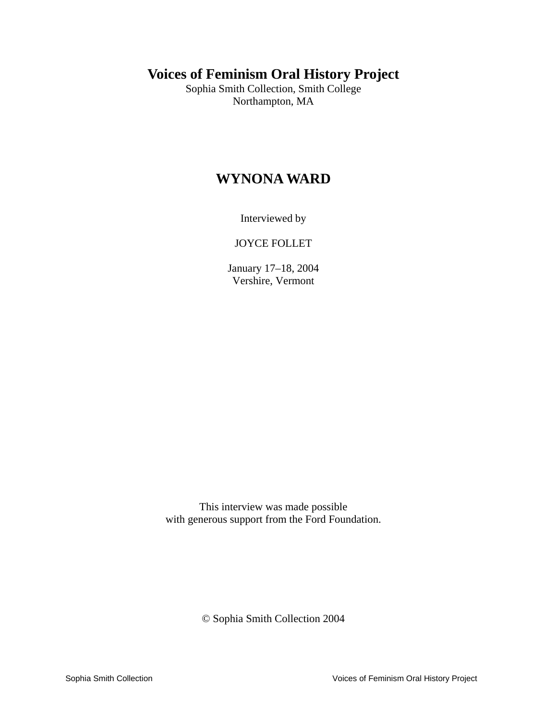# **Voices of Feminism Oral History Project**

Sophia Smith Collection, Smith College Northampton, MA

# **WYNONA WARD**

Interviewed by

JOYCE FOLLET

January 17–18, 2004 Vershire, Vermont

This interview was made possible with generous support from the Ford Foundation.

© Sophia Smith Collection 2004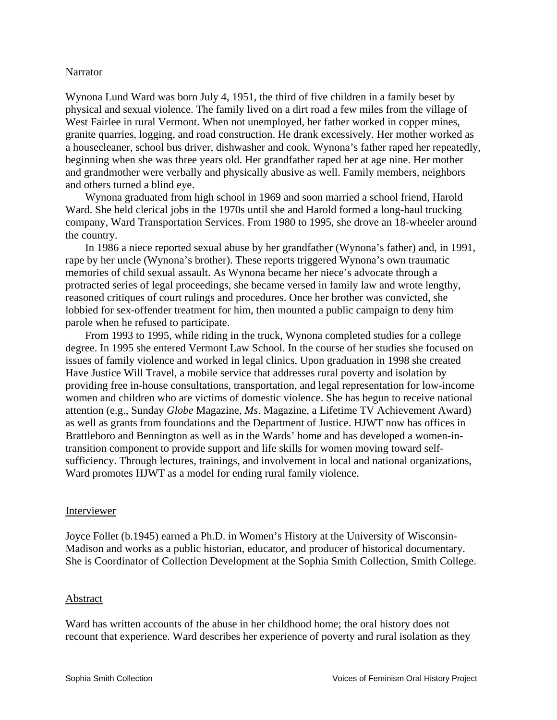#### Narrator

Wynona Lund Ward was born July 4, 1951, the third of five children in a family beset by physical and sexual violence. The family lived on a dirt road a few miles from the village of West Fairlee in rural Vermont. When not unemployed, her father worked in copper mines, granite quarries, logging, and road construction. He drank excessively. Her mother worked as a housecleaner, school bus driver, dishwasher and cook. Wynona's father raped her repeatedly, beginning when she was three years old. Her grandfather raped her at age nine. Her mother and grandmother were verbally and physically abusive as well. Family members, neighbors and others turned a blind eye.

Wynona graduated from high school in 1969 and soon married a school friend, Harold Ward. She held clerical jobs in the 1970s until she and Harold formed a long-haul trucking company, Ward Transportation Services. From 1980 to 1995, she drove an 18-wheeler around the country.

In 1986 a niece reported sexual abuse by her grandfather (Wynona's father) and, in 1991, rape by her uncle (Wynona's brother). These reports triggered Wynona's own traumatic memories of child sexual assault. As Wynona became her niece's advocate through a protracted series of legal proceedings, she became versed in family law and wrote lengthy, reasoned critiques of court rulings and procedures. Once her brother was convicted, she lobbied for sex-offender treatment for him, then mounted a public campaign to deny him parole when he refused to participate.

From 1993 to 1995, while riding in the truck, Wynona completed studies for a college degree. In 1995 she entered Vermont Law School. In the course of her studies she focused on issues of family violence and worked in legal clinics. Upon graduation in 1998 she created Have Justice Will Travel, a mobile service that addresses rural poverty and isolation by providing free in-house consultations, transportation, and legal representation for low-income women and children who are victims of domestic violence. She has begun to receive national attention (e.g., Sunday *Globe* Magazine, *Ms*. Magazine, a Lifetime TV Achievement Award) as well as grants from foundations and the Department of Justice. HJWT now has offices in Brattleboro and Bennington as well as in the Wards' home and has developed a women-intransition component to provide support and life skills for women moving toward selfsufficiency. Through lectures, trainings, and involvement in local and national organizations, Ward promotes HJWT as a model for ending rural family violence.

#### Interviewer

Joyce Follet (b.1945) earned a Ph.D. in Women's History at the University of Wisconsin-Madison and works as a public historian, educator, and producer of historical documentary. She is Coordinator of Collection Development at the Sophia Smith Collection, Smith College.

#### Abstract

Ward has written accounts of the abuse in her childhood home; the oral history does not recount that experience. Ward describes her experience of poverty and rural isolation as they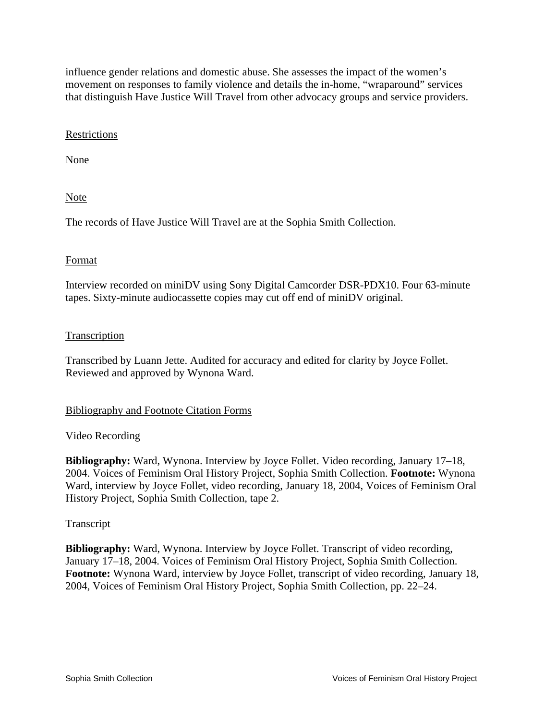influence gender relations and domestic abuse. She assesses the impact of the women's movement on responses to family violence and details the in-home, "wraparound" services that distinguish Have Justice Will Travel from other advocacy groups and service providers.

## Restrictions

None

Note

The records of Have Justice Will Travel are at the Sophia Smith Collection.

## Format

Interview recorded on miniDV using Sony Digital Camcorder DSR-PDX10. Four 63-minute tapes. Sixty-minute audiocassette copies may cut off end of miniDV original.

## **Transcription**

Transcribed by Luann Jette. Audited for accuracy and edited for clarity by Joyce Follet. Reviewed and approved by Wynona Ward.

## Bibliography and Footnote Citation Forms

## Video Recording

**Bibliography:** Ward, Wynona. Interview by Joyce Follet. Video recording, January 17–18, 2004. Voices of Feminism Oral History Project, Sophia Smith Collection. **Footnote:** Wynona Ward, interview by Joyce Follet, video recording, January 18, 2004, Voices of Feminism Oral History Project, Sophia Smith Collection, tape 2.

#### Transcript

**Bibliography:** Ward, Wynona. Interview by Joyce Follet. Transcript of video recording, January 17–18, 2004. Voices of Feminism Oral History Project, Sophia Smith Collection. **Footnote:** Wynona Ward, interview by Joyce Follet, transcript of video recording, January 18, 2004, Voices of Feminism Oral History Project, Sophia Smith Collection, pp. 22–24.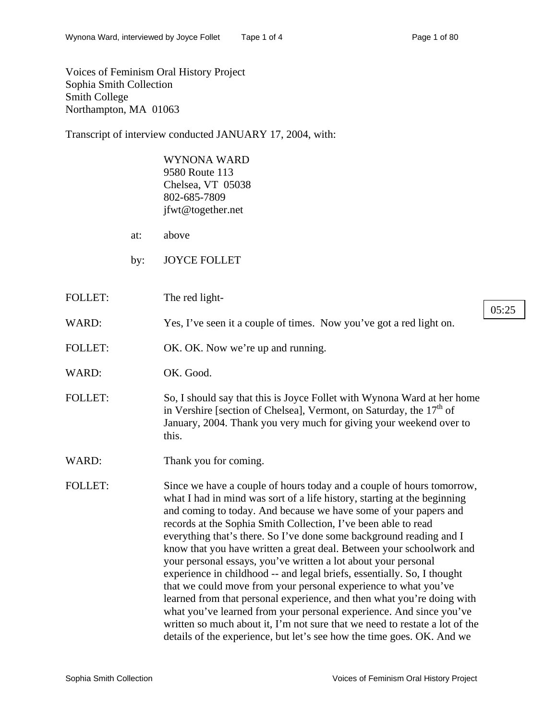Voices of Feminism Oral History Project Sophia Smith Collection Smith College Northampton, MA 01063

Transcript of interview conducted JANUARY 17, 2004, with:

WYNONA WARD 9580 Route 113 Chelsea, VT 05038 802-685-7809 jfwt@together.net

- at: above
- by: JOYCE FOLLET
- FOLLET: The red light-05:25
- WARD: Yes, I've seen it a couple of times. Now you've got a red light on.
- FOLLET: OK. OK. Now we're up and running.
- WARD: OK. Good.
- FOLLET: So, I should say that this is Joyce Follet with Wynona Ward at her home in Vershire [section of Chelsea], Vermont, on Saturday, the  $17<sup>th</sup>$  of January, 2004. Thank you very much for giving your weekend over to this.
- WARD: Thank you for coming.

FOLLET: Since we have a couple of hours today and a couple of hours tomorrow, what I had in mind was sort of a life history, starting at the beginning and coming to today. And because we have some of your papers and records at the Sophia Smith Collection, I've been able to read everything that's there. So I've done some background reading and I know that you have written a great deal. Between your schoolwork and your personal essays, you've written a lot about your personal experience in childhood -- and legal briefs, essentially. So, I thought that we could move from your personal experience to what you've learned from that personal experience, and then what you're doing with what you've learned from your personal experience. And since you've written so much about it, I'm not sure that we need to restate a lot of the details of the experience, but let's see how the time goes. OK. And we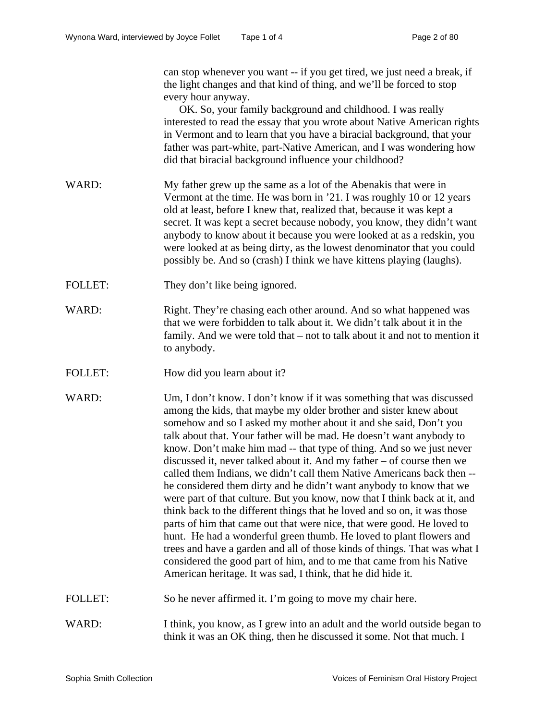can stop whenever you want -- if you get tired, we just need a break, if the light changes and that kind of thing, and we'll be forced to stop every hour anyway.

OK. So, your family background and childhood. I was really interested to read the essay that you wrote about Native American rights in Vermont and to learn that you have a biracial background, that your father was part-white, part-Native American, and I was wondering how did that biracial background influence your childhood?

- WARD: My father grew up the same as a lot of the Abenakis that were in Vermont at the time. He was born in '21. I was roughly 10 or 12 years old at least, before I knew that, realized that, because it was kept a secret. It was kept a secret because nobody, you know, they didn't want anybody to know about it because you were looked at as a redskin, you were looked at as being dirty, as the lowest denominator that you could possibly be. And so (crash) I think we have kittens playing (laughs).
- FOLLET: They don't like being ignored.
- WARD: Right. They're chasing each other around. And so what happened was that we were forbidden to talk about it. We didn't talk about it in the family. And we were told that – not to talk about it and not to mention it to anybody.
- FOLLET: How did you learn about it?
- WARD: Um, I don't know. I don't know if it was something that was discussed among the kids, that maybe my older brother and sister knew about somehow and so I asked my mother about it and she said, Don't you talk about that. Your father will be mad. He doesn't want anybody to know. Don't make him mad -- that type of thing. And so we just never discussed it, never talked about it. And my father – of course then we called them Indians, we didn't call them Native Americans back then - he considered them dirty and he didn't want anybody to know that we were part of that culture. But you know, now that I think back at it, and think back to the different things that he loved and so on, it was those parts of him that came out that were nice, that were good. He loved to hunt. He had a wonderful green thumb. He loved to plant flowers and trees and have a garden and all of those kinds of things. That was what I considered the good part of him, and to me that came from his Native American heritage. It was sad, I think, that he did hide it.
- FOLLET: So he never affirmed it. I'm going to move my chair here.
- WARD: I think, you know, as I grew into an adult and the world outside began to think it was an OK thing, then he discussed it some. Not that much. I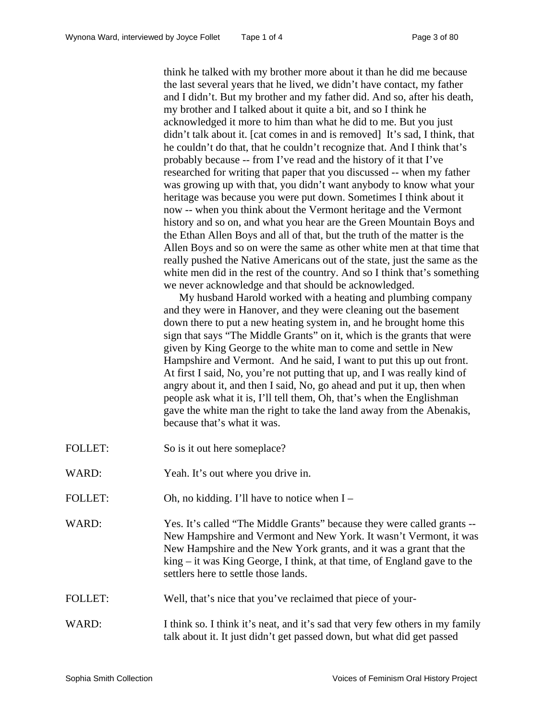think he talked with my brother more about it than he did me because the last several years that he lived, we didn't have contact, my father and I didn't. But my brother and my father did. And so, after his death, my brother and I talked about it quite a bit, and so I think he acknowledged it more to him than what he did to me. But you just didn't talk about it. [cat comes in and is removed] It's sad, I think, that he couldn't do that, that he couldn't recognize that. And I think that's probably because -- from I've read and the history of it that I've researched for writing that paper that you discussed -- when my father was growing up with that, you didn't want anybody to know what your heritage was because you were put down. Sometimes I think about it now -- when you think about the Vermont heritage and the Vermont history and so on, and what you hear are the Green Mountain Boys and the Ethan Allen Boys and all of that, but the truth of the matter is the Allen Boys and so on were the same as other white men at that time that really pushed the Native Americans out of the state, just the same as the white men did in the rest of the country. And so I think that's something we never acknowledge and that should be acknowledged.

My husband Harold worked with a heating and plumbing company and they were in Hanover, and they were cleaning out the basement down there to put a new heating system in, and he brought home this sign that says "The Middle Grants" on it, which is the grants that were given by King George to the white man to come and settle in New Hampshire and Vermont. And he said, I want to put this up out front. At first I said, No, you're not putting that up, and I was really kind of angry about it, and then I said, No, go ahead and put it up, then when people ask what it is, I'll tell them, Oh, that's when the Englishman gave the white man the right to take the land away from the Abenakis, because that's what it was.

- FOLLET: So is it out here someplace?
- WARD: Yeah. It's out where you drive in.
- FOLLET: Oh, no kidding. I'll have to notice when I –
- WARD: Yes. It's called "The Middle Grants" because they were called grants --New Hampshire and Vermont and New York. It wasn't Vermont, it was New Hampshire and the New York grants, and it was a grant that the king – it was King George, I think, at that time, of England gave to the settlers here to settle those lands.
- FOLLET: Well, that's nice that you've reclaimed that piece of your-
- WARD: I think so. I think it's neat, and it's sad that very few others in my family talk about it. It just didn't get passed down, but what did get passed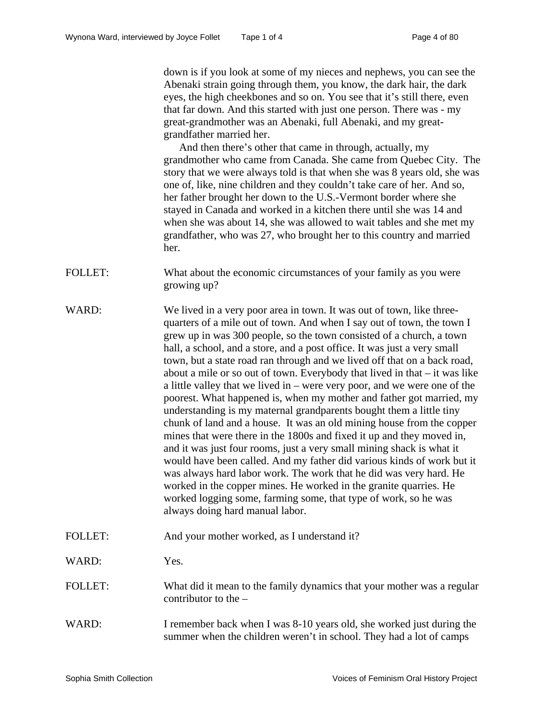down is if you look at some of my nieces and nephews, you can see the Abenaki strain going through them, you know, the dark hair, the dark eyes, the high cheekbones and so on. You see that it's still there, even that far down. And this started with just one person. There was - my great-grandmother was an Abenaki, full Abenaki, and my greatgrandfather married her.

And then there's other that came in through, actually, my grandmother who came from Canada. She came from Quebec City. The story that we were always told is that when she was 8 years old, she was one of, like, nine children and they couldn't take care of her. And so, her father brought her down to the U.S.-Vermont border where she stayed in Canada and worked in a kitchen there until she was 14 and when she was about 14, she was allowed to wait tables and she met my grandfather, who was 27, who brought her to this country and married her.

- FOLLET: What about the economic circumstances of your family as you were growing up?
- WARD: We lived in a very poor area in town. It was out of town, like threequarters of a mile out of town. And when I say out of town, the town I grew up in was 300 people, so the town consisted of a church, a town hall, a school, and a store, and a post office. It was just a very small town, but a state road ran through and we lived off that on a back road, about a mile or so out of town. Everybody that lived in that – it was like a little valley that we lived in – were very poor, and we were one of the poorest. What happened is, when my mother and father got married, my understanding is my maternal grandparents bought them a little tiny chunk of land and a house. It was an old mining house from the copper mines that were there in the 1800s and fixed it up and they moved in, and it was just four rooms, just a very small mining shack is what it would have been called. And my father did various kinds of work but it was always hard labor work. The work that he did was very hard. He worked in the copper mines. He worked in the granite quarries. He worked logging some, farming some, that type of work, so he was always doing hard manual labor.
- FOLLET: And your mother worked, as I understand it?
- WARD: Yes.

# FOLLET: What did it mean to the family dynamics that your mother was a regular contributor to the –

WARD: I remember back when I was 8-10 years old, she worked just during the summer when the children weren't in school. They had a lot of camps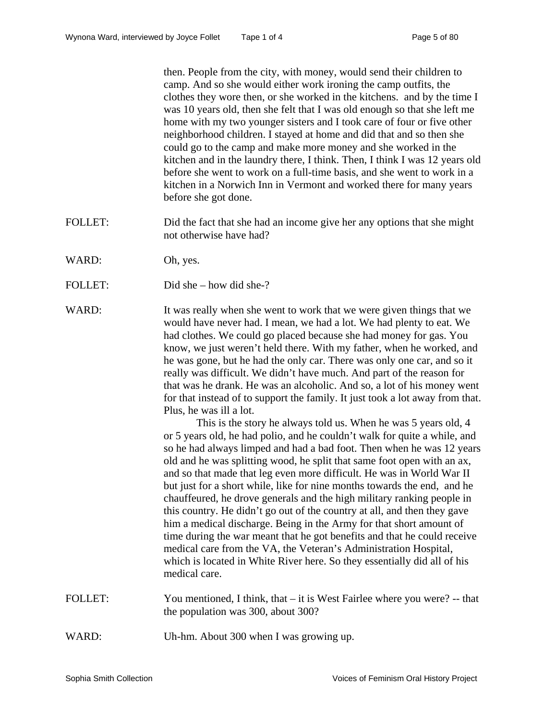then. People from the city, with money, would send their children to camp. And so she would either work ironing the camp outfits, the clothes they wore then, or she worked in the kitchens. and by the time I was 10 years old, then she felt that I was old enough so that she left me home with my two younger sisters and I took care of four or five other neighborhood children. I stayed at home and did that and so then she could go to the camp and make more money and she worked in the kitchen and in the laundry there, I think. Then, I think I was 12 years old before she went to work on a full-time basis, and she went to work in a kitchen in a Norwich Inn in Vermont and worked there for many years before she got done.

- FOLLET: Did the fact that she had an income give her any options that she might not otherwise have had?
- WARD: Oh, yes.
- FOLLET: Did she how did she-?
- WARD: It was really when she went to work that we were given things that we would have never had. I mean, we had a lot. We had plenty to eat. We had clothes. We could go placed because she had money for gas. You know, we just weren't held there. With my father, when he worked, and he was gone, but he had the only car. There was only one car, and so it really was difficult. We didn't have much. And part of the reason for that was he drank. He was an alcoholic. And so, a lot of his money went for that instead of to support the family. It just took a lot away from that. Plus, he was ill a lot.

This is the story he always told us. When he was 5 years old, 4 or 5 years old, he had polio, and he couldn't walk for quite a while, and so he had always limped and had a bad foot. Then when he was 12 years old and he was splitting wood, he split that same foot open with an ax, and so that made that leg even more difficult. He was in World War II but just for a short while, like for nine months towards the end, and he chauffeured, he drove generals and the high military ranking people in this country. He didn't go out of the country at all, and then they gave him a medical discharge. Being in the Army for that short amount of time during the war meant that he got benefits and that he could receive medical care from the VA, the Veteran's Administration Hospital, which is located in White River here. So they essentially did all of his medical care.

- FOLLET: You mentioned, I think, that it is West Fairlee where you were? -- that the population was 300, about 300?
- WARD: Uh-hm. About 300 when I was growing up.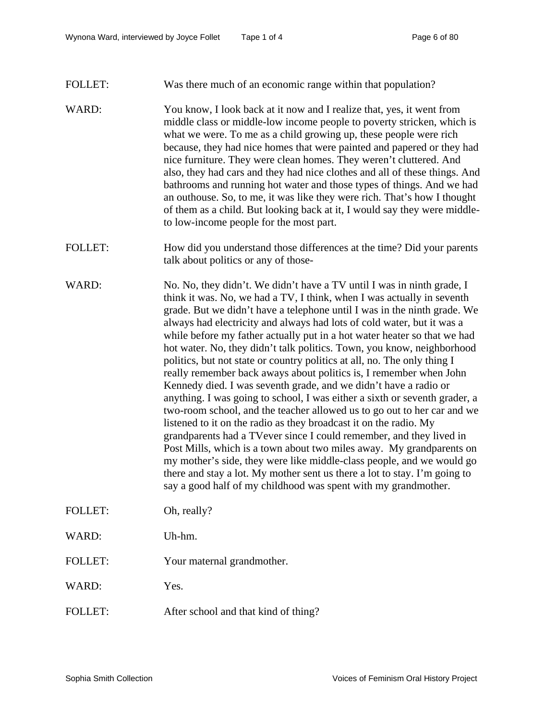## FOLLET: Was there much of an economic range within that population?

- WARD: You know, I look back at it now and I realize that, yes, it went from middle class or middle-low income people to poverty stricken, which is what we were. To me as a child growing up, these people were rich because, they had nice homes that were painted and papered or they had nice furniture. They were clean homes. They weren't cluttered. And also, they had cars and they had nice clothes and all of these things. And bathrooms and running hot water and those types of things. And we had an outhouse. So, to me, it was like they were rich. That's how I thought of them as a child. But looking back at it, I would say they were middleto low-income people for the most part.
- FOLLET: How did you understand those differences at the time? Did your parents talk about politics or any of those-
- WARD: No. No, they didn't. We didn't have a TV until I was in ninth grade, I think it was. No, we had a TV, I think, when I was actually in seventh grade. But we didn't have a telephone until I was in the ninth grade. We always had electricity and always had lots of cold water, but it was a while before my father actually put in a hot water heater so that we had hot water. No, they didn't talk politics. Town, you know, neighborhood politics, but not state or country politics at all, no. The only thing I really remember back aways about politics is, I remember when John Kennedy died. I was seventh grade, and we didn't have a radio or anything. I was going to school, I was either a sixth or seventh grader, a two-room school, and the teacher allowed us to go out to her car and we listened to it on the radio as they broadcast it on the radio. My grandparents had a TVever since I could remember, and they lived in Post Mills, which is a town about two miles away. My grandparents on my mother's side, they were like middle-class people, and we would go there and stay a lot. My mother sent us there a lot to stay. I'm going to say a good half of my childhood was spent with my grandmother.
- FOLLET: Oh, really?
- WARD: Uh-hm.
- FOLLET: Your maternal grandmother.

WARD: Yes.

FOLLET: After school and that kind of thing?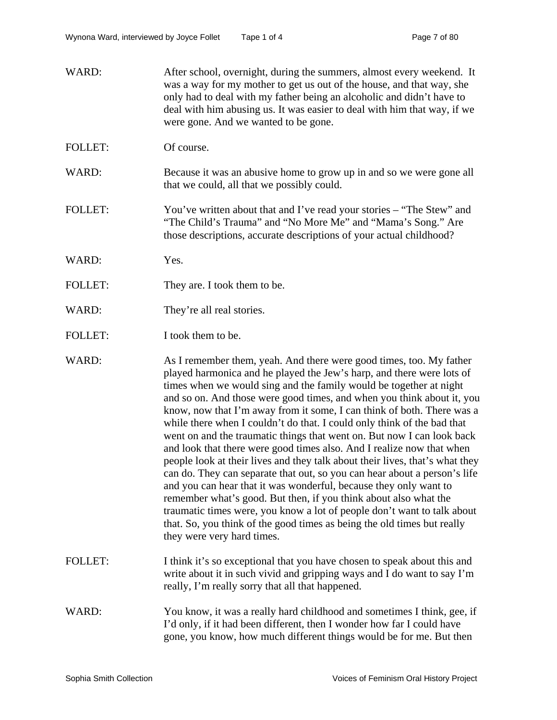- WARD: After school, overnight, during the summers, almost every weekend. It was a way for my mother to get us out of the house, and that way, she only had to deal with my father being an alcoholic and didn't have to deal with him abusing us. It was easier to deal with him that way, if we were gone. And we wanted to be gone.
- FOLLET: Of course.
- WARD: Because it was an abusive home to grow up in and so we were gone all that we could, all that we possibly could.
- FOLLET: You've written about that and I've read your stories "The Stew" and "The Child's Trauma" and "No More Me" and "Mama's Song." Are those descriptions, accurate descriptions of your actual childhood?
- WARD: Yes.
- FOLLET: They are. I took them to be.
- WARD: They're all real stories.
- FOLLET: I took them to be.

WARD: As I remember them, yeah. And there were good times, too. My father played harmonica and he played the Jew's harp, and there were lots of times when we would sing and the family would be together at night and so on. And those were good times, and when you think about it, you know, now that I'm away from it some, I can think of both. There was a while there when I couldn't do that. I could only think of the bad that went on and the traumatic things that went on. But now I can look back and look that there were good times also. And I realize now that when people look at their lives and they talk about their lives, that's what they can do. They can separate that out, so you can hear about a person's life and you can hear that it was wonderful, because they only want to remember what's good. But then, if you think about also what the traumatic times were, you know a lot of people don't want to talk about that. So, you think of the good times as being the old times but really they were very hard times.

- FOLLET: I think it's so exceptional that you have chosen to speak about this and write about it in such vivid and gripping ways and I do want to say I'm really, I'm really sorry that all that happened.
- WARD: You know, it was a really hard childhood and sometimes I think, gee, if I'd only, if it had been different, then I wonder how far I could have gone, you know, how much different things would be for me. But then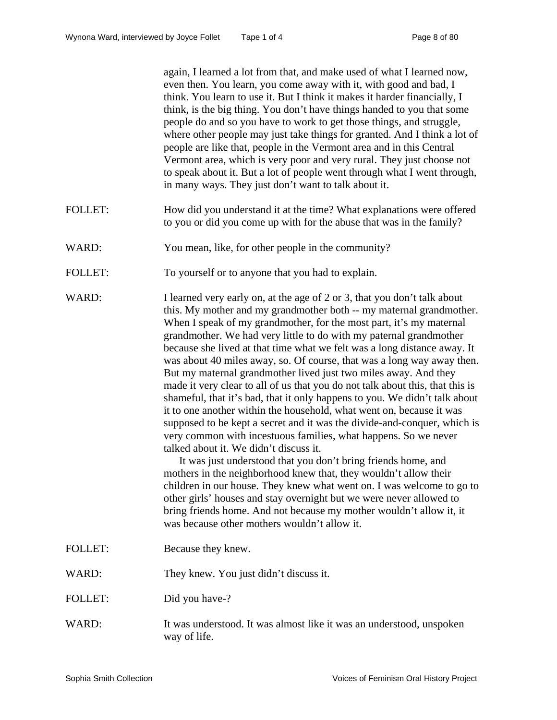again, I learned a lot from that, and make used of what I learned now, even then. You learn, you come away with it, with good and bad, I think. You learn to use it. But I think it makes it harder financially, I think, is the big thing. You don't have things handed to you that some people do and so you have to work to get those things, and struggle, where other people may just take things for granted. And I think a lot of people are like that, people in the Vermont area and in this Central Vermont area, which is very poor and very rural. They just choose not to speak about it. But a lot of people went through what I went through, in many ways. They just don't want to talk about it.

- FOLLET: How did you understand it at the time? What explanations were offered to you or did you come up with for the abuse that was in the family?
- WARD: You mean, like, for other people in the community?
- FOLLET: To yourself or to anyone that you had to explain.

WARD: I learned very early on, at the age of 2 or 3, that you don't talk about this. My mother and my grandmother both -- my maternal grandmother. When I speak of my grandmother, for the most part, it's my maternal grandmother. We had very little to do with my paternal grandmother because she lived at that time what we felt was a long distance away. It was about 40 miles away, so. Of course, that was a long way away then. But my maternal grandmother lived just two miles away. And they made it very clear to all of us that you do not talk about this, that this is shameful, that it's bad, that it only happens to you. We didn't talk about it to one another within the household, what went on, because it was supposed to be kept a secret and it was the divide-and-conquer, which is very common with incestuous families, what happens. So we never talked about it. We didn't discuss it.

> It was just understood that you don't bring friends home, and mothers in the neighborhood knew that, they wouldn't allow their children in our house. They knew what went on. I was welcome to go to other girls' houses and stay overnight but we were never allowed to bring friends home. And not because my mother wouldn't allow it, it was because other mothers wouldn't allow it.

- FOLLET: Because they knew.
- WARD: They knew. You just didn't discuss it.
- FOLLET: Did you have-?
- WARD: It was understood. It was almost like it was an understood, unspoken way of life.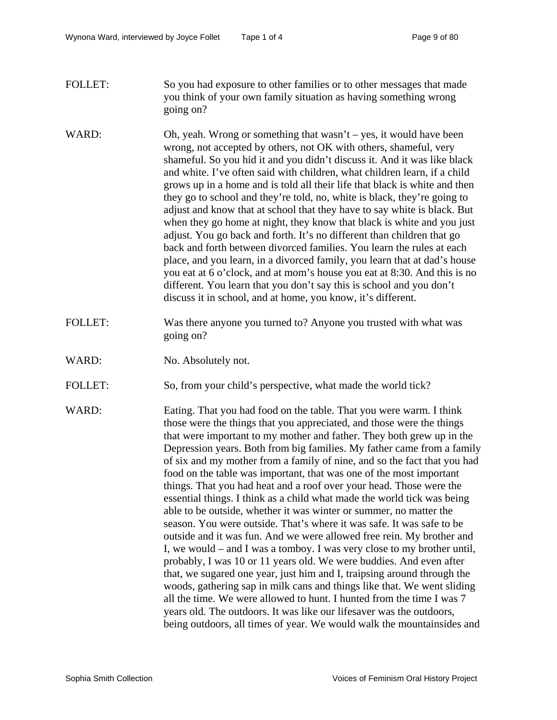- FOLLET: So you had exposure to other families or to other messages that made you think of your own family situation as having something wrong going on?
- WARD: Oh, yeah. Wrong or something that wasn't yes, it would have been wrong, not accepted by others, not OK with others, shameful, very shameful. So you hid it and you didn't discuss it. And it was like black and white. I've often said with children, what children learn, if a child grows up in a home and is told all their life that black is white and then they go to school and they're told, no, white is black, they're going to adjust and know that at school that they have to say white is black. But when they go home at night, they know that black is white and you just adjust. You go back and forth. It's no different than children that go back and forth between divorced families. You learn the rules at each place, and you learn, in a divorced family, you learn that at dad's house you eat at 6 o'clock, and at mom's house you eat at 8:30. And this is no different. You learn that you don't say this is school and you don't discuss it in school, and at home, you know, it's different.
- FOLLET: Was there anyone you turned to? Anyone you trusted with what was going on?
- WARD: No. Absolutely not.
- FOLLET: So, from your child's perspective, what made the world tick?
- WARD: Eating. That you had food on the table. That you were warm. I think those were the things that you appreciated, and those were the things that were important to my mother and father. They both grew up in the Depression years. Both from big families. My father came from a family of six and my mother from a family of nine, and so the fact that you had food on the table was important, that was one of the most important things. That you had heat and a roof over your head. Those were the essential things. I think as a child what made the world tick was being able to be outside, whether it was winter or summer, no matter the season. You were outside. That's where it was safe. It was safe to be outside and it was fun. And we were allowed free rein. My brother and I, we would – and I was a tomboy. I was very close to my brother until, probably, I was 10 or 11 years old. We were buddies. And even after that, we sugared one year, just him and I, traipsing around through the woods, gathering sap in milk cans and things like that. We went sliding all the time. We were allowed to hunt. I hunted from the time I was 7 years old. The outdoors. It was like our lifesaver was the outdoors, being outdoors, all times of year. We would walk the mountainsides and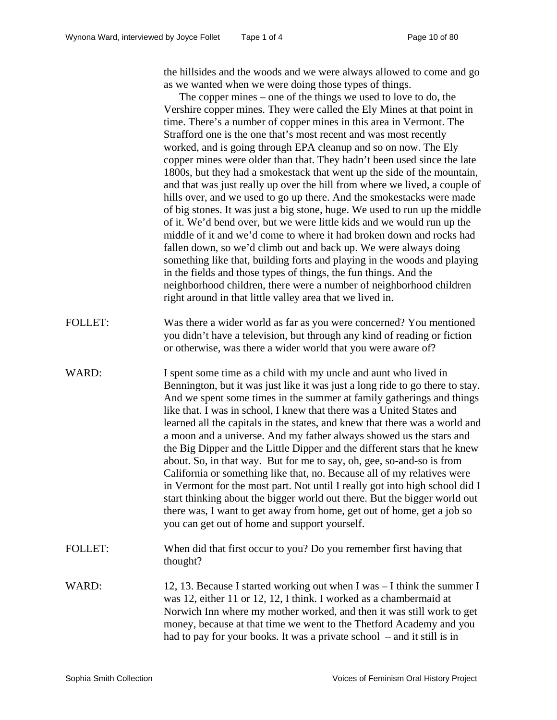the hillsides and the woods and we were always allowed to come and go as we wanted when we were doing those types of things.

The copper mines – one of the things we used to love to do, the Vershire copper mines. They were called the Ely Mines at that point in time. There's a number of copper mines in this area in Vermont. The Strafford one is the one that's most recent and was most recently worked, and is going through EPA cleanup and so on now. The Ely copper mines were older than that. They hadn't been used since the late 1800s, but they had a smokestack that went up the side of the mountain, and that was just really up over the hill from where we lived, a couple of hills over, and we used to go up there. And the smokestacks were made of big stones. It was just a big stone, huge. We used to run up the middle of it. We'd bend over, but we were little kids and we would run up the middle of it and we'd come to where it had broken down and rocks had fallen down, so we'd climb out and back up. We were always doing something like that, building forts and playing in the woods and playing in the fields and those types of things, the fun things. And the neighborhood children, there were a number of neighborhood children right around in that little valley area that we lived in.

- FOLLET: Was there a wider world as far as you were concerned? You mentioned you didn't have a television, but through any kind of reading or fiction or otherwise, was there a wider world that you were aware of?
- WARD: I spent some time as a child with my uncle and aunt who lived in Bennington, but it was just like it was just a long ride to go there to stay. And we spent some times in the summer at family gatherings and things like that. I was in school, I knew that there was a United States and learned all the capitals in the states, and knew that there was a world and a moon and a universe. And my father always showed us the stars and the Big Dipper and the Little Dipper and the different stars that he knew about. So, in that way. But for me to say, oh, gee, so-and-so is from California or something like that, no. Because all of my relatives were in Vermont for the most part. Not until I really got into high school did I start thinking about the bigger world out there. But the bigger world out there was, I want to get away from home, get out of home, get a job so you can get out of home and support yourself.
- FOLLET: When did that first occur to you? Do you remember first having that thought?
- WARD: 12, 13. Because I started working out when I was I think the summer I was 12, either 11 or 12, 12, I think. I worked as a chambermaid at Norwich Inn where my mother worked, and then it was still work to get money, because at that time we went to the Thetford Academy and you had to pay for your books. It was a private school – and it still is in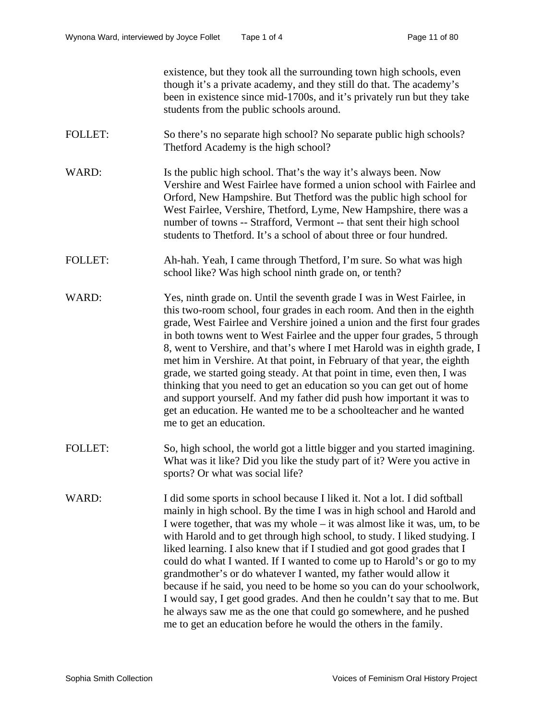existence, but they took all the surrounding town high schools, even though it's a private academy, and they still do that. The academy's been in existence since mid-1700s, and it's privately run but they take students from the public schools around.

- FOLLET: So there's no separate high school? No separate public high schools? Thetford Academy is the high school?
- WARD: Is the public high school. That's the way it's always been. Now Vershire and West Fairlee have formed a union school with Fairlee and Orford, New Hampshire. But Thetford was the public high school for West Fairlee, Vershire, Thetford, Lyme, New Hampshire, there was a number of towns -- Strafford, Vermont -- that sent their high school students to Thetford. It's a school of about three or four hundred.
- FOLLET: Ah-hah. Yeah, I came through Thetford, I'm sure. So what was high school like? Was high school ninth grade on, or tenth?
- WARD: Yes, ninth grade on. Until the seventh grade I was in West Fairlee, in this two-room school, four grades in each room. And then in the eighth grade, West Fairlee and Vershire joined a union and the first four grades in both towns went to West Fairlee and the upper four grades, 5 through 8, went to Vershire, and that's where I met Harold was in eighth grade, I met him in Vershire. At that point, in February of that year, the eighth grade, we started going steady. At that point in time, even then, I was thinking that you need to get an education so you can get out of home and support yourself. And my father did push how important it was to get an education. He wanted me to be a schoolteacher and he wanted me to get an education.
- FOLLET: So, high school, the world got a little bigger and you started imagining. What was it like? Did you like the study part of it? Were you active in sports? Or what was social life?
- WARD: I did some sports in school because I liked it. Not a lot. I did softball mainly in high school. By the time I was in high school and Harold and I were together, that was my whole – it was almost like it was, um, to be with Harold and to get through high school, to study. I liked studying. I liked learning. I also knew that if I studied and got good grades that I could do what I wanted. If I wanted to come up to Harold's or go to my grandmother's or do whatever I wanted, my father would allow it because if he said, you need to be home so you can do your schoolwork, I would say, I get good grades. And then he couldn't say that to me. But he always saw me as the one that could go somewhere, and he pushed me to get an education before he would the others in the family.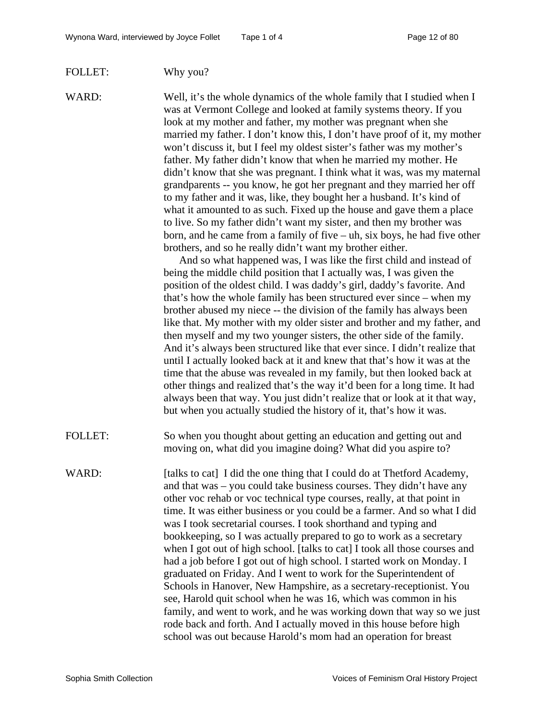#### FOLLET: Why you?

WARD: Well, it's the whole dynamics of the whole family that I studied when I was at Vermont College and looked at family systems theory. If you look at my mother and father, my mother was pregnant when she married my father. I don't know this, I don't have proof of it, my mother won't discuss it, but I feel my oldest sister's father was my mother's father. My father didn't know that when he married my mother. He didn't know that she was pregnant. I think what it was, was my maternal grandparents -- you know, he got her pregnant and they married her off to my father and it was, like, they bought her a husband. It's kind of what it amounted to as such. Fixed up the house and gave them a place to live. So my father didn't want my sister, and then my brother was born, and he came from a family of five – uh, six boys, he had five other brothers, and so he really didn't want my brother either.

> And so what happened was, I was like the first child and instead of being the middle child position that I actually was, I was given the position of the oldest child. I was daddy's girl, daddy's favorite. And that's how the whole family has been structured ever since – when my brother abused my niece -- the division of the family has always been like that. My mother with my older sister and brother and my father, and then myself and my two younger sisters, the other side of the family. And it's always been structured like that ever since. I didn't realize that until I actually looked back at it and knew that that's how it was at the time that the abuse was revealed in my family, but then looked back at other things and realized that's the way it'd been for a long time. It had always been that way. You just didn't realize that or look at it that way, but when you actually studied the history of it, that's how it was.

FOLLET: So when you thought about getting an education and getting out and moving on, what did you imagine doing? What did you aspire to?

WARD: [talks to cat] I did the one thing that I could do at Thetford Academy, and that was – you could take business courses. They didn't have any other voc rehab or voc technical type courses, really, at that point in time. It was either business or you could be a farmer. And so what I did was I took secretarial courses. I took shorthand and typing and bookkeeping, so I was actually prepared to go to work as a secretary when I got out of high school. [talks to cat] I took all those courses and had a job before I got out of high school. I started work on Monday. I graduated on Friday. And I went to work for the Superintendent of Schools in Hanover, New Hampshire, as a secretary-receptionist. You see, Harold quit school when he was 16, which was common in his family, and went to work, and he was working down that way so we just rode back and forth. And I actually moved in this house before high school was out because Harold's mom had an operation for breast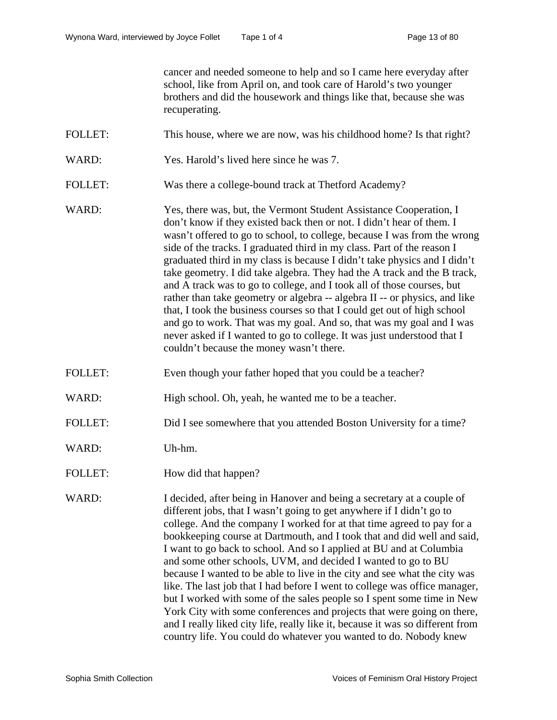cancer and needed someone to help and so I came here everyday after school, like from April on, and took care of Harold's two younger brothers and did the housework and things like that, because she was recuperating.

- FOLLET: This house, where we are now, was his childhood home? Is that right?
- WARD: Yes. Harold's lived here since he was 7.
- FOLLET: Was there a college-bound track at Thetford Academy?
- WARD: Yes, there was, but, the Vermont Student Assistance Cooperation, I don't know if they existed back then or not. I didn't hear of them. I wasn't offered to go to school, to college, because I was from the wrong side of the tracks. I graduated third in my class. Part of the reason I graduated third in my class is because I didn't take physics and I didn't take geometry. I did take algebra. They had the A track and the B track, and A track was to go to college, and I took all of those courses, but rather than take geometry or algebra -- algebra II -- or physics, and like that, I took the business courses so that I could get out of high school and go to work. That was my goal. And so, that was my goal and I was never asked if I wanted to go to college. It was just understood that I couldn't because the money wasn't there.
- FOLLET: Even though your father hoped that you could be a teacher?
- WARD: High school. Oh, yeah, he wanted me to be a teacher.
- FOLLET: Did I see somewhere that you attended Boston University for a time?
- WARD: Uh-hm.
- FOLLET: How did that happen?

WARD: I decided, after being in Hanover and being a secretary at a couple of different jobs, that I wasn't going to get anywhere if I didn't go to college. And the company I worked for at that time agreed to pay for a bookkeeping course at Dartmouth, and I took that and did well and said, I want to go back to school. And so I applied at BU and at Columbia and some other schools, UVM, and decided I wanted to go to BU because I wanted to be able to live in the city and see what the city was like. The last job that I had before I went to college was office manager, but I worked with some of the sales people so I spent some time in New York City with some conferences and projects that were going on there, and I really liked city life, really like it, because it was so different from country life. You could do whatever you wanted to do. Nobody knew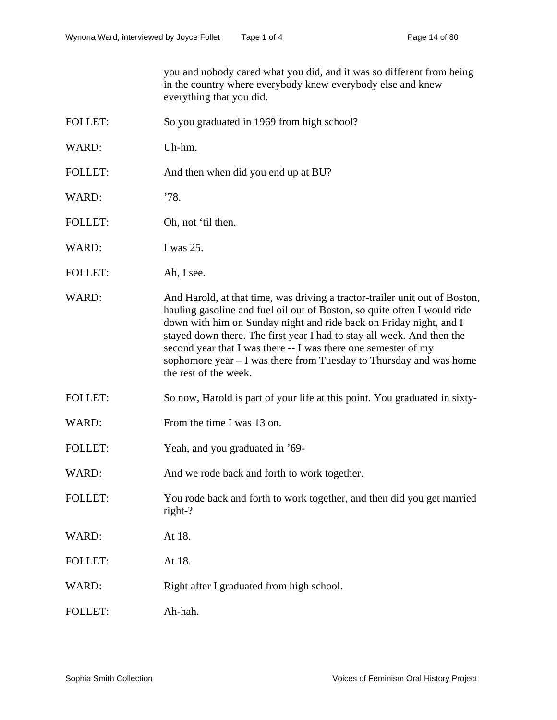you and nobody cared what you did, and it was so different from being in the country where everybody knew everybody else and knew everything that you did.

- FOLLET: So you graduated in 1969 from high school?
- WARD: Uh-hm.
- FOLLET: And then when did you end up at BU?
- WARD: '78.
- FOLLET: Oh, not 'til then.
- WARD: I was 25.
- FOLLET: Ah, I see.
- WARD: And Harold, at that time, was driving a tractor-trailer unit out of Boston, hauling gasoline and fuel oil out of Boston, so quite often I would ride down with him on Sunday night and ride back on Friday night, and I stayed down there. The first year I had to stay all week. And then the second year that I was there -- I was there one semester of my sophomore year – I was there from Tuesday to Thursday and was home the rest of the week.
- FOLLET: So now, Harold is part of your life at this point. You graduated in sixty-
- WARD: From the time I was 13 on.
- FOLLET: Yeah, and you graduated in '69-
- WARD: And we rode back and forth to work together.
- FOLLET: You rode back and forth to work together, and then did you get married right-?
- WARD: At 18.
- FOLLET: At 18.
- WARD: Right after I graduated from high school.
- FOLLET: Ah-hah.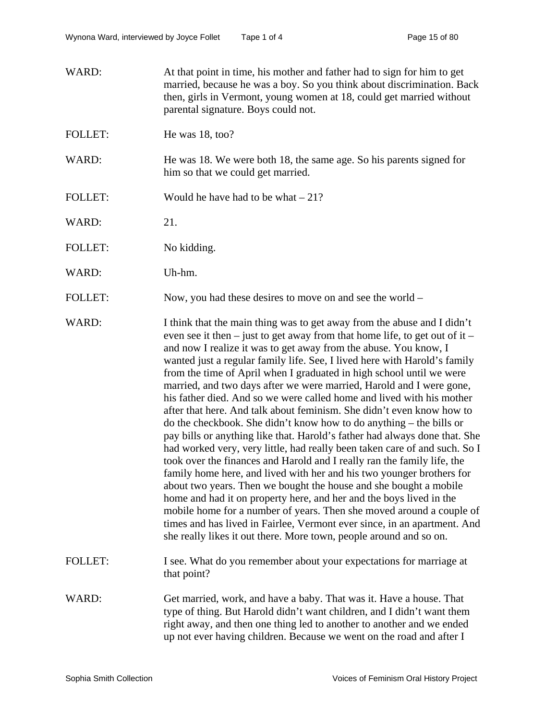| WARD:          | At that point in time, his mother and father had to sign for him to get<br>married, because he was a boy. So you think about discrimination. Back<br>then, girls in Vermont, young women at 18, could get married without<br>parental signature. Boys could not.                                                                                                                                                                                                                                                                                                                                                                                                                                                                                                                                                                                                                                                                                                                                                                                                                                                                                                                                                                                                                                                                                                           |
|----------------|----------------------------------------------------------------------------------------------------------------------------------------------------------------------------------------------------------------------------------------------------------------------------------------------------------------------------------------------------------------------------------------------------------------------------------------------------------------------------------------------------------------------------------------------------------------------------------------------------------------------------------------------------------------------------------------------------------------------------------------------------------------------------------------------------------------------------------------------------------------------------------------------------------------------------------------------------------------------------------------------------------------------------------------------------------------------------------------------------------------------------------------------------------------------------------------------------------------------------------------------------------------------------------------------------------------------------------------------------------------------------|
| <b>FOLLET:</b> | He was $18, \text{too}$ ?                                                                                                                                                                                                                                                                                                                                                                                                                                                                                                                                                                                                                                                                                                                                                                                                                                                                                                                                                                                                                                                                                                                                                                                                                                                                                                                                                  |
| WARD:          | He was 18. We were both 18, the same age. So his parents signed for<br>him so that we could get married.                                                                                                                                                                                                                                                                                                                                                                                                                                                                                                                                                                                                                                                                                                                                                                                                                                                                                                                                                                                                                                                                                                                                                                                                                                                                   |
| <b>FOLLET:</b> | Would he have had to be what $-21$ ?                                                                                                                                                                                                                                                                                                                                                                                                                                                                                                                                                                                                                                                                                                                                                                                                                                                                                                                                                                                                                                                                                                                                                                                                                                                                                                                                       |
| WARD:          | 21.                                                                                                                                                                                                                                                                                                                                                                                                                                                                                                                                                                                                                                                                                                                                                                                                                                                                                                                                                                                                                                                                                                                                                                                                                                                                                                                                                                        |
| <b>FOLLET:</b> | No kidding.                                                                                                                                                                                                                                                                                                                                                                                                                                                                                                                                                                                                                                                                                                                                                                                                                                                                                                                                                                                                                                                                                                                                                                                                                                                                                                                                                                |
| WARD:          | Uh-hm.                                                                                                                                                                                                                                                                                                                                                                                                                                                                                                                                                                                                                                                                                                                                                                                                                                                                                                                                                                                                                                                                                                                                                                                                                                                                                                                                                                     |
| <b>FOLLET:</b> | Now, you had these desires to move on and see the world –                                                                                                                                                                                                                                                                                                                                                                                                                                                                                                                                                                                                                                                                                                                                                                                                                                                                                                                                                                                                                                                                                                                                                                                                                                                                                                                  |
| WARD:          | I think that the main thing was to get away from the abuse and I didn't<br>even see it then $-$ just to get away from that home life, to get out of it $-$<br>and now I realize it was to get away from the abuse. You know, I<br>wanted just a regular family life. See, I lived here with Harold's family<br>from the time of April when I graduated in high school until we were<br>married, and two days after we were married, Harold and I were gone,<br>his father died. And so we were called home and lived with his mother<br>after that here. And talk about feminism. She didn't even know how to<br>do the checkbook. She didn't know how to do anything – the bills or<br>pay bills or anything like that. Harold's father had always done that. She<br>had worked very, very little, had really been taken care of and such. So I<br>took over the finances and Harold and I really ran the family life, the<br>family home here, and lived with her and his two younger brothers for<br>about two years. Then we bought the house and she bought a mobile<br>home and had it on property here, and her and the boys lived in the<br>mobile home for a number of years. Then she moved around a couple of<br>times and has lived in Fairlee, Vermont ever since, in an apartment. And<br>she really likes it out there. More town, people around and so on. |
| <b>FOLLET:</b> | I see. What do you remember about your expectations for marriage at<br>that point?                                                                                                                                                                                                                                                                                                                                                                                                                                                                                                                                                                                                                                                                                                                                                                                                                                                                                                                                                                                                                                                                                                                                                                                                                                                                                         |
| WARD:          | Get married, work, and have a baby. That was it. Have a house. That<br>type of thing. But Harold didn't want children, and I didn't want them<br>right away, and then one thing led to another to another and we ended<br>up not ever having children. Because we went on the road and after I                                                                                                                                                                                                                                                                                                                                                                                                                                                                                                                                                                                                                                                                                                                                                                                                                                                                                                                                                                                                                                                                             |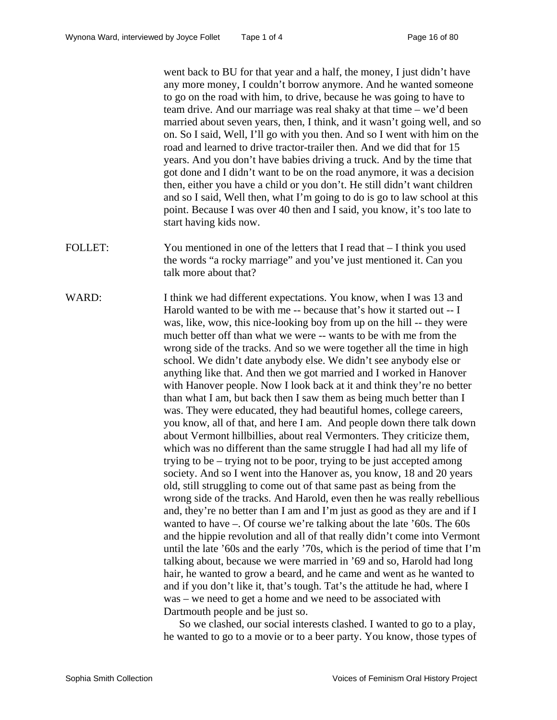went back to BU for that year and a half, the money, I just didn't have any more money, I couldn't borrow anymore. And he wanted someone to go on the road with him, to drive, because he was going to have to team drive. And our marriage was real shaky at that time – we'd been married about seven years, then, I think, and it wasn't going well, and so on. So I said, Well, I'll go with you then. And so I went with him on the road and learned to drive tractor-trailer then. And we did that for 15 years. And you don't have babies driving a truck. And by the time that got done and I didn't want to be on the road anymore, it was a decision then, either you have a child or you don't. He still didn't want children and so I said, Well then, what I'm going to do is go to law school at this point. Because I was over 40 then and I said, you know, it's too late to start having kids now.

- FOLLET: You mentioned in one of the letters that I read that  $-$  I think you used the words "a rocky marriage" and you've just mentioned it. Can you talk more about that?
- WARD: I think we had different expectations. You know, when I was 13 and Harold wanted to be with me -- because that's how it started out -- I was, like, wow, this nice-looking boy from up on the hill -- they were much better off than what we were -- wants to be with me from the wrong side of the tracks. And so we were together all the time in high school. We didn't date anybody else. We didn't see anybody else or anything like that. And then we got married and I worked in Hanover with Hanover people. Now I look back at it and think they're no better than what I am, but back then I saw them as being much better than I was. They were educated, they had beautiful homes, college careers, you know, all of that, and here I am. And people down there talk down about Vermont hillbillies, about real Vermonters. They criticize them, which was no different than the same struggle I had had all my life of trying to be – trying not to be poor, trying to be just accepted among society. And so I went into the Hanover as, you know, 18 and 20 years old, still struggling to come out of that same past as being from the wrong side of the tracks. And Harold, even then he was really rebellious and, they're no better than I am and I'm just as good as they are and if I wanted to have –. Of course we're talking about the late '60s. The 60s and the hippie revolution and all of that really didn't come into Vermont until the late '60s and the early '70s, which is the period of time that I'm talking about, because we were married in '69 and so, Harold had long hair, he wanted to grow a beard, and he came and went as he wanted to and if you don't like it, that's tough. Tat's the attitude he had, where I was – we need to get a home and we need to be associated with Dartmouth people and be just so.

So we clashed, our social interests clashed. I wanted to go to a play, he wanted to go to a movie or to a beer party. You know, those types of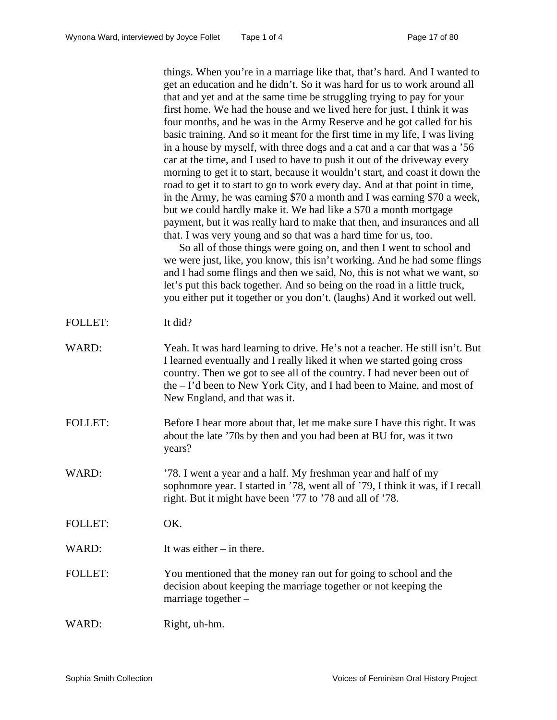things. When you're in a marriage like that, that's hard. And I wanted to get an education and he didn't. So it was hard for us to work around all that and yet and at the same time be struggling trying to pay for your first home. We had the house and we lived here for just, I think it was four months, and he was in the Army Reserve and he got called for his basic training. And so it meant for the first time in my life, I was living in a house by myself, with three dogs and a cat and a car that was a '56 car at the time, and I used to have to push it out of the driveway every morning to get it to start, because it wouldn't start, and coast it down the road to get it to start to go to work every day. And at that point in time, in the Army, he was earning \$70 a month and I was earning \$70 a week, but we could hardly make it. We had like a \$70 a month mortgage payment, but it was really hard to make that then, and insurances and all that. I was very young and so that was a hard time for us, too.

So all of those things were going on, and then I went to school and we were just, like, you know, this isn't working. And he had some flings and I had some flings and then we said, No, this is not what we want, so let's put this back together. And so being on the road in a little truck, you either put it together or you don't. (laughs) And it worked out well.

| <b>FOLLET:</b> | It did? |
|----------------|---------|
|----------------|---------|

| WARD: | Yeah. It was hard learning to drive. He's not a teacher. He still isn't. But |
|-------|------------------------------------------------------------------------------|
|       | I learned eventually and I really liked it when we started going cross       |
|       | country. Then we got to see all of the country. I had never been out of      |
|       | the $-$ I'd been to New York City, and I had been to Maine, and most of      |
|       | New England, and that was it.                                                |

- FOLLET: Before I hear more about that, let me make sure I have this right. It was about the late '70s by then and you had been at BU for, was it two years?
- WARD:  $\frac{78. \text{ I went a year and a half. My freshman year and half of my}}{28. \text{ I went a year and a half.}}$ sophomore year. I started in '78, went all of '79, I think it was, if I recall right. But it might have been '77 to '78 and all of '78.

FOLLET: OK.

- WARD: It was either in there.
- FOLLET: You mentioned that the money ran out for going to school and the decision about keeping the marriage together or not keeping the marriage together –
- WARD: Right, uh-hm.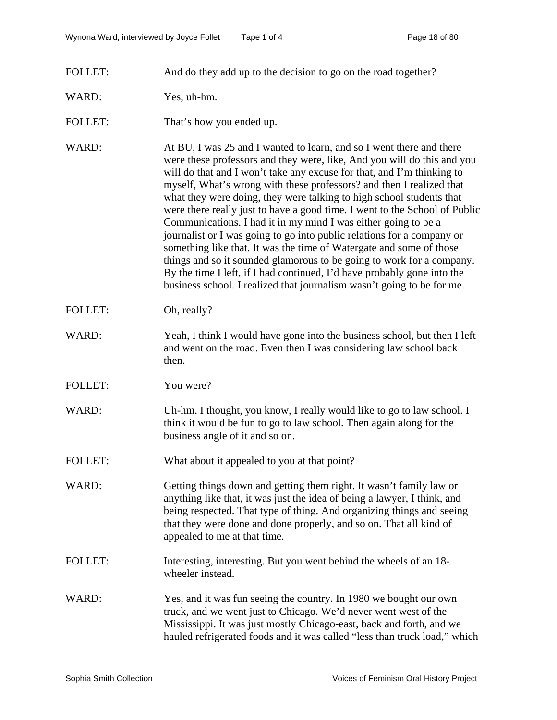FOLLET: And do they add up to the decision to go on the road together?

## WARD: Yes, uh-hm.

- FOLLET: That's how you ended up.
- WARD: At BU, I was 25 and I wanted to learn, and so I went there and there were these professors and they were, like, And you will do this and you will do that and I won't take any excuse for that, and I'm thinking to myself, What's wrong with these professors? and then I realized that what they were doing, they were talking to high school students that were there really just to have a good time. I went to the School of Public Communications. I had it in my mind I was either going to be a journalist or I was going to go into public relations for a company or something like that. It was the time of Watergate and some of those things and so it sounded glamorous to be going to work for a company. By the time I left, if I had continued, I'd have probably gone into the business school. I realized that journalism wasn't going to be for me.
- FOLLET: Oh, really?
- WARD: Yeah, I think I would have gone into the business school, but then I left and went on the road. Even then I was considering law school back then.
- FOLLET: You were?
- WARD: Uh-hm. I thought, you know, I really would like to go to law school. I think it would be fun to go to law school. Then again along for the business angle of it and so on.
- FOLLET: What about it appealed to you at that point?
- WARD: Getting things down and getting them right. It wasn't family law or anything like that, it was just the idea of being a lawyer, I think, and being respected. That type of thing. And organizing things and seeing that they were done and done properly, and so on. That all kind of appealed to me at that time.
- FOLLET: Interesting, interesting. But you went behind the wheels of an 18wheeler instead.
- WARD: Yes, and it was fun seeing the country. In 1980 we bought our own truck, and we went just to Chicago. We'd never went west of the Mississippi. It was just mostly Chicago-east, back and forth, and we hauled refrigerated foods and it was called "less than truck load," which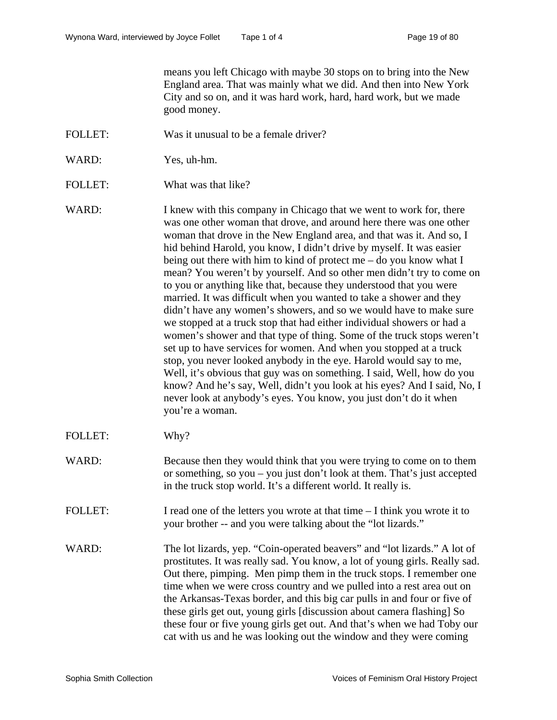means you left Chicago with maybe 30 stops on to bring into the New England area. That was mainly what we did. And then into New York City and so on, and it was hard work, hard, hard work, but we made good money.

- FOLLET: Was it unusual to be a female driver?
- WARD: Yes, uh-hm.
- FOLLET: What was that like?
- WARD: I knew with this company in Chicago that we went to work for, there was one other woman that drove, and around here there was one other woman that drove in the New England area, and that was it. And so, I hid behind Harold, you know, I didn't drive by myself. It was easier being out there with him to kind of protect me – do you know what I mean? You weren't by yourself. And so other men didn't try to come on to you or anything like that, because they understood that you were married. It was difficult when you wanted to take a shower and they didn't have any women's showers, and so we would have to make sure we stopped at a truck stop that had either individual showers or had a women's shower and that type of thing. Some of the truck stops weren't set up to have services for women. And when you stopped at a truck stop, you never looked anybody in the eye. Harold would say to me, Well, it's obvious that guy was on something. I said, Well, how do you know? And he's say, Well, didn't you look at his eyes? And I said, No, I never look at anybody's eyes. You know, you just don't do it when you're a woman.
- FOLLET: Why?
- WARD: Because then they would think that you were trying to come on to them or something, so you – you just don't look at them. That's just accepted in the truck stop world. It's a different world. It really is.
- FOLLET: I read one of the letters you wrote at that time I think you wrote it to your brother -- and you were talking about the "lot lizards."
- WARD: The lot lizards, yep. "Coin-operated beavers" and "lot lizards." A lot of prostitutes. It was really sad. You know, a lot of young girls. Really sad. Out there, pimping. Men pimp them in the truck stops. I remember one time when we were cross country and we pulled into a rest area out on the Arkansas-Texas border, and this big car pulls in and four or five of these girls get out, young girls [discussion about camera flashing] So these four or five young girls get out. And that's when we had Toby our cat with us and he was looking out the window and they were coming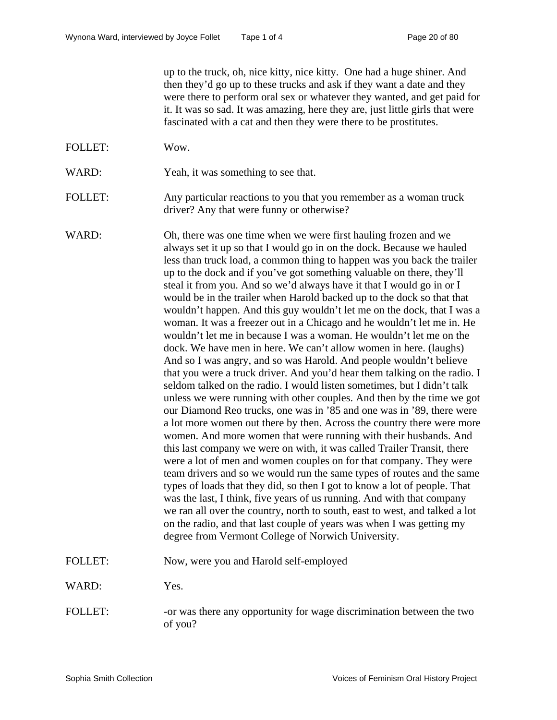up to the truck, oh, nice kitty, nice kitty. One had a huge shiner. And then they'd go up to these trucks and ask if they want a date and they were there to perform oral sex or whatever they wanted, and get paid for it. It was so sad. It was amazing, here they are, just little girls that were fascinated with a cat and then they were there to be prostitutes.

FOLLET: Wow.

WARD: Yeah, it was something to see that.

FOLLET: Any particular reactions to you that you remember as a woman truck driver? Any that were funny or otherwise?

WARD: Oh, there was one time when we were first hauling frozen and we always set it up so that I would go in on the dock. Because we hauled less than truck load, a common thing to happen was you back the trailer up to the dock and if you've got something valuable on there, they'll steal it from you. And so we'd always have it that I would go in or I would be in the trailer when Harold backed up to the dock so that that wouldn't happen. And this guy wouldn't let me on the dock, that I was a woman. It was a freezer out in a Chicago and he wouldn't let me in. He wouldn't let me in because I was a woman. He wouldn't let me on the dock. We have men in here. We can't allow women in here. (laughs) And so I was angry, and so was Harold. And people wouldn't believe that you were a truck driver. And you'd hear them talking on the radio. I seldom talked on the radio. I would listen sometimes, but I didn't talk unless we were running with other couples. And then by the time we got our Diamond Reo trucks, one was in '85 and one was in '89, there were a lot more women out there by then. Across the country there were more women. And more women that were running with their husbands. And this last company we were on with, it was called Trailer Transit, there were a lot of men and women couples on for that company. They were team drivers and so we would run the same types of routes and the same types of loads that they did, so then I got to know a lot of people. That was the last, I think, five years of us running. And with that company we ran all over the country, north to south, east to west, and talked a lot on the radio, and that last couple of years was when I was getting my degree from Vermont College of Norwich University.

FOLLET: Now, were you and Harold self-employed

WARD: Yes.

FOLLET: -or was there any opportunity for wage discrimination between the two of you?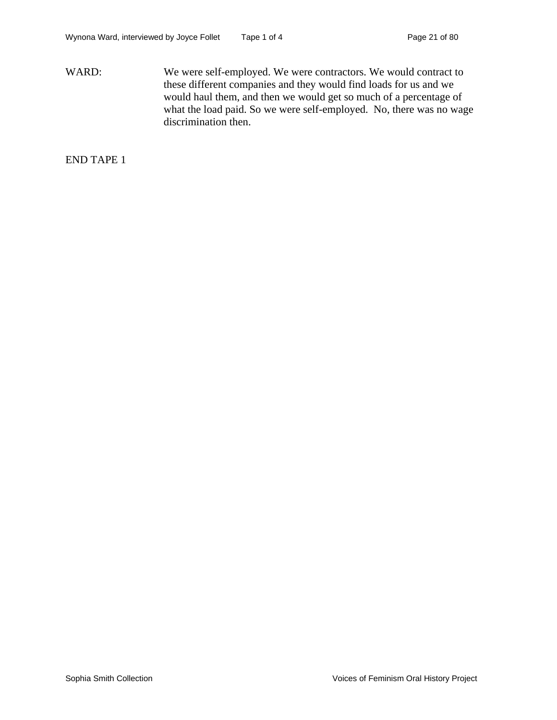WARD: We were self-employed. We were contractors. We would contract to these different companies and they would find loads for us and we would haul them, and then we would get so much of a percentage of what the load paid. So we were self-employed. No, there was no wage discrimination then.

END TAPE 1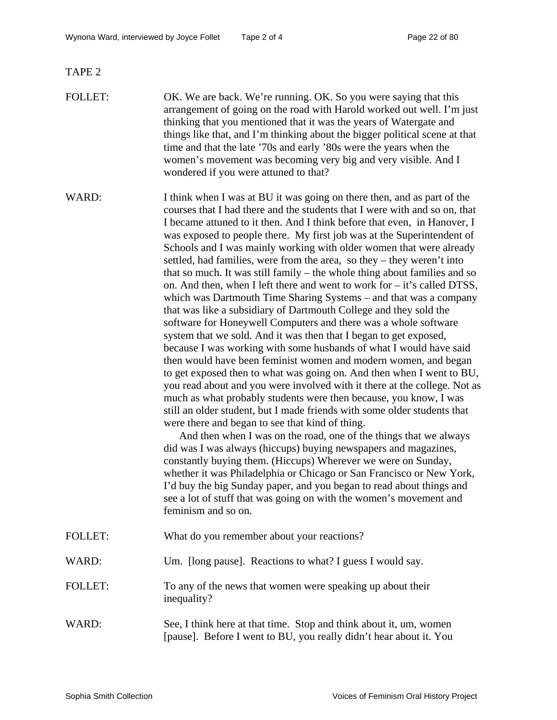TAPE 2

- FOLLET: OK. We are back. We're running. OK. So you were saying that this arrangement of going on the road with Harold worked out well. I'm just thinking that you mentioned that it was the years of Watergate and things like that, and I'm thinking about the bigger political scene at that time and that the late '70s and early '80s were the years when the women's movement was becoming very big and very visible. And I wondered if you were attuned to that?
- WARD: I think when I was at BU it was going on there then, and as part of the courses that I had there and the students that I were with and so on, that I became attuned to it then. And I think before that even, in Hanover, I was exposed to people there. My first job was at the Superintendent of Schools and I was mainly working with older women that were already settled, had families, were from the area, so they – they weren't into that so much. It was still family – the whole thing about families and so on. And then, when I left there and went to work for – it's called DTSS, which was Dartmouth Time Sharing Systems – and that was a company that was like a subsidiary of Dartmouth College and they sold the software for Honeywell Computers and there was a whole software system that we sold. And it was then that I began to get exposed, because I was working with some husbands of what I would have said then would have been feminist women and modern women, and began to get exposed then to what was going on. And then when I went to BU, you read about and you were involved with it there at the college. Not as much as what probably students were then because, you know, I was still an older student, but I made friends with some older students that were there and began to see that kind of thing.

And then when I was on the road, one of the things that we always did was I was always (hiccups) buying newspapers and magazines, constantly buying them. (Hiccups) Wherever we were on Sunday, whether it was Philadelphia or Chicago or San Francisco or New York, I'd buy the big Sunday paper, and you began to read about things and see a lot of stuff that was going on with the women's movement and feminism and so on.

- FOLLET: What do you remember about your reactions?
- WARD: Um. [long pause]. Reactions to what? I guess I would say.
- FOLLET: To any of the news that women were speaking up about their inequality?

# WARD: See, I think here at that time. Stop and think about it, um, women [pause]. Before I went to BU, you really didn't hear about it. You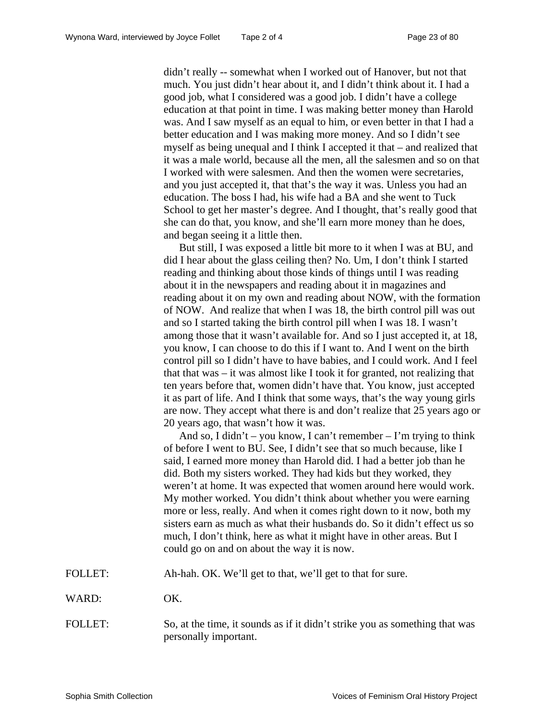didn't really -- somewhat when I worked out of Hanover, but not that much. You just didn't hear about it, and I didn't think about it. I had a good job, what I considered was a good job. I didn't have a college education at that point in time. I was making better money than Harold was. And I saw myself as an equal to him, or even better in that I had a better education and I was making more money. And so I didn't see myself as being unequal and I think I accepted it that – and realized that it was a male world, because all the men, all the salesmen and so on that I worked with were salesmen. And then the women were secretaries, and you just accepted it, that that's the way it was. Unless you had an education. The boss I had, his wife had a BA and she went to Tuck School to get her master's degree. And I thought, that's really good that she can do that, you know, and she'll earn more money than he does, and began seeing it a little then.

But still, I was exposed a little bit more to it when I was at BU, and did I hear about the glass ceiling then? No. Um, I don't think I started reading and thinking about those kinds of things until I was reading about it in the newspapers and reading about it in magazines and reading about it on my own and reading about NOW, with the formation of NOW. And realize that when I was 18, the birth control pill was out and so I started taking the birth control pill when I was 18. I wasn't among those that it wasn't available for. And so I just accepted it, at 18, you know, I can choose to do this if I want to. And I went on the birth control pill so I didn't have to have babies, and I could work. And I feel that that was – it was almost like I took it for granted, not realizing that ten years before that, women didn't have that. You know, just accepted it as part of life. And I think that some ways, that's the way young girls are now. They accept what there is and don't realize that 25 years ago or 20 years ago, that wasn't how it was.

And so, I didn't – you know, I can't remember – I'm trying to think of before I went to BU. See, I didn't see that so much because, like I said, I earned more money than Harold did. I had a better job than he did. Both my sisters worked. They had kids but they worked, they weren't at home. It was expected that women around here would work. My mother worked. You didn't think about whether you were earning more or less, really. And when it comes right down to it now, both my sisters earn as much as what their husbands do. So it didn't effect us so much, I don't think, here as what it might have in other areas. But I could go on and on about the way it is now.

FOLLET: Ah-hah. OK. We'll get to that, we'll get to that for sure.

WARD: OK.

FOLLET: So, at the time, it sounds as if it didn't strike you as something that was personally important.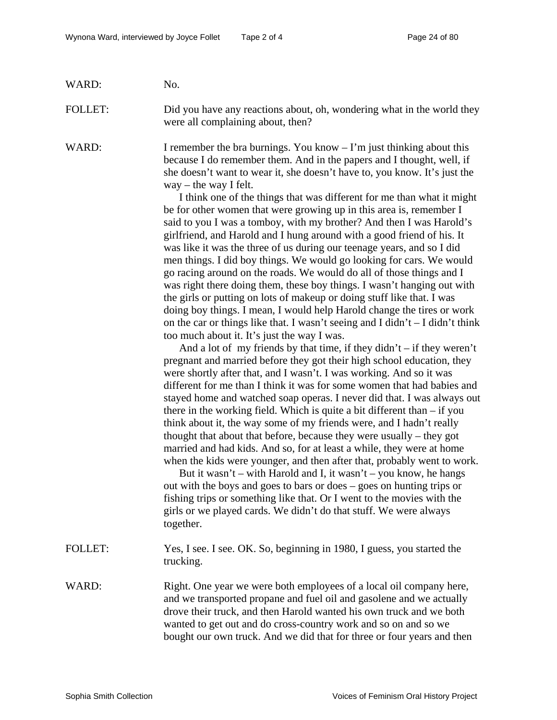| WARD: | No. |
|-------|-----|
|-------|-----|

FOLLET: Did you have any reactions about, oh, wondering what in the world they were all complaining about, then?

WARD: I remember the bra burnings. You know  $-I'm$  just thinking about this because I do remember them. And in the papers and I thought, well, if she doesn't want to wear it, she doesn't have to, you know. It's just the  $way - the way I felt.$ 

> I think one of the things that was different for me than what it might be for other women that were growing up in this area is, remember I said to you I was a tomboy, with my brother? And then I was Harold's girlfriend, and Harold and I hung around with a good friend of his. It was like it was the three of us during our teenage years, and so I did men things. I did boy things. We would go looking for cars. We would go racing around on the roads. We would do all of those things and I was right there doing them, these boy things. I wasn't hanging out with the girls or putting on lots of makeup or doing stuff like that. I was doing boy things. I mean, I would help Harold change the tires or work on the car or things like that. I wasn't seeing and I didn't  $-$  I didn't think too much about it. It's just the way I was.

> And a lot of my friends by that time, if they didn't – if they weren't pregnant and married before they got their high school education, they were shortly after that, and I wasn't. I was working. And so it was different for me than I think it was for some women that had babies and stayed home and watched soap operas. I never did that. I was always out there in the working field. Which is quite a bit different than – if you think about it, the way some of my friends were, and I hadn't really thought that about that before, because they were usually – they got married and had kids. And so, for at least a while, they were at home when the kids were younger, and then after that, probably went to work.

But it wasn't – with Harold and I, it wasn't – you know, he hangs out with the boys and goes to bars or does – goes on hunting trips or fishing trips or something like that. Or I went to the movies with the girls or we played cards. We didn't do that stuff. We were always together.

FOLLET: Yes, I see. I see. OK. So, beginning in 1980, I guess, you started the trucking.

# WARD: Right. One year we were both employees of a local oil company here, and we transported propane and fuel oil and gasolene and we actually drove their truck, and then Harold wanted his own truck and we both wanted to get out and do cross-country work and so on and so we bought our own truck. And we did that for three or four years and then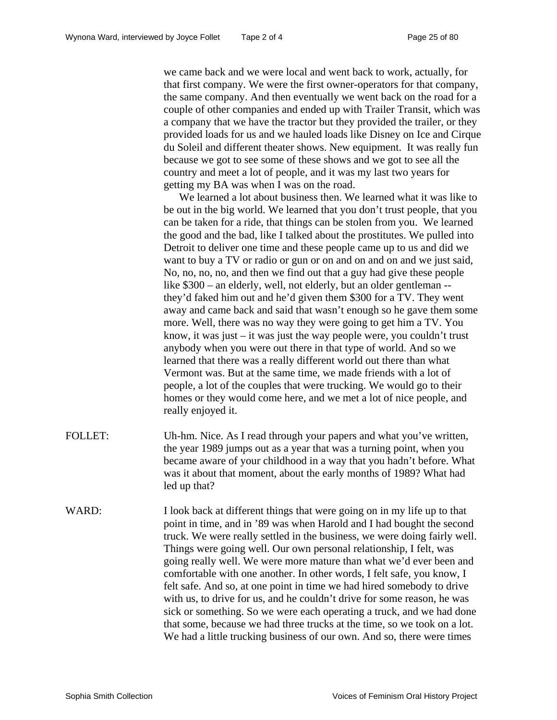we came back and we were local and went back to work, actually, for that first company. We were the first owner-operators for that company, the same company. And then eventually we went back on the road for a couple of other companies and ended up with Trailer Transit, which was a company that we have the tractor but they provided the trailer, or they provided loads for us and we hauled loads like Disney on Ice and Cirque du Soleil and different theater shows. New equipment. It was really fun because we got to see some of these shows and we got to see all the country and meet a lot of people, and it was my last two years for getting my BA was when I was on the road.

We learned a lot about business then. We learned what it was like to be out in the big world. We learned that you don't trust people, that you can be taken for a ride, that things can be stolen from you. We learned the good and the bad, like I talked about the prostitutes. We pulled into Detroit to deliver one time and these people came up to us and did we want to buy a TV or radio or gun or on and on and on and we just said, No, no, no, no, and then we find out that a guy had give these people like \$300 – an elderly, well, not elderly, but an older gentleman -they'd faked him out and he'd given them \$300 for a TV. They went away and came back and said that wasn't enough so he gave them some more. Well, there was no way they were going to get him a TV. You know, it was just  $-$  it was just the way people were, you couldn't trust anybody when you were out there in that type of world. And so we learned that there was a really different world out there than what Vermont was. But at the same time, we made friends with a lot of people, a lot of the couples that were trucking. We would go to their homes or they would come here, and we met a lot of nice people, and really enjoyed it.

- FOLLET: Uh-hm. Nice. As I read through your papers and what you've written, the year 1989 jumps out as a year that was a turning point, when you became aware of your childhood in a way that you hadn't before. What was it about that moment, about the early months of 1989? What had led up that?
- WARD: I look back at different things that were going on in my life up to that point in time, and in '89 was when Harold and I had bought the second truck. We were really settled in the business, we were doing fairly well. Things were going well. Our own personal relationship, I felt, was going really well. We were more mature than what we'd ever been and comfortable with one another. In other words, I felt safe, you know, I felt safe. And so, at one point in time we had hired somebody to drive with us, to drive for us, and he couldn't drive for some reason, he was sick or something. So we were each operating a truck, and we had done that some, because we had three trucks at the time, so we took on a lot. We had a little trucking business of our own. And so, there were times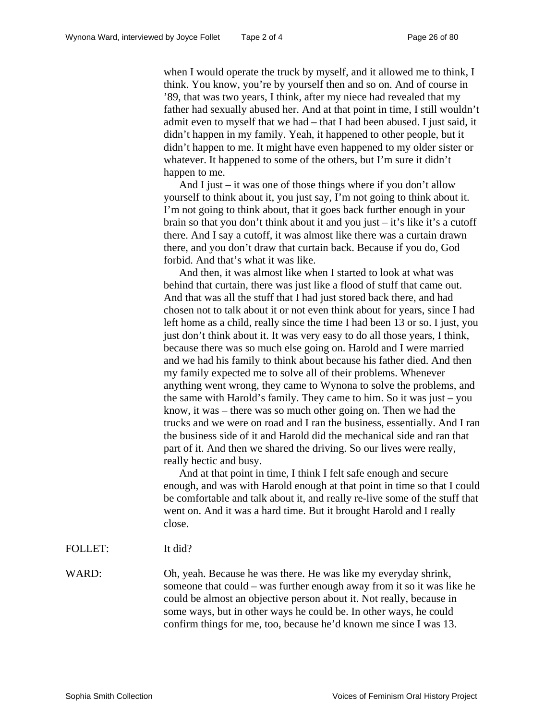when I would operate the truck by myself, and it allowed me to think, I think. You know, you're by yourself then and so on. And of course in '89, that was two years, I think, after my niece had revealed that my father had sexually abused her. And at that point in time, I still wouldn't admit even to myself that we had – that I had been abused. I just said, it didn't happen in my family. Yeah, it happened to other people, but it didn't happen to me. It might have even happened to my older sister or whatever. It happened to some of the others, but I'm sure it didn't happen to me.

And I just – it was one of those things where if you don't allow yourself to think about it, you just say, I'm not going to think about it. I'm not going to think about, that it goes back further enough in your brain so that you don't think about it and you just – it's like it's a cutoff there. And I say a cutoff, it was almost like there was a curtain drawn there, and you don't draw that curtain back. Because if you do, God forbid. And that's what it was like.

And then, it was almost like when I started to look at what was behind that curtain, there was just like a flood of stuff that came out. And that was all the stuff that I had just stored back there, and had chosen not to talk about it or not even think about for years, since I had left home as a child, really since the time I had been 13 or so. I just, you just don't think about it. It was very easy to do all those years, I think, because there was so much else going on. Harold and I were married and we had his family to think about because his father died. And then my family expected me to solve all of their problems. Whenever anything went wrong, they came to Wynona to solve the problems, and the same with Harold's family. They came to him. So it was just – you know, it was – there was so much other going on. Then we had the trucks and we were on road and I ran the business, essentially. And I ran the business side of it and Harold did the mechanical side and ran that part of it. And then we shared the driving. So our lives were really, really hectic and busy.

And at that point in time, I think I felt safe enough and secure enough, and was with Harold enough at that point in time so that I could be comfortable and talk about it, and really re-live some of the stuff that went on. And it was a hard time. But it brought Harold and I really close.

FOLLET: It did?

WARD: Oh, yeah. Because he was there. He was like my everyday shrink, someone that could – was further enough away from it so it was like he could be almost an objective person about it. Not really, because in some ways, but in other ways he could be. In other ways, he could confirm things for me, too, because he'd known me since I was 13.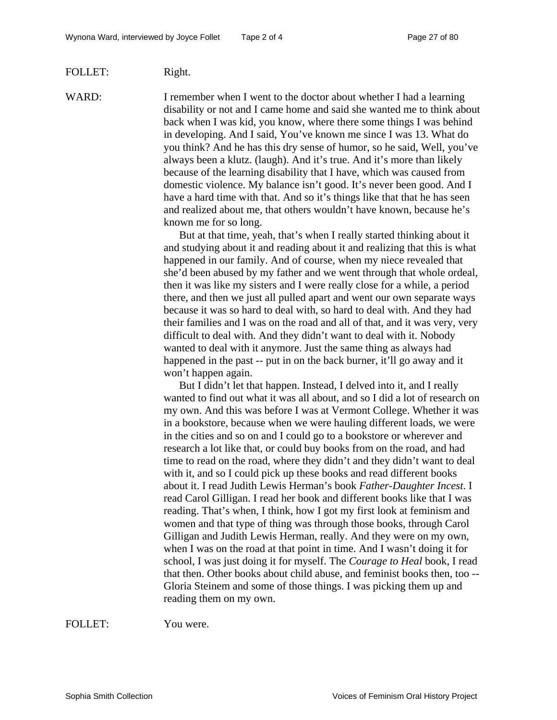#### FOLLET: Right.

WARD: I remember when I went to the doctor about whether I had a learning disability or not and I came home and said she wanted me to think about back when I was kid, you know, where there some things I was behind in developing. And I said, You've known me since I was 13. What do you think? And he has this dry sense of humor, so he said, Well, you've always been a klutz. (laugh). And it's true. And it's more than likely because of the learning disability that I have, which was caused from domestic violence. My balance isn't good. It's never been good. And I have a hard time with that. And so it's things like that that he has seen and realized about me, that others wouldn't have known, because he's known me for so long.

> But at that time, yeah, that's when I really started thinking about it and studying about it and reading about it and realizing that this is what happened in our family. And of course, when my niece revealed that she'd been abused by my father and we went through that whole ordeal, then it was like my sisters and I were really close for a while, a period there, and then we just all pulled apart and went our own separate ways because it was so hard to deal with, so hard to deal with. And they had their families and I was on the road and all of that, and it was very, very difficult to deal with. And they didn't want to deal with it. Nobody wanted to deal with it anymore. Just the same thing as always had happened in the past -- put in on the back burner, it'll go away and it won't happen again.

> But I didn't let that happen. Instead, I delved into it, and I really wanted to find out what it was all about, and so I did a lot of research on my own. And this was before I was at Vermont College. Whether it was in a bookstore, because when we were hauling different loads, we were in the cities and so on and I could go to a bookstore or wherever and research a lot like that, or could buy books from on the road, and had time to read on the road, where they didn't and they didn't want to deal with it, and so I could pick up these books and read different books about it. I read Judith Lewis Herman's book *Father-Daughter Incest*. I read Carol Gilligan. I read her book and different books like that I was reading. That's when, I think, how I got my first look at feminism and women and that type of thing was through those books, through Carol Gilligan and Judith Lewis Herman, really. And they were on my own, when I was on the road at that point in time. And I wasn't doing it for school, I was just doing it for myself. The *Courage to Heal* book, I read that then. Other books about child abuse, and feminist books then, too -- Gloria Steinem and some of those things. I was picking them up and reading them on my own.

FOLLET: You were.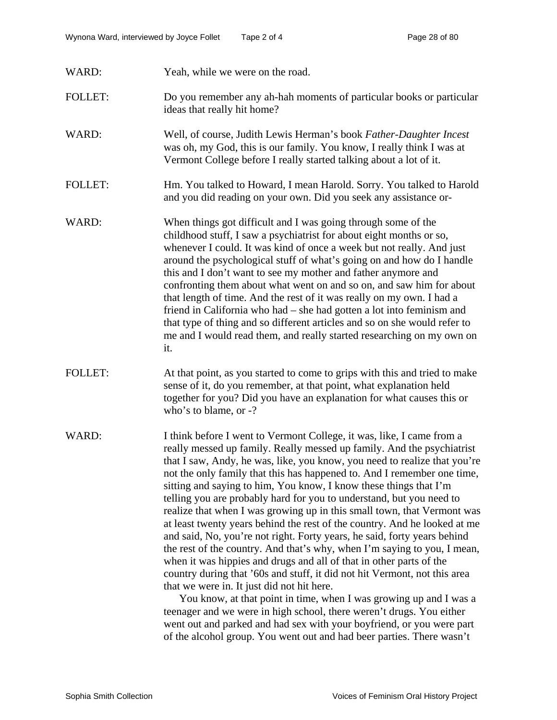- WARD: Yeah, while we were on the road.
- FOLLET: Do you remember any ah-hah moments of particular books or particular ideas that really hit home?
- WARD: Well, of course, Judith Lewis Herman's book *Father-Daughter Incest* was oh, my God, this is our family. You know, I really think I was at Vermont College before I really started talking about a lot of it.
- FOLLET: Hm. You talked to Howard, I mean Harold. Sorry. You talked to Harold and you did reading on your own. Did you seek any assistance or-
- WARD: When things got difficult and I was going through some of the childhood stuff, I saw a psychiatrist for about eight months or so, whenever I could. It was kind of once a week but not really. And just around the psychological stuff of what's going on and how do I handle this and I don't want to see my mother and father anymore and confronting them about what went on and so on, and saw him for about that length of time. And the rest of it was really on my own. I had a friend in California who had – she had gotten a lot into feminism and that type of thing and so different articles and so on she would refer to me and I would read them, and really started researching on my own on it.
- FOLLET: At that point, as you started to come to grips with this and tried to make sense of it, do you remember, at that point, what explanation held together for you? Did you have an explanation for what causes this or who's to blame, or -?
- WARD: I think before I went to Vermont College, it was, like, I came from a really messed up family. Really messed up family. And the psychiatrist that I saw, Andy, he was, like, you know, you need to realize that you're not the only family that this has happened to. And I remember one time, sitting and saying to him, You know, I know these things that I'm telling you are probably hard for you to understand, but you need to realize that when I was growing up in this small town, that Vermont was at least twenty years behind the rest of the country. And he looked at me and said, No, you're not right. Forty years, he said, forty years behind the rest of the country. And that's why, when I'm saying to you, I mean, when it was hippies and drugs and all of that in other parts of the country during that '60s and stuff, it did not hit Vermont, not this area that we were in. It just did not hit here.

You know, at that point in time, when I was growing up and I was a teenager and we were in high school, there weren't drugs. You either went out and parked and had sex with your boyfriend, or you were part of the alcohol group. You went out and had beer parties. There wasn't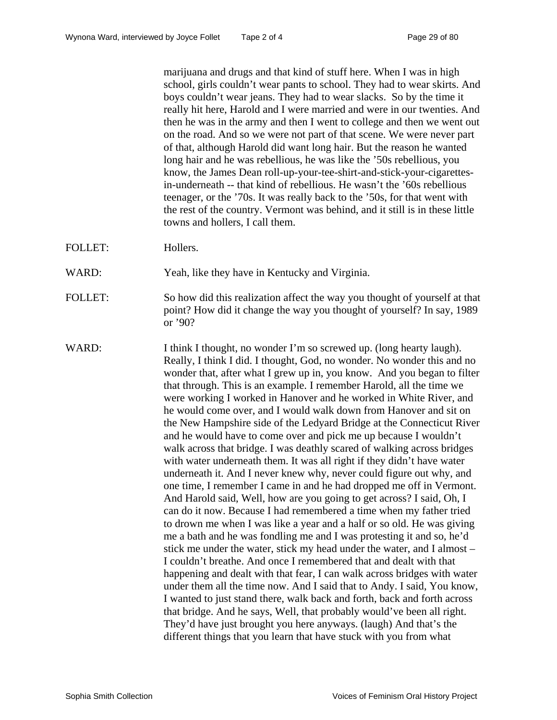marijuana and drugs and that kind of stuff here. When I was in high school, girls couldn't wear pants to school. They had to wear skirts. And boys couldn't wear jeans. They had to wear slacks. So by the time it really hit here, Harold and I were married and were in our twenties. And then he was in the army and then I went to college and then we went out on the road. And so we were not part of that scene. We were never part of that, although Harold did want long hair. But the reason he wanted long hair and he was rebellious, he was like the '50s rebellious, you know, the James Dean roll-up-your-tee-shirt-and-stick-your-cigarettesin-underneath -- that kind of rebellious. He wasn't the '60s rebellious teenager, or the '70s. It was really back to the '50s, for that went with the rest of the country. Vermont was behind, and it still is in these little towns and hollers, I call them.

- FOLLET: Hollers.
- WARD: Yeah, like they have in Kentucky and Virginia.
- FOLLET: So how did this realization affect the way you thought of yourself at that point? How did it change the way you thought of yourself? In say, 1989 or '90?
- WARD: I think I thought, no wonder I'm so screwed up. (long hearty laugh). Really, I think I did. I thought, God, no wonder. No wonder this and no wonder that, after what I grew up in, you know. And you began to filter that through. This is an example. I remember Harold, all the time we were working I worked in Hanover and he worked in White River, and he would come over, and I would walk down from Hanover and sit on the New Hampshire side of the Ledyard Bridge at the Connecticut River and he would have to come over and pick me up because I wouldn't walk across that bridge. I was deathly scared of walking across bridges with water underneath them. It was all right if they didn't have water underneath it. And I never knew why, never could figure out why, and one time, I remember I came in and he had dropped me off in Vermont. And Harold said, Well, how are you going to get across? I said, Oh, I can do it now. Because I had remembered a time when my father tried to drown me when I was like a year and a half or so old. He was giving me a bath and he was fondling me and I was protesting it and so, he'd stick me under the water, stick my head under the water, and I almost – I couldn't breathe. And once I remembered that and dealt with that happening and dealt with that fear, I can walk across bridges with water under them all the time now. And I said that to Andy. I said, You know, I wanted to just stand there, walk back and forth, back and forth across that bridge. And he says, Well, that probably would've been all right. They'd have just brought you here anyways. (laugh) And that's the different things that you learn that have stuck with you from what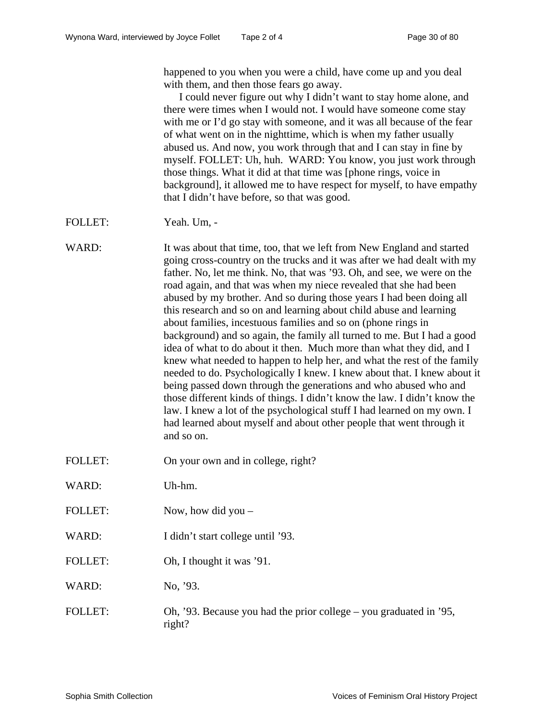happened to you when you were a child, have come up and you deal with them, and then those fears go away.

I could never figure out why I didn't want to stay home alone, and there were times when I would not. I would have someone come stay with me or I'd go stay with someone, and it was all because of the fear of what went on in the nighttime, which is when my father usually abused us. And now, you work through that and I can stay in fine by myself. FOLLET: Uh, huh. WARD: You know, you just work through those things. What it did at that time was [phone rings, voice in background], it allowed me to have respect for myself, to have empathy that I didn't have before, so that was good.

## FOLLET: Yeah. Um, -

WARD: It was about that time, too, that we left from New England and started going cross-country on the trucks and it was after we had dealt with my father. No, let me think. No, that was '93. Oh, and see, we were on the road again, and that was when my niece revealed that she had been abused by my brother. And so during those years I had been doing all this research and so on and learning about child abuse and learning about families, incestuous families and so on (phone rings in background) and so again, the family all turned to me. But I had a good idea of what to do about it then. Much more than what they did, and I knew what needed to happen to help her, and what the rest of the family needed to do. Psychologically I knew. I knew about that. I knew about it being passed down through the generations and who abused who and those different kinds of things. I didn't know the law. I didn't know the law. I knew a lot of the psychological stuff I had learned on my own. I had learned about myself and about other people that went through it and so on.

- FOLLET: On your own and in college, right?
- WARD: Uh-hm.
- FOLLET: Now, how did you –
- WARD: I didn't start college until '93.
- FOLLET: Oh, I thought it was '91.

WARD: No. '93.

FOLLET: Oh, '93. Because you had the prior college – you graduated in '95, right?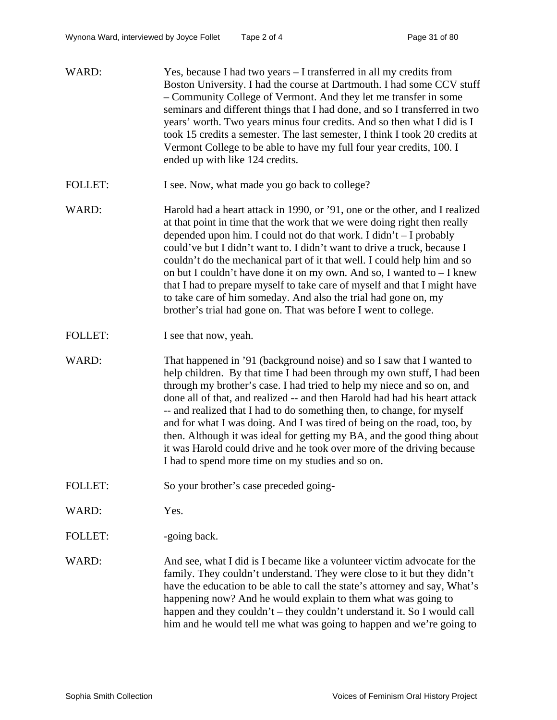| WARD:          | Yes, because I had two years – I transferred in all my credits from<br>Boston University. I had the course at Dartmouth. I had some CCV stuff<br>- Community College of Vermont. And they let me transfer in some<br>seminars and different things that I had done, and so I transferred in two<br>years' worth. Two years minus four credits. And so then what I did is I<br>took 15 credits a semester. The last semester, I think I took 20 credits at<br>Vermont College to be able to have my full four year credits, 100. I<br>ended up with like 124 credits.                                                                                                                  |
|----------------|---------------------------------------------------------------------------------------------------------------------------------------------------------------------------------------------------------------------------------------------------------------------------------------------------------------------------------------------------------------------------------------------------------------------------------------------------------------------------------------------------------------------------------------------------------------------------------------------------------------------------------------------------------------------------------------|
| <b>FOLLET:</b> | I see. Now, what made you go back to college?                                                                                                                                                                                                                                                                                                                                                                                                                                                                                                                                                                                                                                         |
| WARD:          | Harold had a heart attack in 1990, or '91, one or the other, and I realized<br>at that point in time that the work that we were doing right then really<br>depended upon him. I could not do that work. I didn't $-$ I probably<br>could've but I didn't want to. I didn't want to drive a truck, because I<br>couldn't do the mechanical part of it that well. I could help him and so<br>on but I couldn't have done it on my own. And so, I wanted to $-I$ knew<br>that I had to prepare myself to take care of myself and that I might have<br>to take care of him someday. And also the trial had gone on, my<br>brother's trial had gone on. That was before I went to college. |
| <b>FOLLET:</b> | I see that now, yeah.                                                                                                                                                                                                                                                                                                                                                                                                                                                                                                                                                                                                                                                                 |
| WARD:          | That happened in '91 (background noise) and so I saw that I wanted to<br>help children. By that time I had been through my own stuff, I had been<br>through my brother's case. I had tried to help my niece and so on, and<br>done all of that, and realized -- and then Harold had had his heart attack<br>-- and realized that I had to do something then, to change, for myself<br>and for what I was doing. And I was tired of being on the road, too, by<br>then. Although it was ideal for getting my BA, and the good thing about<br>it was Harold could drive and he took over more of the driving because<br>I had to spend more time on my studies and so on.               |
| <b>FOLLET:</b> | So your brother's case preceded going-                                                                                                                                                                                                                                                                                                                                                                                                                                                                                                                                                                                                                                                |
| WARD:          | Yes.                                                                                                                                                                                                                                                                                                                                                                                                                                                                                                                                                                                                                                                                                  |
| <b>FOLLET:</b> | -going back.                                                                                                                                                                                                                                                                                                                                                                                                                                                                                                                                                                                                                                                                          |
| WARD:          | And see, what I did is I became like a volunteer victim advocate for the<br>family. They couldn't understand. They were close to it but they didn't                                                                                                                                                                                                                                                                                                                                                                                                                                                                                                                                   |

have the education to be able to call the state's attorney and say, What's happening now? And he would explain to them what was going to happen and they couldn't – they couldn't understand it. So I would call him and he would tell me what was going to happen and we're going to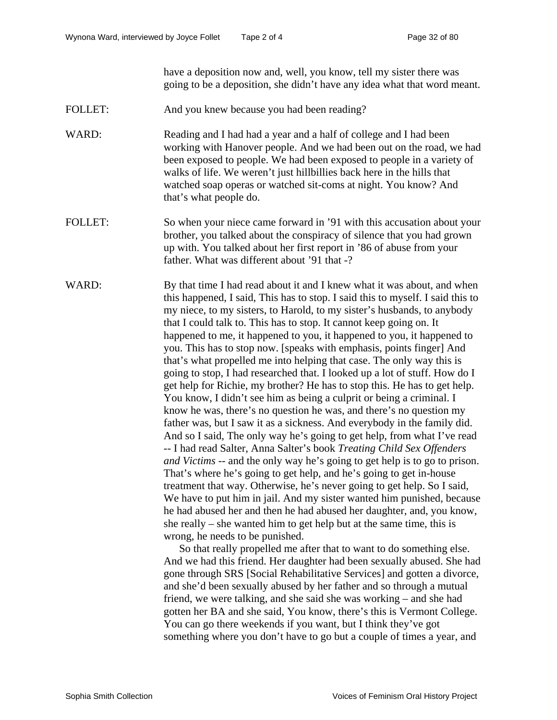have a deposition now and, well, you know, tell my sister there was going to be a deposition, she didn't have any idea what that word meant.

- FOLLET: And you knew because you had been reading?
- WARD: Reading and I had had a year and a half of college and I had been working with Hanover people. And we had been out on the road, we had been exposed to people. We had been exposed to people in a variety of walks of life. We weren't just hillbillies back here in the hills that watched soap operas or watched sit-coms at night. You know? And that's what people do.
- FOLLET: So when your niece came forward in '91 with this accusation about your brother, you talked about the conspiracy of silence that you had grown up with. You talked about her first report in '86 of abuse from your father. What was different about '91 that -?

WARD: By that time I had read about it and I knew what it was about, and when this happened, I said, This has to stop. I said this to myself. I said this to my niece, to my sisters, to Harold, to my sister's husbands, to anybody that I could talk to. This has to stop. It cannot keep going on. It happened to me, it happened to you, it happened to you, it happened to you. This has to stop now. [speaks with emphasis, points finger] And that's what propelled me into helping that case. The only way this is going to stop, I had researched that. I looked up a lot of stuff. How do I get help for Richie, my brother? He has to stop this. He has to get help. You know, I didn't see him as being a culprit or being a criminal. I know he was, there's no question he was, and there's no question my father was, but I saw it as a sickness. And everybody in the family did. And so I said, The only way he's going to get help, from what I've read -- I had read Salter, Anna Salter's book *Treating Child Sex Offenders and Victims* -- and the only way he's going to get help is to go to prison. That's where he's going to get help, and he's going to get in-house treatment that way. Otherwise, he's never going to get help. So I said, We have to put him in jail. And my sister wanted him punished, because he had abused her and then he had abused her daughter, and, you know, she really – she wanted him to get help but at the same time, this is wrong, he needs to be punished.

> So that really propelled me after that to want to do something else. And we had this friend. Her daughter had been sexually abused. She had gone through SRS [Social Rehabilitative Services] and gotten a divorce, and she'd been sexually abused by her father and so through a mutual friend, we were talking, and she said she was working – and she had gotten her BA and she said, You know, there's this is Vermont College. You can go there weekends if you want, but I think they've got something where you don't have to go but a couple of times a year, and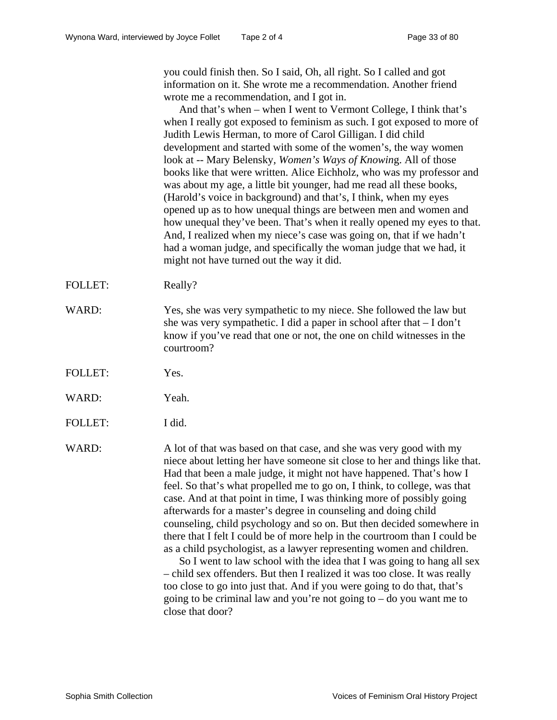you could finish then. So I said, Oh, all right. So I called and got information on it. She wrote me a recommendation. Another friend wrote me a recommendation, and I got in.

And that's when – when I went to Vermont College, I think that's when I really got exposed to feminism as such. I got exposed to more of Judith Lewis Herman, to more of Carol Gilligan. I did child development and started with some of the women's, the way women look at -- Mary Belensky*, Women's Ways of Knowin*g. All of those books like that were written. Alice Eichholz, who was my professor and was about my age, a little bit younger, had me read all these books, (Harold's voice in background) and that's, I think, when my eyes opened up as to how unequal things are between men and women and how unequal they've been. That's when it really opened my eyes to that. And, I realized when my niece's case was going on, that if we hadn't had a woman judge, and specifically the woman judge that we had, it might not have turned out the way it did.

- FOLLET: Really?
- WARD: Yes, she was very sympathetic to my niece. She followed the law but she was very sympathetic. I did a paper in school after that  $-I$  don't know if you've read that one or not, the one on child witnesses in the courtroom?
- FOLLET: Yes.
- WARD: Yeah.
- FOLLET: I did.

WARD: A lot of that was based on that case, and she was very good with my niece about letting her have someone sit close to her and things like that. Had that been a male judge, it might not have happened. That's how I feel. So that's what propelled me to go on, I think, to college, was that case. And at that point in time, I was thinking more of possibly going afterwards for a master's degree in counseling and doing child counseling, child psychology and so on. But then decided somewhere in there that I felt I could be of more help in the courtroom than I could be as a child psychologist, as a lawyer representing women and children.

So I went to law school with the idea that I was going to hang all sex – child sex offenders. But then I realized it was too close. It was really too close to go into just that. And if you were going to do that, that's going to be criminal law and you're not going to  $-$  do you want me to close that door?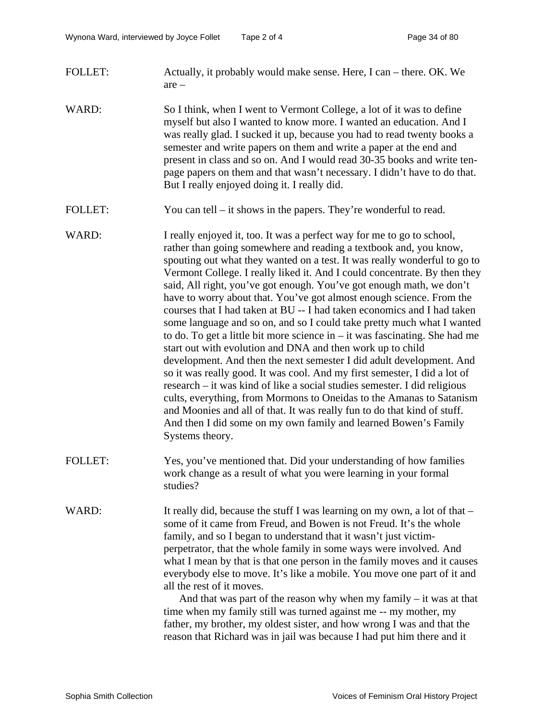- FOLLET: Actually, it probably would make sense. Here, I can there. OK. We are –
- WARD: So I think, when I went to Vermont College, a lot of it was to define myself but also I wanted to know more. I wanted an education. And I was really glad. I sucked it up, because you had to read twenty books a semester and write papers on them and write a paper at the end and present in class and so on. And I would read 30-35 books and write tenpage papers on them and that wasn't necessary. I didn't have to do that. But I really enjoyed doing it. I really did.
- FOLLET: You can tell it shows in the papers. They're wonderful to read.
- WARD: I really enjoyed it, too. It was a perfect way for me to go to school, rather than going somewhere and reading a textbook and, you know, spouting out what they wanted on a test. It was really wonderful to go to Vermont College. I really liked it. And I could concentrate. By then they said, All right, you've got enough. You've got enough math, we don't have to worry about that. You've got almost enough science. From the courses that I had taken at BU -- I had taken economics and I had taken some language and so on, and so I could take pretty much what I wanted to do. To get a little bit more science in – it was fascinating. She had me start out with evolution and DNA and then work up to child development. And then the next semester I did adult development. And so it was really good. It was cool. And my first semester, I did a lot of research – it was kind of like a social studies semester. I did religious cults, everything, from Mormons to Oneidas to the Amanas to Satanism and Moonies and all of that. It was really fun to do that kind of stuff. And then I did some on my own family and learned Bowen's Family Systems theory.
- FOLLET: Yes, you've mentioned that. Did your understanding of how families work change as a result of what you were learning in your formal studies?
- WARD: It really did, because the stuff I was learning on my own, a lot of that some of it came from Freud, and Bowen is not Freud. It's the whole family, and so I began to understand that it wasn't just victimperpetrator, that the whole family in some ways were involved. And what I mean by that is that one person in the family moves and it causes everybody else to move. It's like a mobile. You move one part of it and all the rest of it moves.

And that was part of the reason why when my family – it was at that time when my family still was turned against me -- my mother, my father, my brother, my oldest sister, and how wrong I was and that the reason that Richard was in jail was because I had put him there and it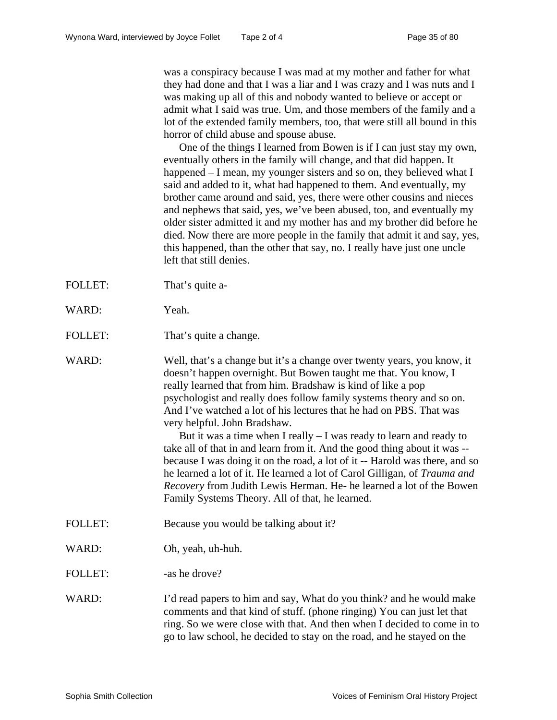was a conspiracy because I was mad at my mother and father for what they had done and that I was a liar and I was crazy and I was nuts and I was making up all of this and nobody wanted to believe or accept or admit what I said was true. Um, and those members of the family and a lot of the extended family members, too, that were still all bound in this horror of child abuse and spouse abuse.

One of the things I learned from Bowen is if I can just stay my own, eventually others in the family will change, and that did happen. It happened – I mean, my younger sisters and so on, they believed what I said and added to it, what had happened to them. And eventually, my brother came around and said, yes, there were other cousins and nieces and nephews that said, yes, we've been abused, too, and eventually my older sister admitted it and my mother has and my brother did before he died. Now there are more people in the family that admit it and say, yes, this happened, than the other that say, no. I really have just one uncle left that still denies.

- FOLLET: That's quite a-
- WARD: Yeah.
- FOLLET: That's quite a change.

WARD: Well, that's a change but it's a change over twenty years, you know, it doesn't happen overnight. But Bowen taught me that. You know, I really learned that from him. Bradshaw is kind of like a pop psychologist and really does follow family systems theory and so on. And I've watched a lot of his lectures that he had on PBS. That was very helpful. John Bradshaw.

> But it was a time when I really  $-$  I was ready to learn and ready to take all of that in and learn from it. And the good thing about it was - because I was doing it on the road, a lot of it -- Harold was there, and so he learned a lot of it. He learned a lot of Carol Gilligan, of *Trauma and Recovery* from Judith Lewis Herman. He- he learned a lot of the Bowen Family Systems Theory. All of that, he learned.

- FOLLET: Because you would be talking about it?
- WARD: Oh, yeah, uh-huh.

FOLLET: -as he drove?

WARD: I'd read papers to him and say, What do you think? and he would make comments and that kind of stuff. (phone ringing) You can just let that ring. So we were close with that. And then when I decided to come in to go to law school, he decided to stay on the road, and he stayed on the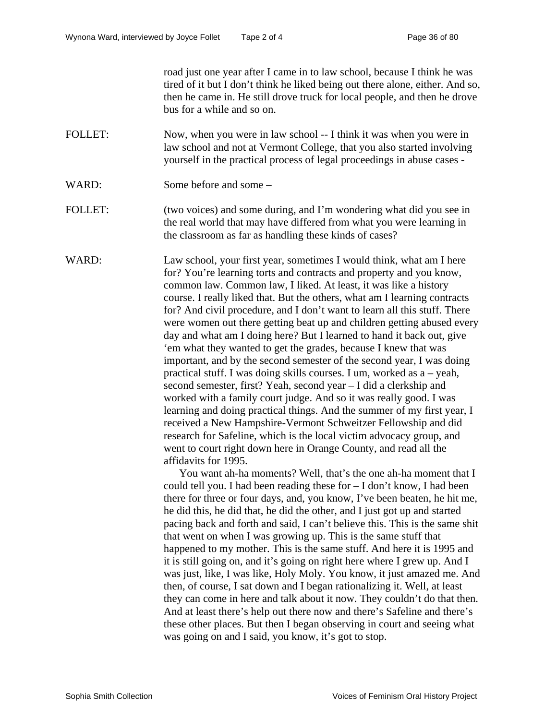road just one year after I came in to law school, because I think he was tired of it but I don't think he liked being out there alone, either. And so, then he came in. He still drove truck for local people, and then he drove bus for a while and so on.

- FOLLET: Now, when you were in law school -- I think it was when you were in law school and not at Vermont College, that you also started involving yourself in the practical process of legal proceedings in abuse cases -
- WARD: Some before and some –
- FOLLET: (two voices) and some during, and I'm wondering what did you see in the real world that may have differed from what you were learning in the classroom as far as handling these kinds of cases?

WARD: Law school, your first year, sometimes I would think, what am I here for? You're learning torts and contracts and property and you know, common law. Common law, I liked. At least, it was like a history course. I really liked that. But the others, what am I learning contracts for? And civil procedure, and I don't want to learn all this stuff. There were women out there getting beat up and children getting abused every day and what am I doing here? But I learned to hand it back out, give 'em what they wanted to get the grades, because I knew that was important, and by the second semester of the second year, I was doing practical stuff. I was doing skills courses. I um, worked as a – yeah, second semester, first? Yeah, second year – I did a clerkship and worked with a family court judge. And so it was really good. I was learning and doing practical things. And the summer of my first year, I received a New Hampshire-Vermont Schweitzer Fellowship and did research for Safeline, which is the local victim advocacy group, and went to court right down here in Orange County, and read all the affidavits for 1995.

> You want ah-ha moments? Well, that's the one ah-ha moment that I could tell you. I had been reading these for – I don't know, I had been there for three or four days, and, you know, I've been beaten, he hit me, he did this, he did that, he did the other, and I just got up and started pacing back and forth and said, I can't believe this. This is the same shit that went on when I was growing up. This is the same stuff that happened to my mother. This is the same stuff. And here it is 1995 and it is still going on, and it's going on right here where I grew up. And I was just, like, I was like, Holy Moly. You know, it just amazed me. And then, of course, I sat down and I began rationalizing it. Well, at least they can come in here and talk about it now. They couldn't do that then. And at least there's help out there now and there's Safeline and there's these other places. But then I began observing in court and seeing what was going on and I said, you know, it's got to stop.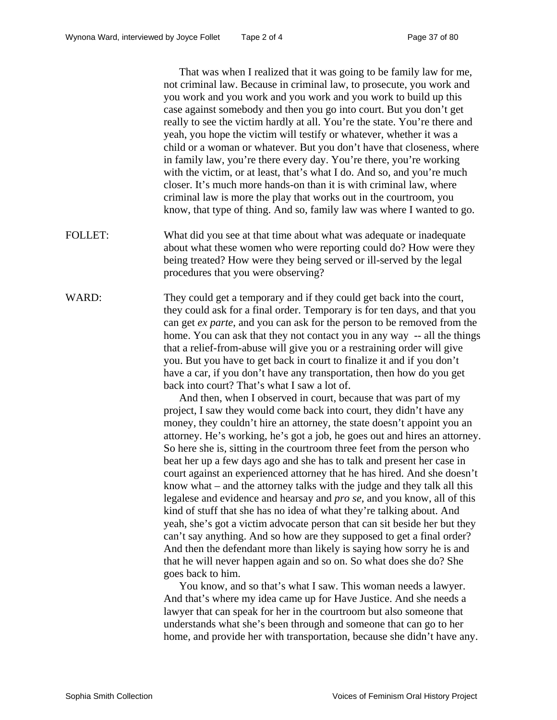That was when I realized that it was going to be family law for me, not criminal law. Because in criminal law, to prosecute, you work and you work and you work and you work and you work to build up this case against somebody and then you go into court. But you don't get really to see the victim hardly at all. You're the state. You're there and yeah, you hope the victim will testify or whatever, whether it was a child or a woman or whatever. But you don't have that closeness, where in family law, you're there every day. You're there, you're working with the victim, or at least, that's what I do. And so, and you're much closer. It's much more hands-on than it is with criminal law, where criminal law is more the play that works out in the courtroom, you know, that type of thing. And so, family law was where I wanted to go.

- FOLLET: What did you see at that time about what was adequate or inadequate about what these women who were reporting could do? How were they being treated? How were they being served or ill-served by the legal procedures that you were observing?
- WARD: They could get a temporary and if they could get back into the court, they could ask for a final order. Temporary is for ten days, and that you can get *ex parte*, and you can ask for the person to be removed from the home. You can ask that they not contact you in any way -- all the things that a relief-from-abuse will give you or a restraining order will give you. But you have to get back in court to finalize it and if you don't have a car, if you don't have any transportation, then how do you get back into court? That's what I saw a lot of.

And then, when I observed in court, because that was part of my project, I saw they would come back into court, they didn't have any money, they couldn't hire an attorney, the state doesn't appoint you an attorney. He's working, he's got a job, he goes out and hires an attorney. So here she is, sitting in the courtroom three feet from the person who beat her up a few days ago and she has to talk and present her case in court against an experienced attorney that he has hired. And she doesn't know what – and the attorney talks with the judge and they talk all this legalese and evidence and hearsay and *pro se*, and you know, all of this kind of stuff that she has no idea of what they're talking about. And yeah, she's got a victim advocate person that can sit beside her but they can't say anything. And so how are they supposed to get a final order? And then the defendant more than likely is saying how sorry he is and that he will never happen again and so on. So what does she do? She goes back to him.

You know, and so that's what I saw. This woman needs a lawyer. And that's where my idea came up for Have Justice. And she needs a lawyer that can speak for her in the courtroom but also someone that understands what she's been through and someone that can go to her home, and provide her with transportation, because she didn't have any.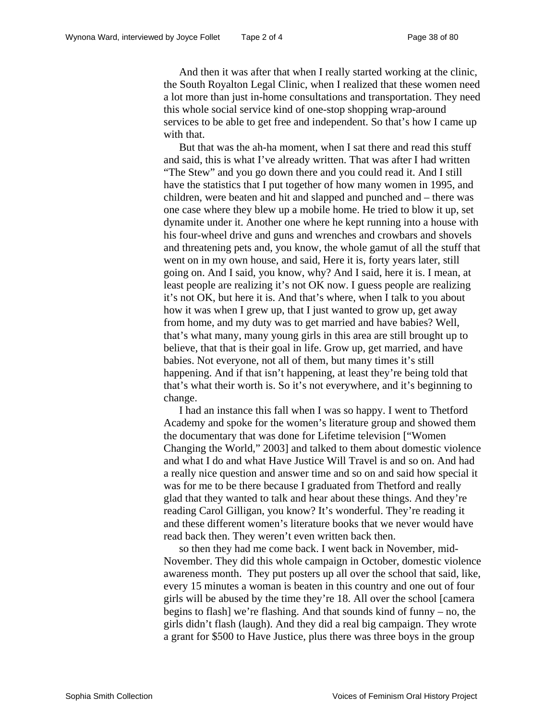And then it was after that when I really started working at the clinic, the South Royalton Legal Clinic, when I realized that these women need a lot more than just in-home consultations and transportation. They need this whole social service kind of one-stop shopping wrap-around services to be able to get free and independent. So that's how I came up with that.

But that was the ah-ha moment, when I sat there and read this stuff and said, this is what I've already written. That was after I had written "The Stew" and you go down there and you could read it. And I still have the statistics that I put together of how many women in 1995, and children, were beaten and hit and slapped and punched and – there was one case where they blew up a mobile home. He tried to blow it up, set dynamite under it. Another one where he kept running into a house with his four-wheel drive and guns and wrenches and crowbars and shovels and threatening pets and, you know, the whole gamut of all the stuff that went on in my own house, and said, Here it is, forty years later, still going on. And I said, you know, why? And I said, here it is. I mean, at least people are realizing it's not OK now. I guess people are realizing it's not OK, but here it is. And that's where, when I talk to you about how it was when I grew up, that I just wanted to grow up, get away from home, and my duty was to get married and have babies? Well, that's what many, many young girls in this area are still brought up to believe, that that is their goal in life. Grow up, get married, and have babies. Not everyone, not all of them, but many times it's still happening. And if that isn't happening, at least they're being told that that's what their worth is. So it's not everywhere, and it's beginning to change.

I had an instance this fall when I was so happy. I went to Thetford Academy and spoke for the women's literature group and showed them the documentary that was done for Lifetime television ["Women Changing the World," 2003] and talked to them about domestic violence and what I do and what Have Justice Will Travel is and so on. And had a really nice question and answer time and so on and said how special it was for me to be there because I graduated from Thetford and really glad that they wanted to talk and hear about these things. And they're reading Carol Gilligan, you know? It's wonderful. They're reading it and these different women's literature books that we never would have read back then. They weren't even written back then.

so then they had me come back. I went back in November, mid-November. They did this whole campaign in October, domestic violence awareness month. They put posters up all over the school that said, like, every 15 minutes a woman is beaten in this country and one out of four girls will be abused by the time they're 18. All over the school [camera begins to flash] we're flashing. And that sounds kind of funny – no, the girls didn't flash (laugh). And they did a real big campaign. They wrote a grant for \$500 to Have Justice, plus there was three boys in the group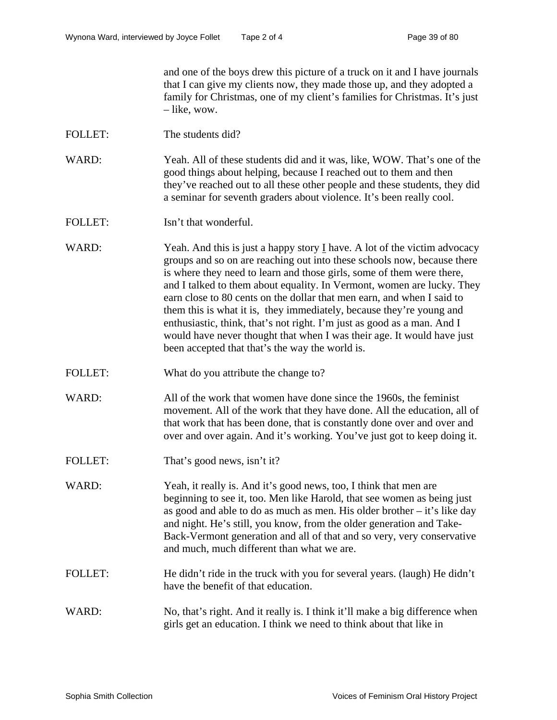and one of the boys drew this picture of a truck on it and I have journals that I can give my clients now, they made those up, and they adopted a family for Christmas, one of my client's families for Christmas. It's just – like, wow.

- FOLLET: The students did?
- WARD: Yeah. All of these students did and it was, like, WOW. That's one of the good things about helping, because I reached out to them and then they've reached out to all these other people and these students, they did a seminar for seventh graders about violence. It's been really cool.
- FOLLET: Isn't that wonderful.
- WARD: Yeah. And this is just a happy story I have. A lot of the victim advocacy groups and so on are reaching out into these schools now, because there is where they need to learn and those girls, some of them were there, and I talked to them about equality. In Vermont, women are lucky. They earn close to 80 cents on the dollar that men earn, and when I said to them this is what it is, they immediately, because they're young and enthusiastic, think, that's not right. I'm just as good as a man. And I would have never thought that when I was their age. It would have just been accepted that that's the way the world is.
- FOLLET: What do you attribute the change to?
- WARD: All of the work that women have done since the 1960s, the feminist movement. All of the work that they have done. All the education, all of that work that has been done, that is constantly done over and over and over and over again. And it's working. You've just got to keep doing it.
- FOLLET: That's good news, isn't it?
- WARD: Yeah, it really is. And it's good news, too, I think that men are beginning to see it, too. Men like Harold, that see women as being just as good and able to do as much as men. His older brother – it's like day and night. He's still, you know, from the older generation and Take-Back-Vermont generation and all of that and so very, very conservative and much, much different than what we are.
- FOLLET: He didn't ride in the truck with you for several years. (laugh) He didn't have the benefit of that education.
- WARD: No, that's right. And it really is. I think it'll make a big difference when girls get an education. I think we need to think about that like in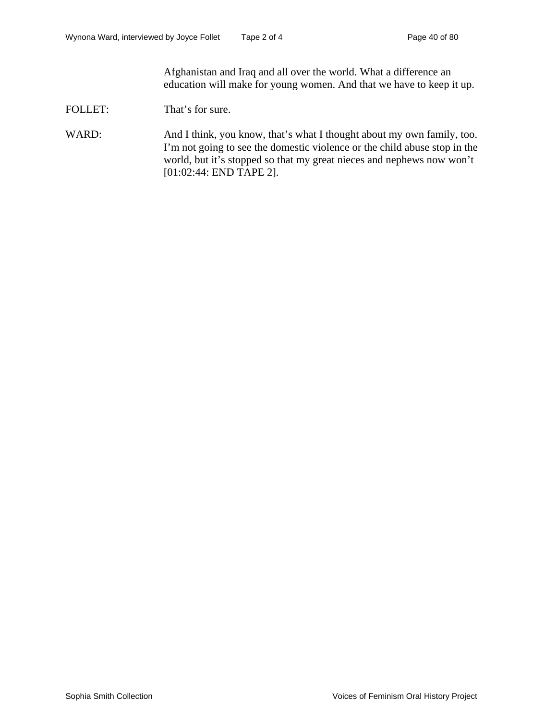Afghanistan and Iraq and all over the world. What a difference an education will make for young women. And that we have to keep it up.

FOLLET: That's for sure.

WARD: And I think, you know, that's what I thought about my own family, too. I'm not going to see the domestic violence or the child abuse stop in the world, but it's stopped so that my great nieces and nephews now won't [01:02:44: END TAPE 2].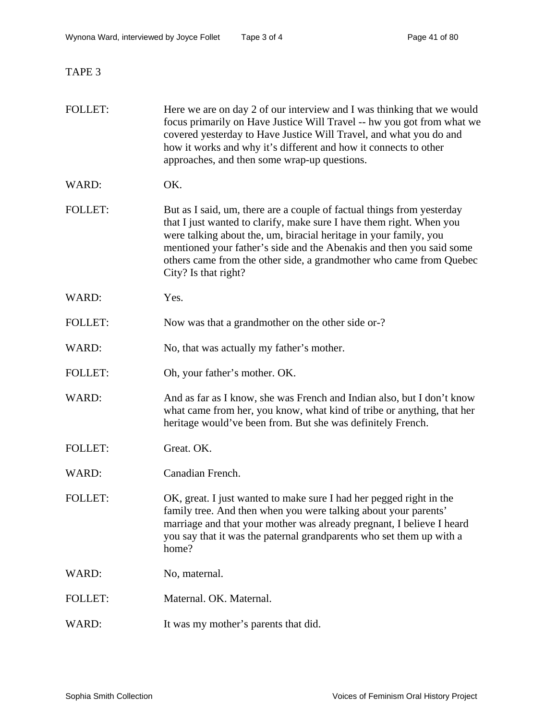TAPE 3

| <b>FOLLET:</b> | Here we are on day 2 of our interview and I was thinking that we would<br>focus primarily on Have Justice Will Travel -- hw you got from what we<br>covered yesterday to Have Justice Will Travel, and what you do and<br>how it works and why it's different and how it connects to other<br>approaches, and then some wrap-up questions.                                                 |
|----------------|--------------------------------------------------------------------------------------------------------------------------------------------------------------------------------------------------------------------------------------------------------------------------------------------------------------------------------------------------------------------------------------------|
| WARD:          | OK.                                                                                                                                                                                                                                                                                                                                                                                        |
| <b>FOLLET:</b> | But as I said, um, there are a couple of factual things from yesterday<br>that I just wanted to clarify, make sure I have them right. When you<br>were talking about the, um, biracial heritage in your family, you<br>mentioned your father's side and the Abenakis and then you said some<br>others came from the other side, a grandmother who came from Quebec<br>City? Is that right? |
| WARD:          | Yes.                                                                                                                                                                                                                                                                                                                                                                                       |
| <b>FOLLET:</b> | Now was that a grandmother on the other side or-?                                                                                                                                                                                                                                                                                                                                          |
| WARD:          | No, that was actually my father's mother.                                                                                                                                                                                                                                                                                                                                                  |
| <b>FOLLET:</b> | Oh, your father's mother. OK.                                                                                                                                                                                                                                                                                                                                                              |
| WARD:          | And as far as I know, she was French and Indian also, but I don't know<br>what came from her, you know, what kind of tribe or anything, that her<br>heritage would've been from. But she was definitely French.                                                                                                                                                                            |
| <b>FOLLET:</b> | Great. OK.                                                                                                                                                                                                                                                                                                                                                                                 |
| WARD:          | Canadian French.                                                                                                                                                                                                                                                                                                                                                                           |
| <b>FOLLET:</b> | OK, great. I just wanted to make sure I had her pegged right in the<br>family tree. And then when you were talking about your parents'<br>marriage and that your mother was already pregnant, I believe I heard<br>you say that it was the paternal grandparents who set them up with a<br>home?                                                                                           |
| WARD:          | No, maternal.                                                                                                                                                                                                                                                                                                                                                                              |
| <b>FOLLET:</b> | Maternal. OK. Maternal.                                                                                                                                                                                                                                                                                                                                                                    |
| WARD:          | It was my mother's parents that did.                                                                                                                                                                                                                                                                                                                                                       |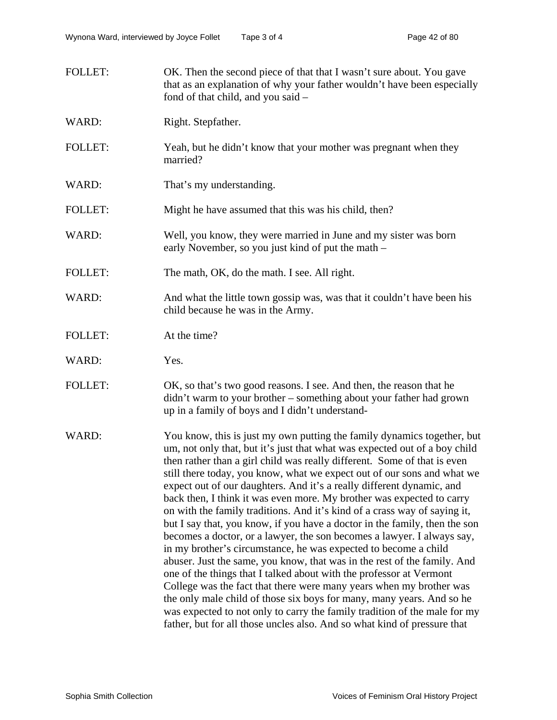FOLLET: OK. Then the second piece of that that I wasn't sure about. You gave that as an explanation of why your father wouldn't have been especially fond of that child, and you said – WARD: Right. Stepfather. FOLLET: Yeah, but he didn't know that your mother was pregnant when they married? WARD: That's my understanding. FOLLET: Might he have assumed that this was his child, then? WARD: Well, you know, they were married in June and my sister was born early November, so you just kind of put the math – FOLLET: The math, OK, do the math. I see. All right. WARD: And what the little town gossip was, was that it couldn't have been his child because he was in the Army. FOLLET: At the time? WARD: Yes. FOLLET: OK, so that's two good reasons. I see. And then, the reason that he didn't warm to your brother – something about your father had grown up in a family of boys and I didn't understand-WARD: You know, this is just my own putting the family dynamics together, but um, not only that, but it's just that what was expected out of a boy child then rather than a girl child was really different. Some of that is even still there today, you know, what we expect out of our sons and what we expect out of our daughters. And it's a really different dynamic, and

back then, I think it was even more. My brother was expected to carry on with the family traditions. And it's kind of a crass way of saying it, but I say that, you know, if you have a doctor in the family, then the son becomes a doctor, or a lawyer, the son becomes a lawyer. I always say, in my brother's circumstance, he was expected to become a child abuser. Just the same, you know, that was in the rest of the family. And one of the things that I talked about with the professor at Vermont College was the fact that there were many years when my brother was the only male child of those six boys for many, many years. And so he was expected to not only to carry the family tradition of the male for my father, but for all those uncles also. And so what kind of pressure that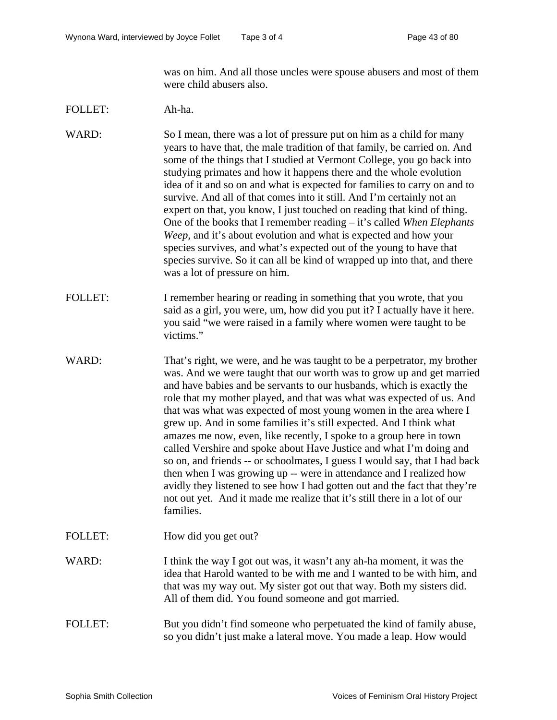was on him. And all those uncles were spouse abusers and most of them were child abusers also.

## FOLLET: Ah-ha.

WARD: So I mean, there was a lot of pressure put on him as a child for many years to have that, the male tradition of that family, be carried on. And some of the things that I studied at Vermont College, you go back into studying primates and how it happens there and the whole evolution idea of it and so on and what is expected for families to carry on and to survive. And all of that comes into it still. And I'm certainly not an expert on that, you know, I just touched on reading that kind of thing. One of the books that I remember reading – it's called *When Elephants Weep,* and it's about evolution and what is expected and how your species survives, and what's expected out of the young to have that species survive. So it can all be kind of wrapped up into that, and there was a lot of pressure on him.

- FOLLET: I remember hearing or reading in something that you wrote, that you said as a girl, you were, um, how did you put it? I actually have it here. you said "we were raised in a family where women were taught to be victims."
- WARD: That's right, we were, and he was taught to be a perpetrator, my brother was. And we were taught that our worth was to grow up and get married and have babies and be servants to our husbands, which is exactly the role that my mother played, and that was what was expected of us. And that was what was expected of most young women in the area where I grew up. And in some families it's still expected. And I think what amazes me now, even, like recently, I spoke to a group here in town called Vershire and spoke about Have Justice and what I'm doing and so on, and friends -- or schoolmates, I guess I would say, that I had back then when I was growing up -- were in attendance and I realized how avidly they listened to see how I had gotten out and the fact that they're not out yet. And it made me realize that it's still there in a lot of our families.
- FOLLET: How did you get out?
- WARD: I think the way I got out was, it wasn't any ah-ha moment, it was the idea that Harold wanted to be with me and I wanted to be with him, and that was my way out. My sister got out that way. Both my sisters did. All of them did. You found someone and got married.

# FOLLET: But you didn't find someone who perpetuated the kind of family abuse, so you didn't just make a lateral move. You made a leap. How would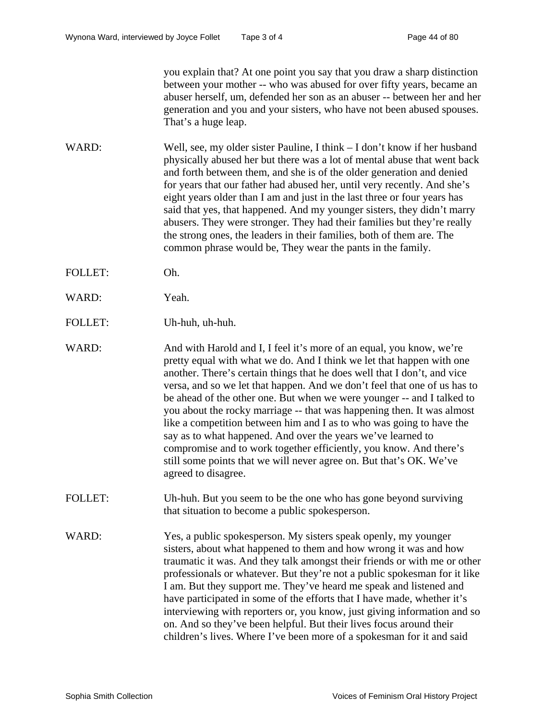you explain that? At one point you say that you draw a sharp distinction between your mother -- who was abused for over fifty years, became an abuser herself, um, defended her son as an abuser -- between her and her generation and you and your sisters, who have not been abused spouses. That's a huge leap.

- WARD: Well, see, my older sister Pauline, I think I don't know if her husband physically abused her but there was a lot of mental abuse that went back and forth between them, and she is of the older generation and denied for years that our father had abused her, until very recently. And she's eight years older than I am and just in the last three or four years has said that yes, that happened. And my younger sisters, they didn't marry abusers. They were stronger. They had their families but they're really the strong ones, the leaders in their families, both of them are. The common phrase would be, They wear the pants in the family.
- FOLLET: Oh.
- WARD: Yeah.
- FOLLET: Uh-huh, uh-huh.
- WARD: And with Harold and I, I feel it's more of an equal, you know, we're pretty equal with what we do. And I think we let that happen with one another. There's certain things that he does well that I don't, and vice versa, and so we let that happen. And we don't feel that one of us has to be ahead of the other one. But when we were younger -- and I talked to you about the rocky marriage -- that was happening then. It was almost like a competition between him and I as to who was going to have the say as to what happened. And over the years we've learned to compromise and to work together efficiently, you know. And there's still some points that we will never agree on. But that's OK. We've agreed to disagree.
- FOLLET: Uh-huh. But you seem to be the one who has gone beyond surviving that situation to become a public spokesperson.
- WARD: Yes, a public spokesperson. My sisters speak openly, my younger sisters, about what happened to them and how wrong it was and how traumatic it was. And they talk amongst their friends or with me or other professionals or whatever. But they're not a public spokesman for it like I am. But they support me. They've heard me speak and listened and have participated in some of the efforts that I have made, whether it's interviewing with reporters or, you know, just giving information and so on. And so they've been helpful. But their lives focus around their children's lives. Where I've been more of a spokesman for it and said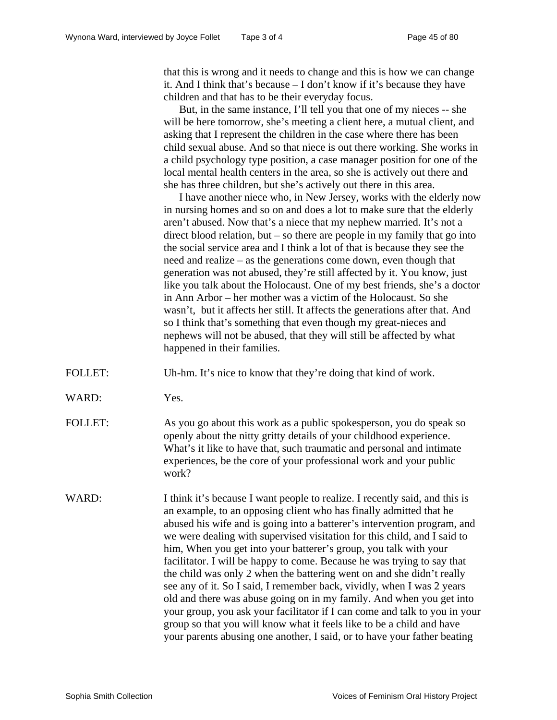that this is wrong and it needs to change and this is how we can change it. And I think that's because – I don't know if it's because they have children and that has to be their everyday focus.

But, in the same instance, I'll tell you that one of my nieces -- she will be here tomorrow, she's meeting a client here, a mutual client, and asking that I represent the children in the case where there has been child sexual abuse. And so that niece is out there working. She works in a child psychology type position, a case manager position for one of the local mental health centers in the area, so she is actively out there and she has three children, but she's actively out there in this area.

I have another niece who, in New Jersey, works with the elderly now in nursing homes and so on and does a lot to make sure that the elderly aren't abused. Now that's a niece that my nephew married. It's not a direct blood relation, but – so there are people in my family that go into the social service area and I think a lot of that is because they see the need and realize – as the generations come down, even though that generation was not abused, they're still affected by it. You know, just like you talk about the Holocaust. One of my best friends, she's a doctor in Ann Arbor – her mother was a victim of the Holocaust. So she wasn't, but it affects her still. It affects the generations after that. And so I think that's something that even though my great-nieces and nephews will not be abused, that they will still be affected by what happened in their families.

FOLLET: Uh-hm. It's nice to know that they're doing that kind of work.

WARD: Yes.

FOLLET: As you go about this work as a public spokesperson, you do speak so openly about the nitty gritty details of your childhood experience. What's it like to have that, such traumatic and personal and intimate experiences, be the core of your professional work and your public work?

WARD: I think it's because I want people to realize. I recently said, and this is an example, to an opposing client who has finally admitted that he abused his wife and is going into a batterer's intervention program, and we were dealing with supervised visitation for this child, and I said to him, When you get into your batterer's group, you talk with your facilitator. I will be happy to come. Because he was trying to say that the child was only 2 when the battering went on and she didn't really see any of it. So I said, I remember back, vividly, when I was 2 years old and there was abuse going on in my family. And when you get into your group, you ask your facilitator if I can come and talk to you in your group so that you will know what it feels like to be a child and have your parents abusing one another, I said, or to have your father beating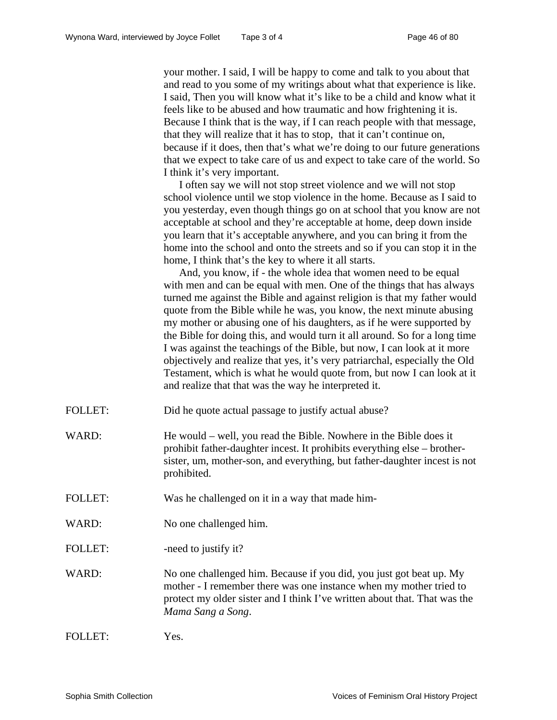your mother. I said, I will be happy to come and talk to you about that and read to you some of my writings about what that experience is like. I said, Then you will know what it's like to be a child and know what it feels like to be abused and how traumatic and how frightening it is. Because I think that is the way, if I can reach people with that message, that they will realize that it has to stop, that it can't continue on, because if it does, then that's what we're doing to our future generations that we expect to take care of us and expect to take care of the world. So I think it's very important.

I often say we will not stop street violence and we will not stop school violence until we stop violence in the home. Because as I said to you yesterday, even though things go on at school that you know are not acceptable at school and they're acceptable at home, deep down inside you learn that it's acceptable anywhere, and you can bring it from the home into the school and onto the streets and so if you can stop it in the home, I think that's the key to where it all starts.

And, you know, if - the whole idea that women need to be equal with men and can be equal with men. One of the things that has always turned me against the Bible and against religion is that my father would quote from the Bible while he was, you know, the next minute abusing my mother or abusing one of his daughters, as if he were supported by the Bible for doing this, and would turn it all around. So for a long time I was against the teachings of the Bible, but now, I can look at it more objectively and realize that yes, it's very patriarchal, especially the Old Testament, which is what he would quote from, but now I can look at it and realize that that was the way he interpreted it.

- FOLLET: Did he quote actual passage to justify actual abuse?
- WARD: He would well, you read the Bible. Nowhere in the Bible does it prohibit father-daughter incest. It prohibits everything else – brothersister, um, mother-son, and everything, but father-daughter incest is not prohibited.
- FOLLET: Was he challenged on it in a way that made him-
- WARD: No one challenged him.
- FOLLET: -need to justify it?
- WARD: No one challenged him. Because if you did, you just got beat up. My mother - I remember there was one instance when my mother tried to protect my older sister and I think I've written about that. That was the *Mama Sang a Song*.

| <b>FOLLET:</b> | Yes. |
|----------------|------|
|----------------|------|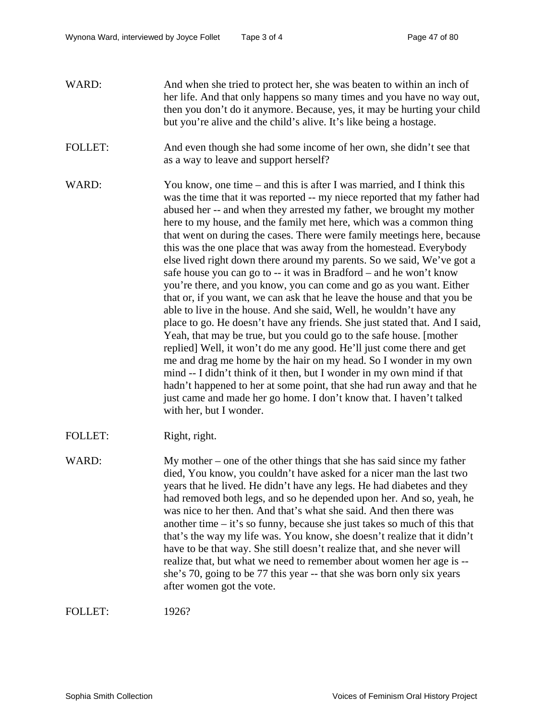- WARD: And when she tried to protect her, she was beaten to within an inch of her life. And that only happens so many times and you have no way out, then you don't do it anymore. Because, yes, it may be hurting your child but you're alive and the child's alive. It's like being a hostage.
- FOLLET: And even though she had some income of her own, she didn't see that as a way to leave and support herself?
- WARD: You know, one time and this is after I was married, and I think this was the time that it was reported -- my niece reported that my father had abused her -- and when they arrested my father, we brought my mother here to my house, and the family met here, which was a common thing that went on during the cases. There were family meetings here, because this was the one place that was away from the homestead. Everybody else lived right down there around my parents. So we said, We've got a safe house you can go to -- it was in Bradford – and he won't know you're there, and you know, you can come and go as you want. Either that or, if you want, we can ask that he leave the house and that you be able to live in the house. And she said, Well, he wouldn't have any place to go. He doesn't have any friends. She just stated that. And I said, Yeah, that may be true, but you could go to the safe house. [mother replied] Well, it won't do me any good. He'll just come there and get me and drag me home by the hair on my head. So I wonder in my own mind -- I didn't think of it then, but I wonder in my own mind if that hadn't happened to her at some point, that she had run away and that he just came and made her go home. I don't know that. I haven't talked with her, but I wonder.
- FOLLET: Right, right.
- WARD: My mother one of the other things that she has said since my father died, You know, you couldn't have asked for a nicer man the last two years that he lived. He didn't have any legs. He had diabetes and they had removed both legs, and so he depended upon her. And so, yeah, he was nice to her then. And that's what she said. And then there was another time – it's so funny, because she just takes so much of this that that's the way my life was. You know, she doesn't realize that it didn't have to be that way. She still doesn't realize that, and she never will realize that, but what we need to remember about women her age is - she's 70, going to be 77 this year -- that she was born only six years after women got the vote.

FOLLET: 1926?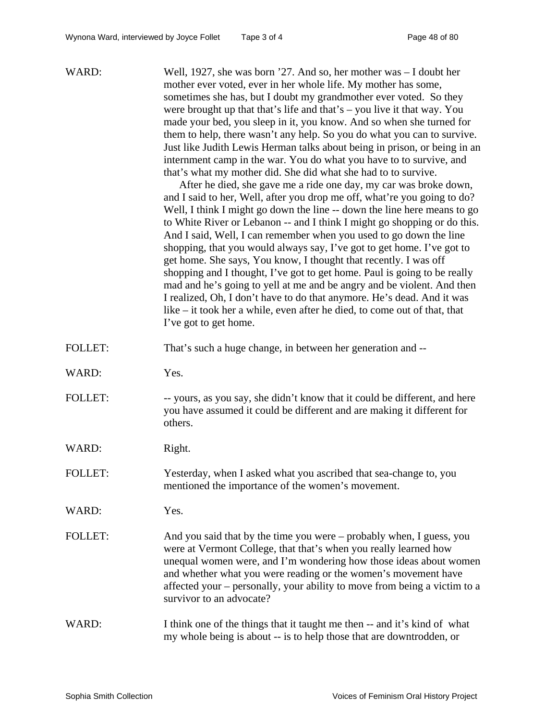| WARD:          | Well, 1927, she was born '27. And so, her mother was - I doubt her<br>mother ever voted, ever in her whole life. My mother has some,<br>sometimes she has, but I doubt my grandmother ever voted. So they<br>were brought up that that's life and that's $-$ you live it that way. You<br>made your bed, you sleep in it, you know. And so when she turned for<br>them to help, there wasn't any help. So you do what you can to survive.<br>Just like Judith Lewis Herman talks about being in prison, or being in an<br>internment camp in the war. You do what you have to to survive, and<br>that's what my mother did. She did what she had to to survive.<br>After he died, she gave me a ride one day, my car was broke down,<br>and I said to her, Well, after you drop me off, what're you going to do?<br>Well, I think I might go down the line -- down the line here means to go<br>to White River or Lebanon -- and I think I might go shopping or do this.<br>And I said, Well, I can remember when you used to go down the line<br>shopping, that you would always say, I've got to get home. I've got to<br>get home. She says, You know, I thought that recently. I was off<br>shopping and I thought, I've got to get home. Paul is going to be really<br>mad and he's going to yell at me and be angry and be violent. And then<br>I realized, Oh, I don't have to do that anymore. He's dead. And it was<br>like – it took her a while, even after he died, to come out of that, that<br>I've got to get home. |
|----------------|------------------------------------------------------------------------------------------------------------------------------------------------------------------------------------------------------------------------------------------------------------------------------------------------------------------------------------------------------------------------------------------------------------------------------------------------------------------------------------------------------------------------------------------------------------------------------------------------------------------------------------------------------------------------------------------------------------------------------------------------------------------------------------------------------------------------------------------------------------------------------------------------------------------------------------------------------------------------------------------------------------------------------------------------------------------------------------------------------------------------------------------------------------------------------------------------------------------------------------------------------------------------------------------------------------------------------------------------------------------------------------------------------------------------------------------------------------------------------------------------------------------------------------|
| <b>FOLLET:</b> | That's such a huge change, in between her generation and --                                                                                                                                                                                                                                                                                                                                                                                                                                                                                                                                                                                                                                                                                                                                                                                                                                                                                                                                                                                                                                                                                                                                                                                                                                                                                                                                                                                                                                                                        |
| WARD:          | Yes.                                                                                                                                                                                                                                                                                                                                                                                                                                                                                                                                                                                                                                                                                                                                                                                                                                                                                                                                                                                                                                                                                                                                                                                                                                                                                                                                                                                                                                                                                                                               |
| <b>FOLLET:</b> | -- yours, as you say, she didn't know that it could be different, and here<br>you have assumed it could be different and are making it different for<br>others.                                                                                                                                                                                                                                                                                                                                                                                                                                                                                                                                                                                                                                                                                                                                                                                                                                                                                                                                                                                                                                                                                                                                                                                                                                                                                                                                                                    |
| WARD:          | Right.                                                                                                                                                                                                                                                                                                                                                                                                                                                                                                                                                                                                                                                                                                                                                                                                                                                                                                                                                                                                                                                                                                                                                                                                                                                                                                                                                                                                                                                                                                                             |
| <b>FOLLET:</b> | Yesterday, when I asked what you ascribed that sea-change to, you<br>mentioned the importance of the women's movement.                                                                                                                                                                                                                                                                                                                                                                                                                                                                                                                                                                                                                                                                                                                                                                                                                                                                                                                                                                                                                                                                                                                                                                                                                                                                                                                                                                                                             |
| WARD:          | Yes.                                                                                                                                                                                                                                                                                                                                                                                                                                                                                                                                                                                                                                                                                                                                                                                                                                                                                                                                                                                                                                                                                                                                                                                                                                                                                                                                                                                                                                                                                                                               |
| <b>FOLLET:</b> | And you said that by the time you were - probably when, I guess, you<br>were at Vermont College, that that's when you really learned how<br>unequal women were, and I'm wondering how those ideas about women<br>and whether what you were reading or the women's movement have<br>affected your – personally, your ability to move from being a victim to a<br>survivor to an advocate?                                                                                                                                                                                                                                                                                                                                                                                                                                                                                                                                                                                                                                                                                                                                                                                                                                                                                                                                                                                                                                                                                                                                           |
| WARD:          | I think one of the things that it taught me then -- and it's kind of what<br>my whole being is about -- is to help those that are downtrodden, or                                                                                                                                                                                                                                                                                                                                                                                                                                                                                                                                                                                                                                                                                                                                                                                                                                                                                                                                                                                                                                                                                                                                                                                                                                                                                                                                                                                  |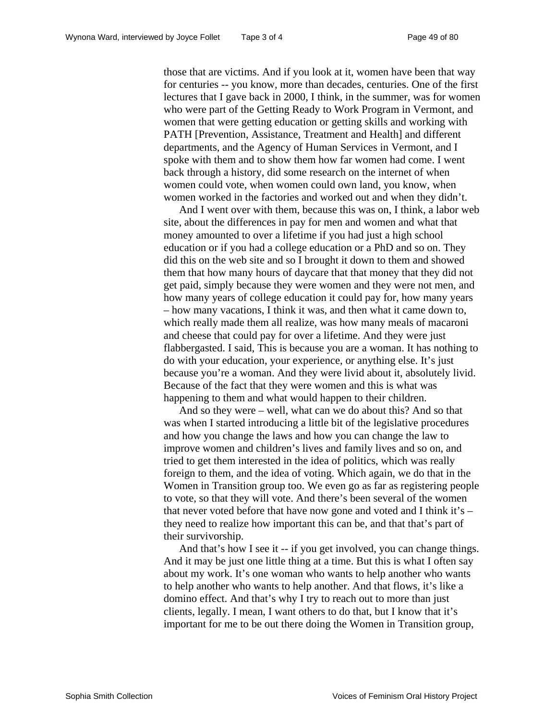those that are victims. And if you look at it, women have been that way for centuries -- you know, more than decades, centuries. One of the first lectures that I gave back in 2000, I think, in the summer, was for women who were part of the Getting Ready to Work Program in Vermont, and women that were getting education or getting skills and working with PATH [Prevention, Assistance, Treatment and Health] and different departments, and the Agency of Human Services in Vermont, and I spoke with them and to show them how far women had come. I went back through a history, did some research on the internet of when women could vote, when women could own land, you know, when women worked in the factories and worked out and when they didn't.

And I went over with them, because this was on, I think, a labor web site, about the differences in pay for men and women and what that money amounted to over a lifetime if you had just a high school education or if you had a college education or a PhD and so on. They did this on the web site and so I brought it down to them and showed them that how many hours of daycare that that money that they did not get paid, simply because they were women and they were not men, and how many years of college education it could pay for, how many years – how many vacations, I think it was, and then what it came down to, which really made them all realize, was how many meals of macaroni and cheese that could pay for over a lifetime. And they were just flabbergasted. I said, This is because you are a woman. It has nothing to do with your education, your experience, or anything else. It's just because you're a woman. And they were livid about it, absolutely livid. Because of the fact that they were women and this is what was happening to them and what would happen to their children.

And so they were – well, what can we do about this? And so that was when I started introducing a little bit of the legislative procedures and how you change the laws and how you can change the law to improve women and children's lives and family lives and so on, and tried to get them interested in the idea of politics, which was really foreign to them, and the idea of voting. Which again, we do that in the Women in Transition group too. We even go as far as registering people to vote, so that they will vote. And there's been several of the women that never voted before that have now gone and voted and I think it's – they need to realize how important this can be, and that that's part of their survivorship.

And that's how I see it -- if you get involved, you can change things. And it may be just one little thing at a time. But this is what I often say about my work. It's one woman who wants to help another who wants to help another who wants to help another. And that flows, it's like a domino effect. And that's why I try to reach out to more than just clients, legally. I mean, I want others to do that, but I know that it's important for me to be out there doing the Women in Transition group,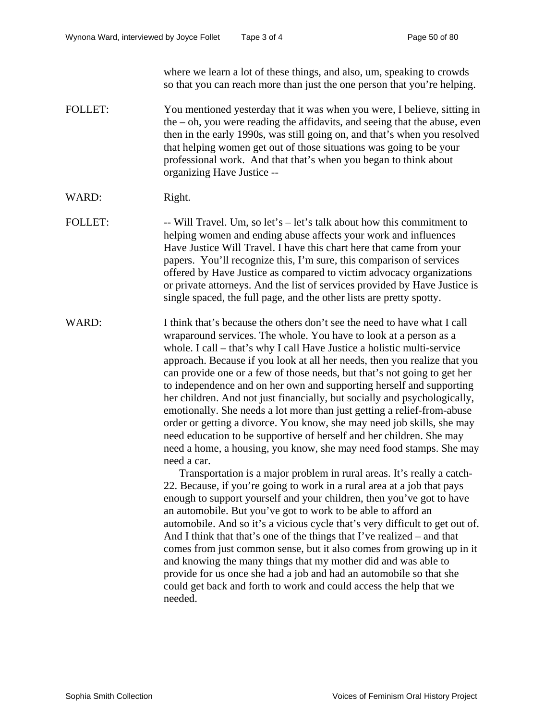where we learn a lot of these things, and also, um, speaking to crowds so that you can reach more than just the one person that you're helping.

- FOLLET: You mentioned yesterday that it was when you were, I believe, sitting in the – oh, you were reading the affidavits, and seeing that the abuse, even then in the early 1990s, was still going on, and that's when you resolved that helping women get out of those situations was going to be your professional work. And that that's when you began to think about organizing Have Justice --
- WARD: Right.
- FOLLET: -- Will Travel. Um, so let's let's talk about how this commitment to helping women and ending abuse affects your work and influences Have Justice Will Travel. I have this chart here that came from your papers. You'll recognize this, I'm sure, this comparison of services offered by Have Justice as compared to victim advocacy organizations or private attorneys. And the list of services provided by Have Justice is single spaced, the full page, and the other lists are pretty spotty.
- WARD: I think that's because the others don't see the need to have what I call wraparound services. The whole. You have to look at a person as a whole. I call – that's why I call Have Justice a holistic multi-service approach. Because if you look at all her needs, then you realize that you can provide one or a few of those needs, but that's not going to get her to independence and on her own and supporting herself and supporting her children. And not just financially, but socially and psychologically, emotionally. She needs a lot more than just getting a relief-from-abuse order or getting a divorce. You know, she may need job skills, she may need education to be supportive of herself and her children. She may need a home, a housing, you know, she may need food stamps. She may need a car.

Transportation is a major problem in rural areas. It's really a catch-22. Because, if you're going to work in a rural area at a job that pays enough to support yourself and your children, then you've got to have an automobile. But you've got to work to be able to afford an automobile. And so it's a vicious cycle that's very difficult to get out of. And I think that that's one of the things that I've realized – and that comes from just common sense, but it also comes from growing up in it and knowing the many things that my mother did and was able to provide for us once she had a job and had an automobile so that she could get back and forth to work and could access the help that we needed.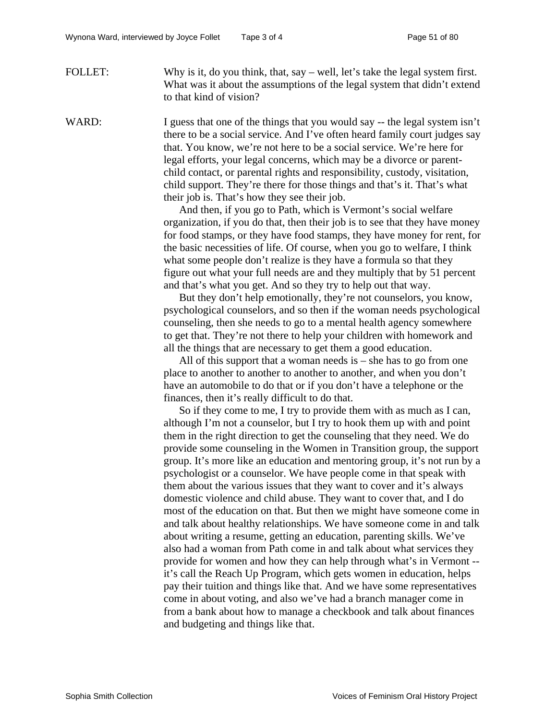FOLLET: Why is it, do you think, that, say – well, let's take the legal system first. What was it about the assumptions of the legal system that didn't extend to that kind of vision?

WARD: I guess that one of the things that you would say -- the legal system isn't there to be a social service. And I've often heard family court judges say that. You know, we're not here to be a social service. We're here for legal efforts, your legal concerns, which may be a divorce or parentchild contact, or parental rights and responsibility, custody, visitation, child support. They're there for those things and that's it. That's what their job is. That's how they see their job.

> And then, if you go to Path, which is Vermont's social welfare organization, if you do that, then their job is to see that they have money for food stamps, or they have food stamps, they have money for rent, for the basic necessities of life. Of course, when you go to welfare, I think what some people don't realize is they have a formula so that they figure out what your full needs are and they multiply that by 51 percent and that's what you get. And so they try to help out that way.

> But they don't help emotionally, they're not counselors, you know, psychological counselors, and so then if the woman needs psychological counseling, then she needs to go to a mental health agency somewhere to get that. They're not there to help your children with homework and all the things that are necessary to get them a good education.

All of this support that a woman needs is – she has to go from one place to another to another to another to another, and when you don't have an automobile to do that or if you don't have a telephone or the finances, then it's really difficult to do that.

So if they come to me, I try to provide them with as much as I can, although I'm not a counselor, but I try to hook them up with and point them in the right direction to get the counseling that they need. We do provide some counseling in the Women in Transition group, the support group. It's more like an education and mentoring group, it's not run by a psychologist or a counselor. We have people come in that speak with them about the various issues that they want to cover and it's always domestic violence and child abuse. They want to cover that, and I do most of the education on that. But then we might have someone come in and talk about healthy relationships. We have someone come in and talk about writing a resume, getting an education, parenting skills. We've also had a woman from Path come in and talk about what services they provide for women and how they can help through what's in Vermont - it's call the Reach Up Program, which gets women in education, helps pay their tuition and things like that. And we have some representatives come in about voting, and also we've had a branch manager come in from a bank about how to manage a checkbook and talk about finances and budgeting and things like that.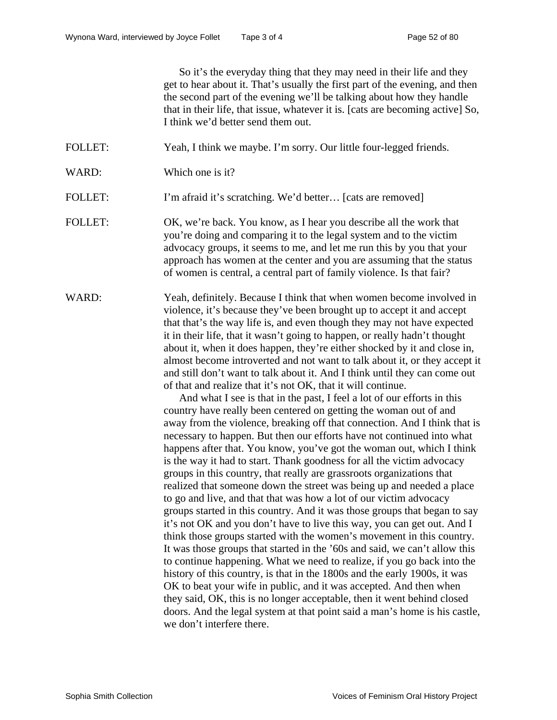So it's the everyday thing that they may need in their life and they get to hear about it. That's usually the first part of the evening, and then the second part of the evening we'll be talking about how they handle that in their life, that issue, whatever it is. [cats are becoming active] So, I think we'd better send them out.

- FOLLET: Yeah, I think we maybe. I'm sorry. Our little four-legged friends.
- WARD: Which one is it?
- FOLLET: I'm afraid it's scratching. We'd better... [cats are removed]
- FOLLET: OK, we're back. You know, as I hear you describe all the work that you're doing and comparing it to the legal system and to the victim advocacy groups, it seems to me, and let me run this by you that your approach has women at the center and you are assuming that the status of women is central, a central part of family violence. Is that fair?
- WARD: Yeah, definitely. Because I think that when women become involved in violence, it's because they've been brought up to accept it and accept that that's the way life is, and even though they may not have expected it in their life, that it wasn't going to happen, or really hadn't thought about it, when it does happen, they're either shocked by it and close in, almost become introverted and not want to talk about it, or they accept it and still don't want to talk about it. And I think until they can come out of that and realize that it's not OK, that it will continue.

And what I see is that in the past, I feel a lot of our efforts in this country have really been centered on getting the woman out of and away from the violence, breaking off that connection. And I think that is necessary to happen. But then our efforts have not continued into what happens after that. You know, you've got the woman out, which I think is the way it had to start. Thank goodness for all the victim advocacy groups in this country, that really are grassroots organizations that realized that someone down the street was being up and needed a place to go and live, and that that was how a lot of our victim advocacy groups started in this country. And it was those groups that began to say it's not OK and you don't have to live this way, you can get out. And I think those groups started with the women's movement in this country. It was those groups that started in the '60s and said, we can't allow this to continue happening. What we need to realize, if you go back into the history of this country, is that in the 1800s and the early 1900s, it was OK to beat your wife in public, and it was accepted. And then when they said, OK, this is no longer acceptable, then it went behind closed doors. And the legal system at that point said a man's home is his castle, we don't interfere there.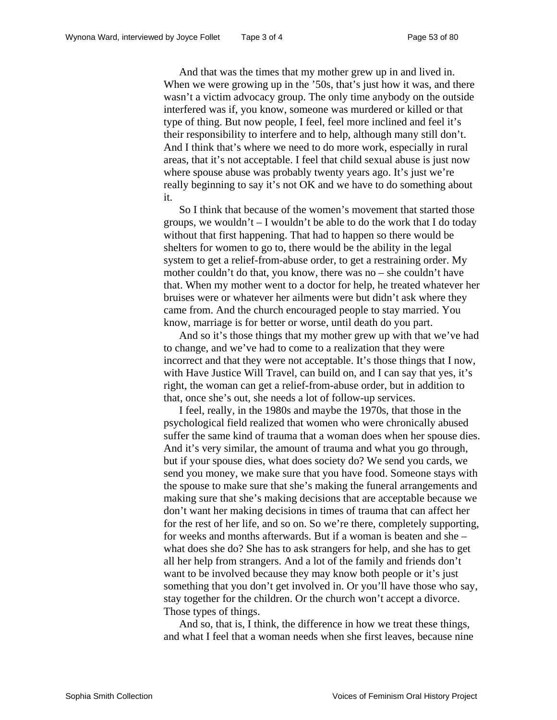And that was the times that my mother grew up in and lived in. When we were growing up in the '50s, that's just how it was, and there wasn't a victim advocacy group. The only time anybody on the outside interfered was if, you know, someone was murdered or killed or that type of thing. But now people, I feel, feel more inclined and feel it's their responsibility to interfere and to help, although many still don't. And I think that's where we need to do more work, especially in rural areas, that it's not acceptable. I feel that child sexual abuse is just now where spouse abuse was probably twenty years ago. It's just we're really beginning to say it's not OK and we have to do something about it.

So I think that because of the women's movement that started those groups, we wouldn't – I wouldn't be able to do the work that I do today without that first happening. That had to happen so there would be shelters for women to go to, there would be the ability in the legal system to get a relief-from-abuse order, to get a restraining order. My mother couldn't do that, you know, there was no – she couldn't have that. When my mother went to a doctor for help, he treated whatever her bruises were or whatever her ailments were but didn't ask where they came from. And the church encouraged people to stay married. You know, marriage is for better or worse, until death do you part.

And so it's those things that my mother grew up with that we've had to change, and we've had to come to a realization that they were incorrect and that they were not acceptable. It's those things that I now, with Have Justice Will Travel, can build on, and I can say that yes, it's right, the woman can get a relief-from-abuse order, but in addition to that, once she's out, she needs a lot of follow-up services.

I feel, really, in the 1980s and maybe the 1970s, that those in the psychological field realized that women who were chronically abused suffer the same kind of trauma that a woman does when her spouse dies. And it's very similar, the amount of trauma and what you go through, but if your spouse dies, what does society do? We send you cards, we send you money, we make sure that you have food. Someone stays with the spouse to make sure that she's making the funeral arrangements and making sure that she's making decisions that are acceptable because we don't want her making decisions in times of trauma that can affect her for the rest of her life, and so on. So we're there, completely supporting, for weeks and months afterwards. But if a woman is beaten and she – what does she do? She has to ask strangers for help, and she has to get all her help from strangers. And a lot of the family and friends don't want to be involved because they may know both people or it's just something that you don't get involved in. Or you'll have those who say, stay together for the children. Or the church won't accept a divorce. Those types of things.

And so, that is, I think, the difference in how we treat these things, and what I feel that a woman needs when she first leaves, because nine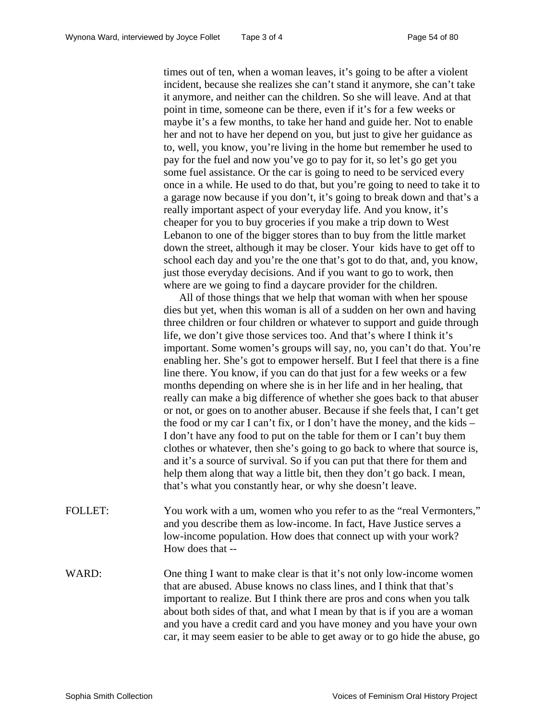times out of ten, when a woman leaves, it's going to be after a violent incident, because she realizes she can't stand it anymore, she can't take it anymore, and neither can the children. So she will leave. And at that point in time, someone can be there, even if it's for a few weeks or maybe it's a few months, to take her hand and guide her. Not to enable her and not to have her depend on you, but just to give her guidance as to, well, you know, you're living in the home but remember he used to pay for the fuel and now you've go to pay for it, so let's go get you some fuel assistance. Or the car is going to need to be serviced every once in a while. He used to do that, but you're going to need to take it to a garage now because if you don't, it's going to break down and that's a really important aspect of your everyday life. And you know, it's cheaper for you to buy groceries if you make a trip down to West Lebanon to one of the bigger stores than to buy from the little market down the street, although it may be closer. Your kids have to get off to school each day and you're the one that's got to do that, and, you know, just those everyday decisions. And if you want to go to work, then where are we going to find a daycare provider for the children.

All of those things that we help that woman with when her spouse dies but yet, when this woman is all of a sudden on her own and having three children or four children or whatever to support and guide through life, we don't give those services too. And that's where I think it's important. Some women's groups will say, no, you can't do that. You're enabling her. She's got to empower herself. But I feel that there is a fine line there. You know, if you can do that just for a few weeks or a few months depending on where she is in her life and in her healing, that really can make a big difference of whether she goes back to that abuser or not, or goes on to another abuser. Because if she feels that, I can't get the food or my car I can't fix, or I don't have the money, and the kids – I don't have any food to put on the table for them or I can't buy them clothes or whatever, then she's going to go back to where that source is, and it's a source of survival. So if you can put that there for them and help them along that way a little bit, then they don't go back. I mean, that's what you constantly hear, or why she doesn't leave.

- FOLLET: You work with a um, women who you refer to as the "real Vermonters," and you describe them as low-income. In fact, Have Justice serves a low-income population. How does that connect up with your work? How does that --
- WARD: One thing I want to make clear is that it's not only low-income women that are abused. Abuse knows no class lines, and I think that that's important to realize. But I think there are pros and cons when you talk about both sides of that, and what I mean by that is if you are a woman and you have a credit card and you have money and you have your own car, it may seem easier to be able to get away or to go hide the abuse, go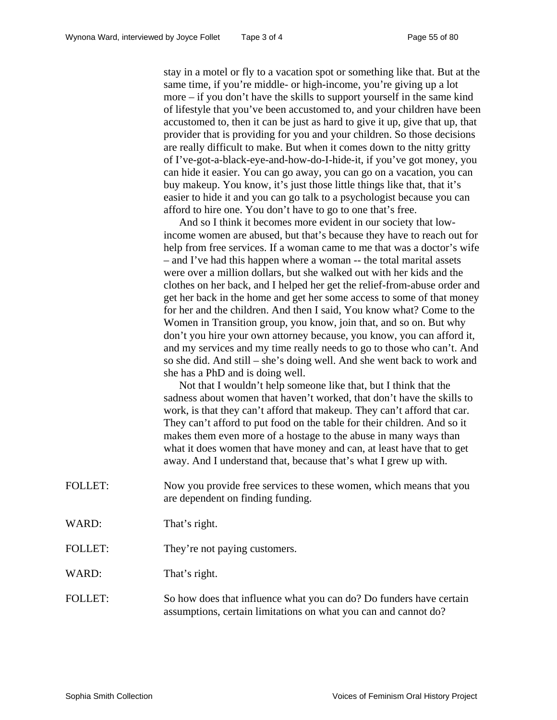stay in a motel or fly to a vacation spot or something like that. But at the same time, if you're middle- or high-income, you're giving up a lot more – if you don't have the skills to support yourself in the same kind of lifestyle that you've been accustomed to, and your children have been accustomed to, then it can be just as hard to give it up, give that up, that provider that is providing for you and your children. So those decisions are really difficult to make. But when it comes down to the nitty gritty of I've-got-a-black-eye-and-how-do-I-hide-it, if you've got money, you can hide it easier. You can go away, you can go on a vacation, you can buy makeup. You know, it's just those little things like that, that it's easier to hide it and you can go talk to a psychologist because you can afford to hire one. You don't have to go to one that's free.

And so I think it becomes more evident in our society that lowincome women are abused, but that's because they have to reach out for help from free services. If a woman came to me that was a doctor's wife – and I've had this happen where a woman -- the total marital assets were over a million dollars, but she walked out with her kids and the clothes on her back, and I helped her get the relief-from-abuse order and get her back in the home and get her some access to some of that money for her and the children. And then I said, You know what? Come to the Women in Transition group, you know, join that, and so on. But why don't you hire your own attorney because, you know, you can afford it, and my services and my time really needs to go to those who can't. And so she did. And still – she's doing well. And she went back to work and she has a PhD and is doing well.

Not that I wouldn't help someone like that, but I think that the sadness about women that haven't worked, that don't have the skills to work, is that they can't afford that makeup. They can't afford that car. They can't afford to put food on the table for their children. And so it makes them even more of a hostage to the abuse in many ways than what it does women that have money and can, at least have that to get away. And I understand that, because that's what I grew up with.

- FOLLET: Now you provide free services to these women, which means that you are dependent on finding funding.
- WARD: That's right.
- FOLLET: They're not paying customers.

WARD: That's right.

FOLLET: So how does that influence what you can do? Do funders have certain assumptions, certain limitations on what you can and cannot do?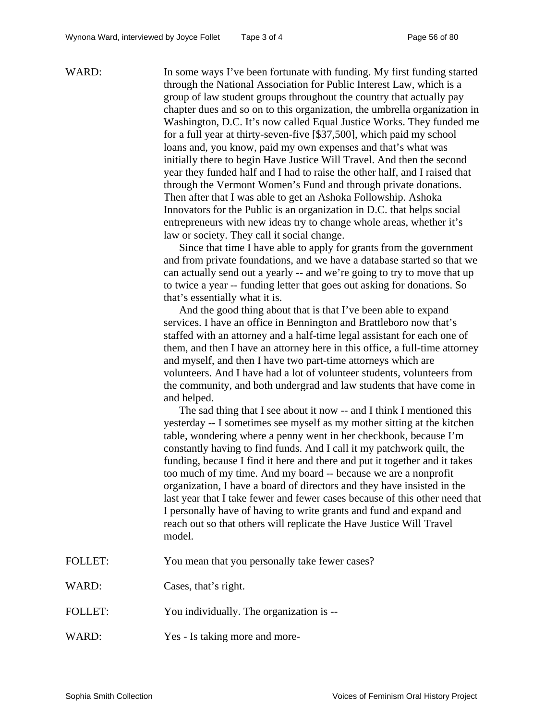WARD: In some ways I've been fortunate with funding. My first funding started through the National Association for Public Interest Law, which is a group of law student groups throughout the country that actually pay chapter dues and so on to this organization, the umbrella organization in Washington, D.C. It's now called Equal Justice Works. They funded me for a full year at thirty-seven-five [\$37,500], which paid my school loans and, you know, paid my own expenses and that's what was initially there to begin Have Justice Will Travel. And then the second year they funded half and I had to raise the other half, and I raised that through the Vermont Women's Fund and through private donations. Then after that I was able to get an Ashoka Followship. Ashoka Innovators for the Public is an organization in D.C. that helps social entrepreneurs with new ideas try to change whole areas, whether it's law or society. They call it social change. Since that time I have able to apply for grants from the government and from private foundations, and we have a database started so that we can actually send out a yearly -- and we're going to try to move that up to twice a year -- funding letter that goes out asking for donations. So that's essentially what it is. And the good thing about that is that I've been able to expand services. I have an office in Bennington and Brattleboro now that's staffed with an attorney and a half-time legal assistant for each one of them, and then I have an attorney here in this office, a full-time attorney and myself, and then I have two part-time attorneys which are volunteers. And I have had a lot of volunteer students, volunteers from the community, and both undergrad and law students that have come in and helped. The sad thing that I see about it now -- and I think I mentioned this yesterday -- I sometimes see myself as my mother sitting at the kitchen table, wondering where a penny went in her checkbook, because I'm constantly having to find funds. And I call it my patchwork quilt, the funding, because I find it here and there and put it together and it takes too much of my time. And my board -- because we are a nonprofit organization, I have a board of directors and they have insisted in the last year that I take fewer and fewer cases because of this other need that I personally have of having to write grants and fund and expand and reach out so that others will replicate the Have Justice Will Travel model. FOLLET: You mean that you personally take fewer cases? WARD: Cases, that's right. FOLLET: You individually. The organization is --WARD: Yes - Is taking more and more-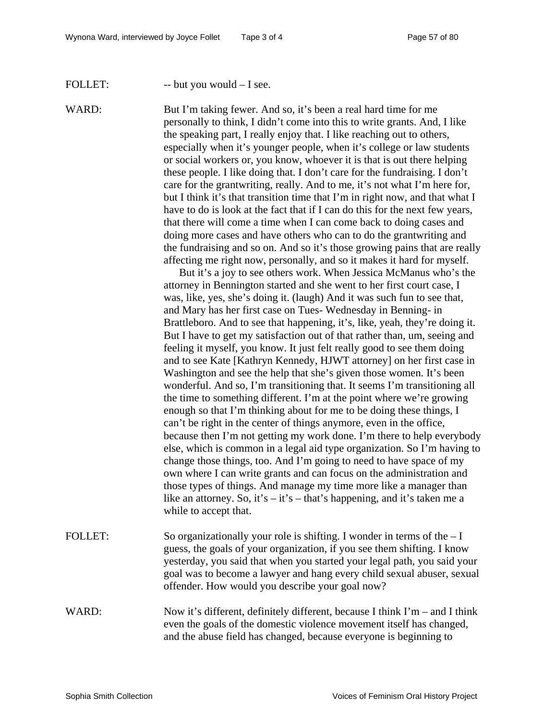## FOLLET: -- but you would - I see.

WARD: But I'm taking fewer. And so, it's been a real hard time for me personally to think, I didn't come into this to write grants. And, I like the speaking part, I really enjoy that. I like reaching out to others, especially when it's younger people, when it's college or law students or social workers or, you know, whoever it is that is out there helping these people. I like doing that. I don't care for the fundraising. I don't care for the grantwriting, really. And to me, it's not what I'm here for, but I think it's that transition time that I'm in right now, and that what I have to do is look at the fact that if I can do this for the next few years, that there will come a time when I can come back to doing cases and doing more cases and have others who can to do the grantwriting and the fundraising and so on. And so it's those growing pains that are really affecting me right now, personally, and so it makes it hard for myself.

> But it's a joy to see others work. When Jessica McManus who's the attorney in Bennington started and she went to her first court case, I was, like, yes, she's doing it. (laugh) And it was such fun to see that, and Mary has her first case on Tues- Wednesday in Benning- in Brattleboro. And to see that happening, it's, like, yeah, they're doing it. But I have to get my satisfaction out of that rather than, um, seeing and feeling it myself, you know. It just felt really good to see them doing and to see Kate [Kathryn Kennedy, HJWT attorney] on her first case in Washington and see the help that she's given those women. It's been wonderful. And so, I'm transitioning that. It seems I'm transitioning all the time to something different. I'm at the point where we're growing enough so that I'm thinking about for me to be doing these things, I can't be right in the center of things anymore, even in the office, because then I'm not getting my work done. I'm there to help everybody else, which is common in a legal aid type organization. So I'm having to change those things, too. And I'm going to need to have space of my own where I can write grants and can focus on the administration and those types of things. And manage my time more like a manager than like an attorney. So, it's – it's – that's happening, and it's taken me a while to accept that.

FOLLET: So organizationally your role is shifting. I wonder in terms of the  $-I$ guess, the goals of your organization, if you see them shifting. I know yesterday, you said that when you started your legal path, you said your goal was to become a lawyer and hang every child sexual abuser, sexual offender. How would you describe your goal now?

# WARD: Now it's different, definitely different, because I think I'm – and I think even the goals of the domestic violence movement itself has changed, and the abuse field has changed, because everyone is beginning to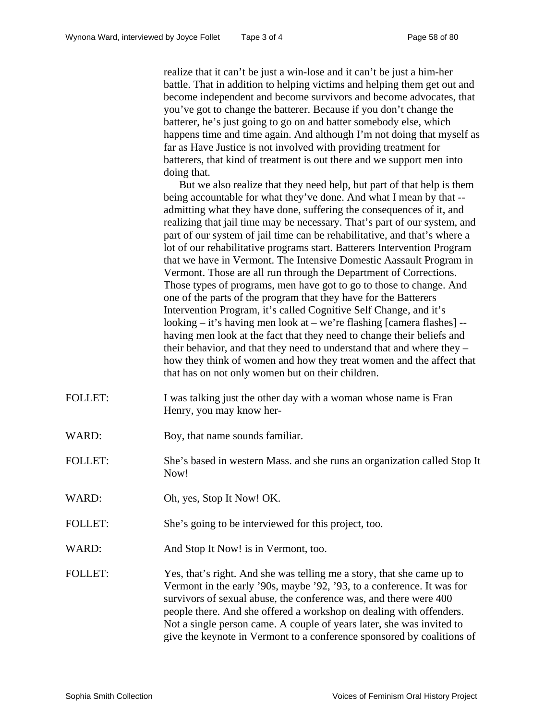realize that it can't be just a win-lose and it can't be just a him-her battle. That in addition to helping victims and helping them get out and become independent and become survivors and become advocates, that you've got to change the batterer. Because if you don't change the batterer, he's just going to go on and batter somebody else, which happens time and time again. And although I'm not doing that myself as far as Have Justice is not involved with providing treatment for batterers, that kind of treatment is out there and we support men into doing that.

But we also realize that they need help, but part of that help is them being accountable for what they've done. And what I mean by that - admitting what they have done, suffering the consequences of it, and realizing that jail time may be necessary. That's part of our system, and part of our system of jail time can be rehabilitative, and that's where a lot of our rehabilitative programs start. Batterers Intervention Program that we have in Vermont. The Intensive Domestic Aassault Program in Vermont. Those are all run through the Department of Corrections. Those types of programs, men have got to go to those to change. And one of the parts of the program that they have for the Batterers Intervention Program, it's called Cognitive Self Change, and it's looking – it's having men look at – we're flashing [camera flashes] - having men look at the fact that they need to change their beliefs and their behavior, and that they need to understand that and where they – how they think of women and how they treat women and the affect that that has on not only women but on their children.

- FOLLET: I was talking just the other day with a woman whose name is Fran Henry, you may know her-
- WARD: Boy, that name sounds familiar.
- FOLLET: She's based in western Mass. and she runs an organization called Stop It Now!
- WARD: Oh, yes, Stop It Now! OK.
- FOLLET: She's going to be interviewed for this project, too.
- WARD: And Stop It Now! is in Vermont, too.

FOLLET: Yes, that's right. And she was telling me a story, that she came up to Vermont in the early '90s, maybe '92, '93, to a conference. It was for survivors of sexual abuse, the conference was, and there were 400 people there. And she offered a workshop on dealing with offenders. Not a single person came. A couple of years later, she was invited to give the keynote in Vermont to a conference sponsored by coalitions of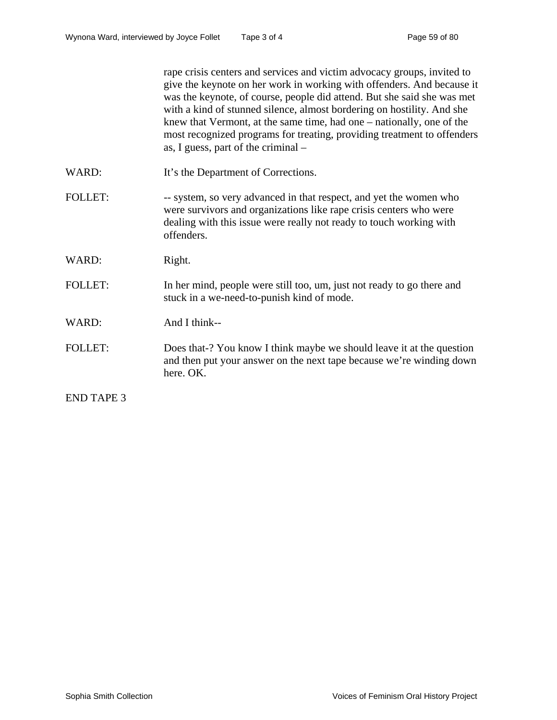rape crisis centers and services and victim advocacy groups, invited to give the keynote on her work in working with offenders. And because it was the keynote, of course, people did attend. But she said she was met with a kind of stunned silence, almost bordering on hostility. And she knew that Vermont, at the same time, had one – nationally, one of the most recognized programs for treating, providing treatment to offenders as, I guess, part of the criminal – WARD: It's the Department of Corrections. FOLLET: -- system, so very advanced in that respect, and yet the women who were survivors and organizations like rape crisis centers who were dealing with this issue were really not ready to touch working with offenders. WARD: Right. FOLLET: In her mind, people were still too, um, just not ready to go there and stuck in a we-need-to-punish kind of mode. WARD: And I think--FOLLET: Does that-? You know I think maybe we should leave it at the question and then put your answer on the next tape because we're winding down here. OK. END TAPE 3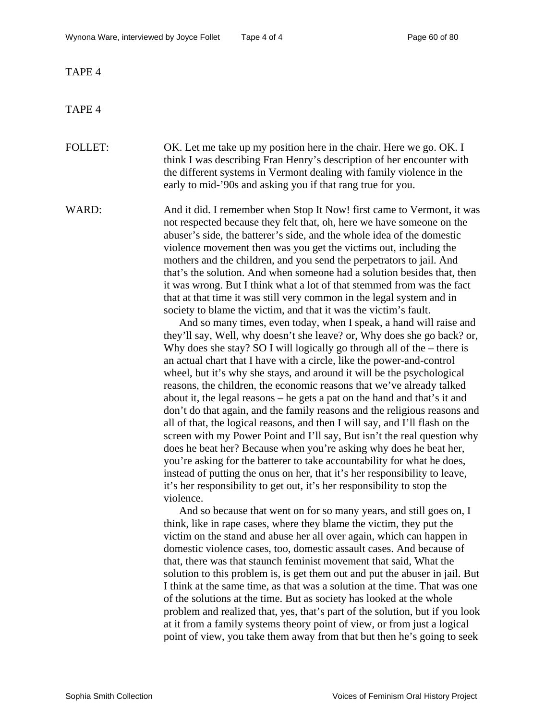TAPE 4

TAPE 4

FOLLET: OK. Let me take up my position here in the chair. Here we go. OK. I think I was describing Fran Henry's description of her encounter with the different systems in Vermont dealing with family violence in the early to mid-'90s and asking you if that rang true for you.

WARD: And it did. I remember when Stop It Now! first came to Vermont, it was not respected because they felt that, oh, here we have someone on the abuser's side, the batterer's side, and the whole idea of the domestic violence movement then was you get the victims out, including the mothers and the children, and you send the perpetrators to jail. And that's the solution. And when someone had a solution besides that, then it was wrong. But I think what a lot of that stemmed from was the fact that at that time it was still very common in the legal system and in society to blame the victim, and that it was the victim's fault.

And so many times, even today, when I speak, a hand will raise and they'll say, Well, why doesn't she leave? or, Why does she go back? or, Why does she stay? SO I will logically go through all of the – there is an actual chart that I have with a circle, like the power-and-control wheel, but it's why she stays, and around it will be the psychological reasons, the children, the economic reasons that we've already talked about it, the legal reasons – he gets a pat on the hand and that's it and don't do that again, and the family reasons and the religious reasons and all of that, the logical reasons, and then I will say, and I'll flash on the screen with my Power Point and I'll say, But isn't the real question why does he beat her? Because when you're asking why does he beat her, you're asking for the batterer to take accountability for what he does, instead of putting the onus on her, that it's her responsibility to leave, it's her responsibility to get out, it's her responsibility to stop the violence.

And so because that went on for so many years, and still goes on, I think, like in rape cases, where they blame the victim, they put the victim on the stand and abuse her all over again, which can happen in domestic violence cases, too, domestic assault cases. And because of that, there was that staunch feminist movement that said, What the solution to this problem is, is get them out and put the abuser in jail. But I think at the same time, as that was a solution at the time. That was one of the solutions at the time. But as society has looked at the whole problem and realized that, yes, that's part of the solution, but if you look at it from a family systems theory point of view, or from just a logical point of view, you take them away from that but then he's going to seek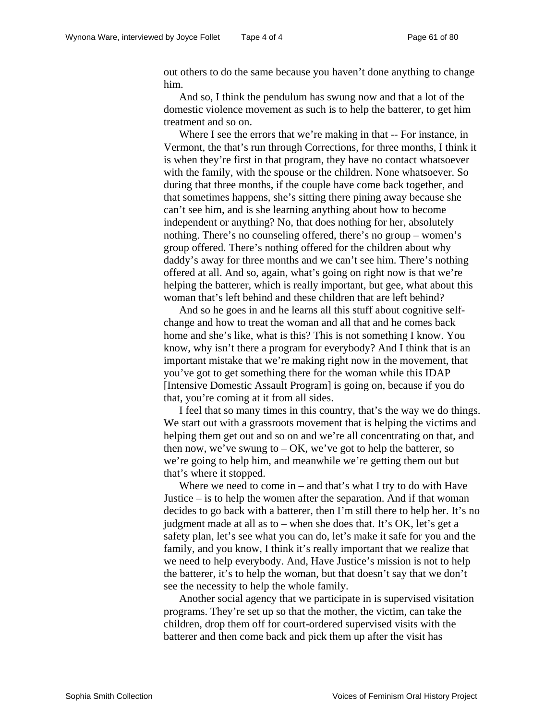out others to do the same because you haven't done anything to change him.

And so, I think the pendulum has swung now and that a lot of the domestic violence movement as such is to help the batterer, to get him treatment and so on.

Where I see the errors that we're making in that -- For instance, in Vermont, the that's run through Corrections, for three months, I think it is when they're first in that program, they have no contact whatsoever with the family, with the spouse or the children. None whatsoever. So during that three months, if the couple have come back together, and that sometimes happens, she's sitting there pining away because she can't see him, and is she learning anything about how to become independent or anything? No, that does nothing for her, absolutely nothing. There's no counseling offered, there's no group – women's group offered. There's nothing offered for the children about why daddy's away for three months and we can't see him. There's nothing offered at all. And so, again, what's going on right now is that we're helping the batterer, which is really important, but gee, what about this woman that's left behind and these children that are left behind?

And so he goes in and he learns all this stuff about cognitive selfchange and how to treat the woman and all that and he comes back home and she's like, what is this? This is not something I know. You know, why isn't there a program for everybody? And I think that is an important mistake that we're making right now in the movement, that you've got to get something there for the woman while this IDAP [Intensive Domestic Assault Program] is going on, because if you do that, you're coming at it from all sides.

I feel that so many times in this country, that's the way we do things. We start out with a grassroots movement that is helping the victims and helping them get out and so on and we're all concentrating on that, and then now, we've swung to  $-OK$ , we've got to help the batterer, so we're going to help him, and meanwhile we're getting them out but that's where it stopped.

Where we need to come in – and that's what I try to do with Have Justice – is to help the women after the separation. And if that woman decides to go back with a batterer, then I'm still there to help her. It's no judgment made at all as to – when she does that. It's OK, let's get a safety plan, let's see what you can do, let's make it safe for you and the family, and you know, I think it's really important that we realize that we need to help everybody. And, Have Justice's mission is not to help the batterer, it's to help the woman, but that doesn't say that we don't see the necessity to help the whole family.

Another social agency that we participate in is supervised visitation programs. They're set up so that the mother, the victim, can take the children, drop them off for court-ordered supervised visits with the batterer and then come back and pick them up after the visit has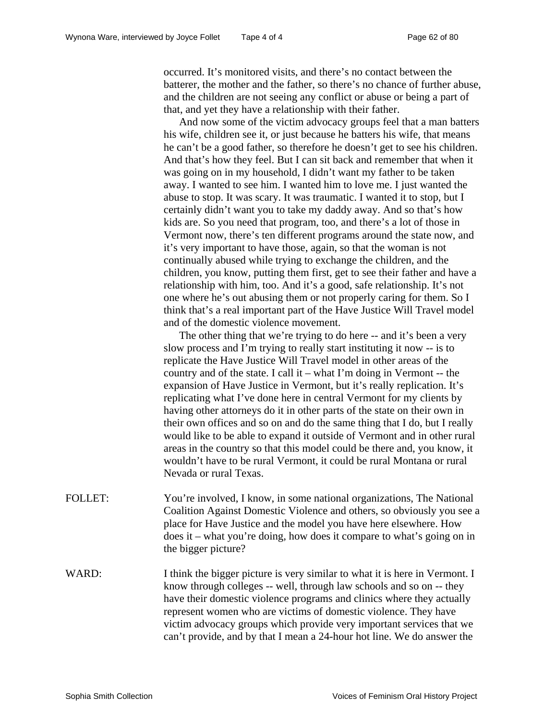occurred. It's monitored visits, and there's no contact between the batterer, the mother and the father, so there's no chance of further abuse, and the children are not seeing any conflict or abuse or being a part of that, and yet they have a relationship with their father.

And now some of the victim advocacy groups feel that a man batters his wife, children see it, or just because he batters his wife, that means he can't be a good father, so therefore he doesn't get to see his children. And that's how they feel. But I can sit back and remember that when it was going on in my household, I didn't want my father to be taken away. I wanted to see him. I wanted him to love me. I just wanted the abuse to stop. It was scary. It was traumatic. I wanted it to stop, but I certainly didn't want you to take my daddy away. And so that's how kids are. So you need that program, too, and there's a lot of those in Vermont now, there's ten different programs around the state now, and it's very important to have those, again, so that the woman is not continually abused while trying to exchange the children, and the children, you know, putting them first, get to see their father and have a relationship with him, too. And it's a good, safe relationship. It's not one where he's out abusing them or not properly caring for them. So I think that's a real important part of the Have Justice Will Travel model and of the domestic violence movement.

The other thing that we're trying to do here -- and it's been a very slow process and I'm trying to really start instituting it now -- is to replicate the Have Justice Will Travel model in other areas of the country and of the state. I call it – what I'm doing in Vermont -- the expansion of Have Justice in Vermont, but it's really replication. It's replicating what I've done here in central Vermont for my clients by having other attorneys do it in other parts of the state on their own in their own offices and so on and do the same thing that I do, but I really would like to be able to expand it outside of Vermont and in other rural areas in the country so that this model could be there and, you know, it wouldn't have to be rural Vermont, it could be rural Montana or rural Nevada or rural Texas.

- FOLLET: You're involved, I know, in some national organizations, The National Coalition Against Domestic Violence and others, so obviously you see a place for Have Justice and the model you have here elsewhere. How does it – what you're doing, how does it compare to what's going on in the bigger picture?
- WARD: I think the bigger picture is very similar to what it is here in Vermont. I know through colleges -- well, through law schools and so on -- they have their domestic violence programs and clinics where they actually represent women who are victims of domestic violence. They have victim advocacy groups which provide very important services that we can't provide, and by that I mean a 24-hour hot line. We do answer the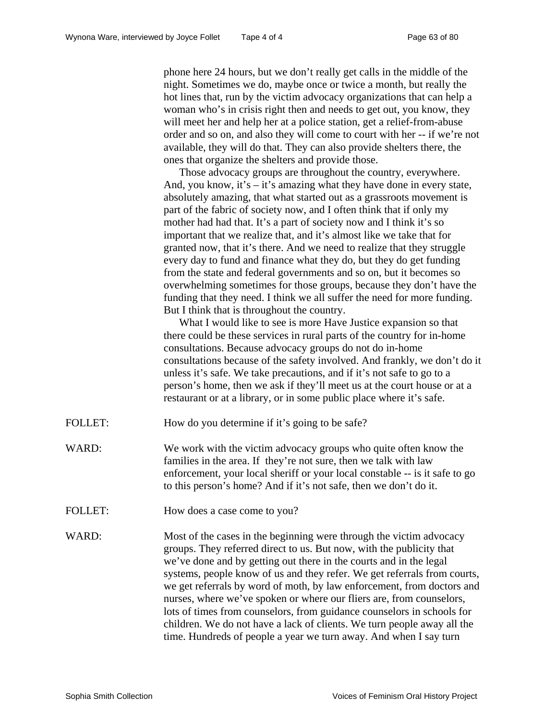phone here 24 hours, but we don't really get calls in the middle of the night. Sometimes we do, maybe once or twice a month, but really the hot lines that, run by the victim advocacy organizations that can help a woman who's in crisis right then and needs to get out, you know, they will meet her and help her at a police station, get a relief-from-abuse order and so on, and also they will come to court with her -- if we're not available, they will do that. They can also provide shelters there, the ones that organize the shelters and provide those.

Those advocacy groups are throughout the country, everywhere. And, you know, it's  $-$  it's amazing what they have done in every state, absolutely amazing, that what started out as a grassroots movement is part of the fabric of society now, and I often think that if only my mother had had that. It's a part of society now and I think it's so important that we realize that, and it's almost like we take that for granted now, that it's there. And we need to realize that they struggle every day to fund and finance what they do, but they do get funding from the state and federal governments and so on, but it becomes so overwhelming sometimes for those groups, because they don't have the funding that they need. I think we all suffer the need for more funding. But I think that is throughout the country.

What I would like to see is more Have Justice expansion so that there could be these services in rural parts of the country for in-home consultations. Because advocacy groups do not do in-home consultations because of the safety involved. And frankly, we don't do it unless it's safe. We take precautions, and if it's not safe to go to a person's home, then we ask if they'll meet us at the court house or at a restaurant or at a library, or in some public place where it's safe.

- FOLLET: How do you determine if it's going to be safe?
- WARD: We work with the victim advocacy groups who quite often know the families in the area. If they're not sure, then we talk with law enforcement, your local sheriff or your local constable -- is it safe to go to this person's home? And if it's not safe, then we don't do it.
- FOLLET: How does a case come to you?
- WARD: Most of the cases in the beginning were through the victim advocacy groups. They referred direct to us. But now, with the publicity that we've done and by getting out there in the courts and in the legal systems, people know of us and they refer. We get referrals from courts, we get referrals by word of moth, by law enforcement, from doctors and nurses, where we've spoken or where our fliers are, from counselors, lots of times from counselors, from guidance counselors in schools for children. We do not have a lack of clients. We turn people away all the time. Hundreds of people a year we turn away. And when I say turn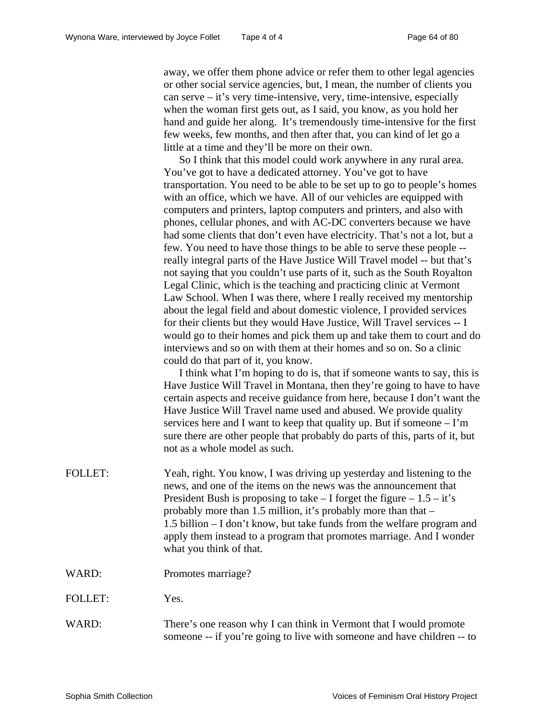away, we offer them phone advice or refer them to other legal agencies or other social service agencies, but, I mean, the number of clients you can serve  $-$  it's very time-intensive, very, time-intensive, especially when the woman first gets out, as I said, you know, as you hold her hand and guide her along. It's tremendously time-intensive for the first few weeks, few months, and then after that, you can kind of let go a little at a time and they'll be more on their own.

So I think that this model could work anywhere in any rural area. You've got to have a dedicated attorney. You've got to have transportation. You need to be able to be set up to go to people's homes with an office, which we have. All of our vehicles are equipped with computers and printers, laptop computers and printers, and also with phones, cellular phones, and with AC-DC converters because we have had some clients that don't even have electricity. That's not a lot, but a few. You need to have those things to be able to serve these people - really integral parts of the Have Justice Will Travel model -- but that's not saying that you couldn't use parts of it, such as the South Royalton Legal Clinic, which is the teaching and practicing clinic at Vermont Law School. When I was there, where I really received my mentorship about the legal field and about domestic violence, I provided services for their clients but they would Have Justice, Will Travel services -- I would go to their homes and pick them up and take them to court and do interviews and so on with them at their homes and so on. So a clinic could do that part of it, you know.

I think what I'm hoping to do is, that if someone wants to say, this is Have Justice Will Travel in Montana, then they're going to have to have certain aspects and receive guidance from here, because I don't want the Have Justice Will Travel name used and abused. We provide quality services here and I want to keep that quality up. But if someone – I'm sure there are other people that probably do parts of this, parts of it, but not as a whole model as such.

| <b>FOLLET:</b> | Yeah, right. You know, I was driving up yesterday and listening to the     |
|----------------|----------------------------------------------------------------------------|
|                | news, and one of the items on the news was the announcement that           |
|                | President Bush is proposing to take $-$ I forget the figure $-1.5 - it$ 's |
|                | probably more than 1.5 million, it's probably more than that $-$           |
|                | 1.5 billion – I don't know, but take funds from the welfare program and    |
|                | apply them instead to a program that promotes marriage. And I wonder       |
|                | what you think of that.                                                    |
|                |                                                                            |

### WARD: Promotes marriage?

### FOLLET: Yes.

## WARD: There's one reason why I can think in Vermont that I would promote someone -- if you're going to live with someone and have children -- to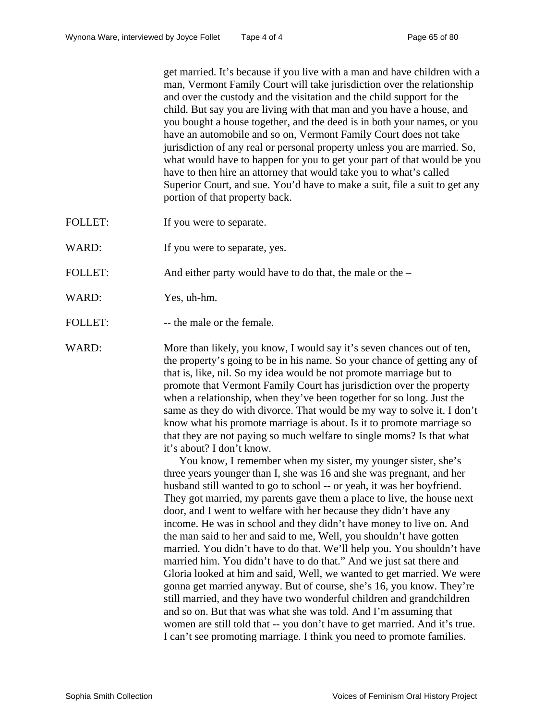get married. It's because if you live with a man and have children with a man, Vermont Family Court will take jurisdiction over the relationship and over the custody and the visitation and the child support for the child. But say you are living with that man and you have a house, and you bought a house together, and the deed is in both your names, or you have an automobile and so on, Vermont Family Court does not take jurisdiction of any real or personal property unless you are married. So, what would have to happen for you to get your part of that would be you have to then hire an attorney that would take you to what's called Superior Court, and sue. You'd have to make a suit, file a suit to get any portion of that property back.

- FOLLET: If you were to separate.
- WARD: If you were to separate, yes.
- FOLLET: And either party would have to do that, the male or the –
- WARD: Yes, uh-hm.
- FOLLET: -- the male or the female.

WARD: More than likely, you know, I would say it's seven chances out of ten, the property's going to be in his name. So your chance of getting any of that is, like, nil. So my idea would be not promote marriage but to promote that Vermont Family Court has jurisdiction over the property when a relationship, when they've been together for so long. Just the same as they do with divorce. That would be my way to solve it. I don't know what his promote marriage is about. Is it to promote marriage so that they are not paying so much welfare to single moms? Is that what it's about? I don't know.

> You know, I remember when my sister, my younger sister, she's three years younger than I, she was 16 and she was pregnant, and her husband still wanted to go to school -- or yeah, it was her boyfriend. They got married, my parents gave them a place to live, the house next door, and I went to welfare with her because they didn't have any income. He was in school and they didn't have money to live on. And the man said to her and said to me, Well, you shouldn't have gotten married. You didn't have to do that. We'll help you. You shouldn't have married him. You didn't have to do that." And we just sat there and Gloria looked at him and said, Well, we wanted to get married. We were gonna get married anyway. But of course, she's 16, you know. They're still married, and they have two wonderful children and grandchildren and so on. But that was what she was told. And I'm assuming that women are still told that -- you don't have to get married. And it's true. I can't see promoting marriage. I think you need to promote families.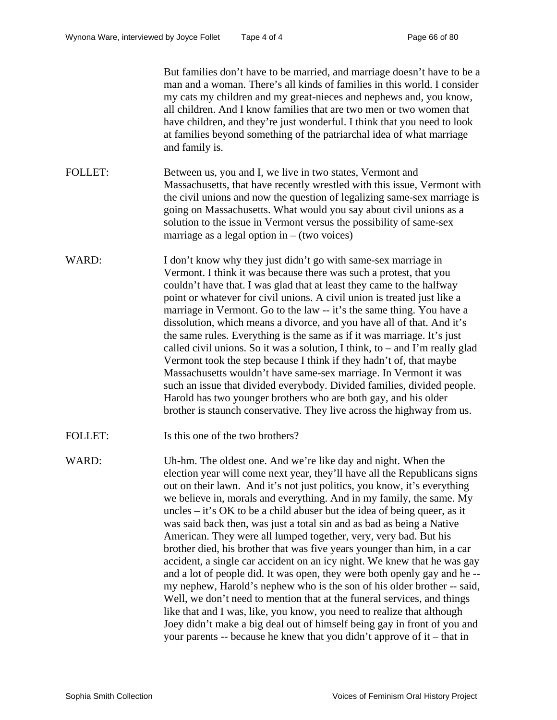|                | But families don't have to be married, and marriage doesn't have to be a<br>man and a woman. There's all kinds of families in this world. I consider<br>my cats my children and my great-nieces and nephews and, you know,<br>all children. And I know families that are two men or two women that<br>have children, and they're just wonderful. I think that you need to look<br>at families beyond something of the patriarchal idea of what marriage<br>and family is.                                                                                                                                                                                                                                                                                                                                                                                                                                                                                                                                                                                                                                                                           |
|----------------|-----------------------------------------------------------------------------------------------------------------------------------------------------------------------------------------------------------------------------------------------------------------------------------------------------------------------------------------------------------------------------------------------------------------------------------------------------------------------------------------------------------------------------------------------------------------------------------------------------------------------------------------------------------------------------------------------------------------------------------------------------------------------------------------------------------------------------------------------------------------------------------------------------------------------------------------------------------------------------------------------------------------------------------------------------------------------------------------------------------------------------------------------------|
| <b>FOLLET:</b> | Between us, you and I, we live in two states, Vermont and<br>Massachusetts, that have recently wrestled with this issue, Vermont with<br>the civil unions and now the question of legalizing same-sex marriage is<br>going on Massachusetts. What would you say about civil unions as a<br>solution to the issue in Vermont versus the possibility of same-sex<br>marriage as a legal option in $-$ (two voices)                                                                                                                                                                                                                                                                                                                                                                                                                                                                                                                                                                                                                                                                                                                                    |
| WARD:          | I don't know why they just didn't go with same-sex marriage in<br>Vermont. I think it was because there was such a protest, that you<br>couldn't have that. I was glad that at least they came to the halfway<br>point or whatever for civil unions. A civil union is treated just like a<br>marriage in Vermont. Go to the law -- it's the same thing. You have a<br>dissolution, which means a divorce, and you have all of that. And it's<br>the same rules. Everything is the same as if it was marriage. It's just<br>called civil unions. So it was a solution, I think, to $-$ and I'm really glad<br>Vermont took the step because I think if they hadn't of, that maybe<br>Massachusetts wouldn't have same-sex marriage. In Vermont it was<br>such an issue that divided everybody. Divided families, divided people.<br>Harold has two younger brothers who are both gay, and his older<br>brother is staunch conservative. They live across the highway from us.                                                                                                                                                                        |
| <b>FOLLET:</b> | Is this one of the two brothers?                                                                                                                                                                                                                                                                                                                                                                                                                                                                                                                                                                                                                                                                                                                                                                                                                                                                                                                                                                                                                                                                                                                    |
| WARD:          | Uh-hm. The oldest one. And we're like day and night. When the<br>election year will come next year, they'll have all the Republicans signs<br>out on their lawn. And it's not just politics, you know, it's everything<br>we believe in, morals and everything. And in my family, the same. My<br>uncles $-$ it's OK to be a child abuser but the idea of being queer, as it<br>was said back then, was just a total sin and as bad as being a Native<br>American. They were all lumped together, very, very bad. But his<br>brother died, his brother that was five years younger than him, in a car<br>accident, a single car accident on an icy night. We knew that he was gay<br>and a lot of people did. It was open, they were both openly gay and he-<br>my nephew, Harold's nephew who is the son of his older brother -- said,<br>Well, we don't need to mention that at the funeral services, and things<br>like that and I was, like, you know, you need to realize that although<br>Joey didn't make a big deal out of himself being gay in front of you and<br>your parents -- because he knew that you didn't approve of it – that in |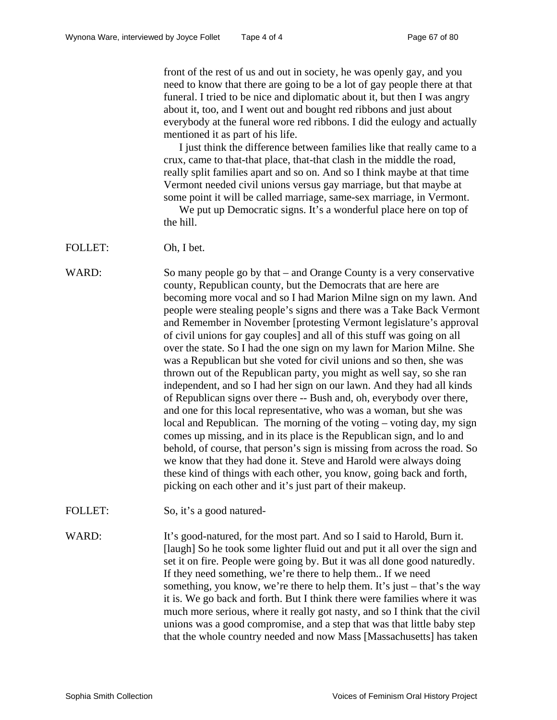front of the rest of us and out in society, he was openly gay, and you need to know that there are going to be a lot of gay people there at that funeral. I tried to be nice and diplomatic about it, but then I was angry about it, too, and I went out and bought red ribbons and just about everybody at the funeral wore red ribbons. I did the eulogy and actually mentioned it as part of his life.

I just think the difference between families like that really came to a crux, came to that-that place, that-that clash in the middle the road, really split families apart and so on. And so I think maybe at that time Vermont needed civil unions versus gay marriage, but that maybe at some point it will be called marriage, same-sex marriage, in Vermont.

We put up Democratic signs. It's a wonderful place here on top of the hill.

FOLLET: Oh, I bet.

WARD: So many people go by that – and Orange County is a very conservative county, Republican county, but the Democrats that are here are becoming more vocal and so I had Marion Milne sign on my lawn. And people were stealing people's signs and there was a Take Back Vermont and Remember in November [protesting Vermont legislature's approval of civil unions for gay couples] and all of this stuff was going on all over the state. So I had the one sign on my lawn for Marion Milne. She was a Republican but she voted for civil unions and so then, she was thrown out of the Republican party, you might as well say, so she ran independent, and so I had her sign on our lawn. And they had all kinds of Republican signs over there -- Bush and, oh, everybody over there, and one for this local representative, who was a woman, but she was local and Republican. The morning of the voting – voting day, my sign comes up missing, and in its place is the Republican sign, and lo and behold, of course, that person's sign is missing from across the road. So we know that they had done it. Steve and Harold were always doing these kind of things with each other, you know, going back and forth, picking on each other and it's just part of their makeup.

FOLLET: So, it's a good natured-

WARD: It's good-natured, for the most part. And so I said to Harold, Burn it. [laugh] So he took some lighter fluid out and put it all over the sign and set it on fire. People were going by. But it was all done good naturedly. If they need something, we're there to help them.. If we need something, you know, we're there to help them. It's just – that's the way it is. We go back and forth. But I think there were families where it was much more serious, where it really got nasty, and so I think that the civil unions was a good compromise, and a step that was that little baby step that the whole country needed and now Mass [Massachusetts] has taken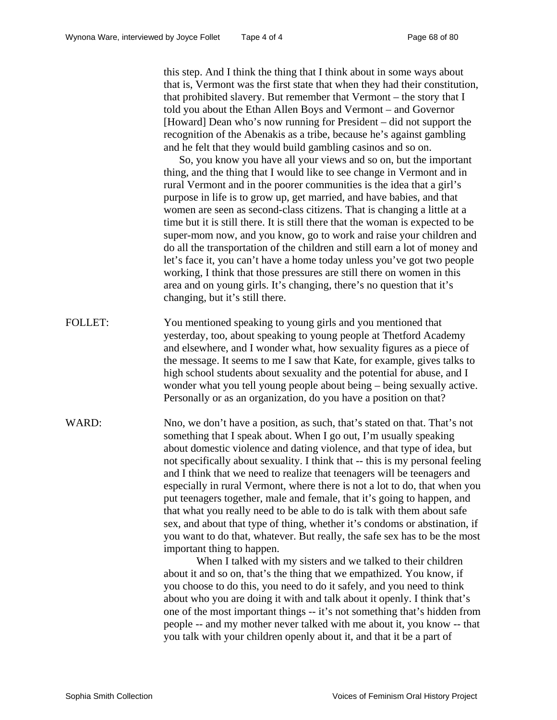this step. And I think the thing that I think about in some ways about that is, Vermont was the first state that when they had their constitution, that prohibited slavery. But remember that Vermont – the story that I told you about the Ethan Allen Boys and Vermont – and Governor [Howard] Dean who's now running for President – did not support the recognition of the Abenakis as a tribe, because he's against gambling and he felt that they would build gambling casinos and so on.

So, you know you have all your views and so on, but the important thing, and the thing that I would like to see change in Vermont and in rural Vermont and in the poorer communities is the idea that a girl's purpose in life is to grow up, get married, and have babies, and that women are seen as second-class citizens. That is changing a little at a time but it is still there. It is still there that the woman is expected to be super-mom now, and you know, go to work and raise your children and do all the transportation of the children and still earn a lot of money and let's face it, you can't have a home today unless you've got two people working, I think that those pressures are still there on women in this area and on young girls. It's changing, there's no question that it's changing, but it's still there.

- FOLLET: You mentioned speaking to young girls and you mentioned that yesterday, too, about speaking to young people at Thetford Academy and elsewhere, and I wonder what, how sexuality figures as a piece of the message. It seems to me I saw that Kate, for example, gives talks to high school students about sexuality and the potential for abuse, and I wonder what you tell young people about being – being sexually active. Personally or as an organization, do you have a position on that?
- WARD: Nno, we don't have a position, as such, that's stated on that. That's not something that I speak about. When I go out, I'm usually speaking about domestic violence and dating violence, and that type of idea, but not specifically about sexuality. I think that -- this is my personal feeling and I think that we need to realize that teenagers will be teenagers and especially in rural Vermont, where there is not a lot to do, that when you put teenagers together, male and female, that it's going to happen, and that what you really need to be able to do is talk with them about safe sex, and about that type of thing, whether it's condoms or abstination, if you want to do that, whatever. But really, the safe sex has to be the most important thing to happen.

 When I talked with my sisters and we talked to their children about it and so on, that's the thing that we empathized. You know, if you choose to do this, you need to do it safely, and you need to think about who you are doing it with and talk about it openly. I think that's one of the most important things -- it's not something that's hidden from people -- and my mother never talked with me about it, you know -- that you talk with your children openly about it, and that it be a part of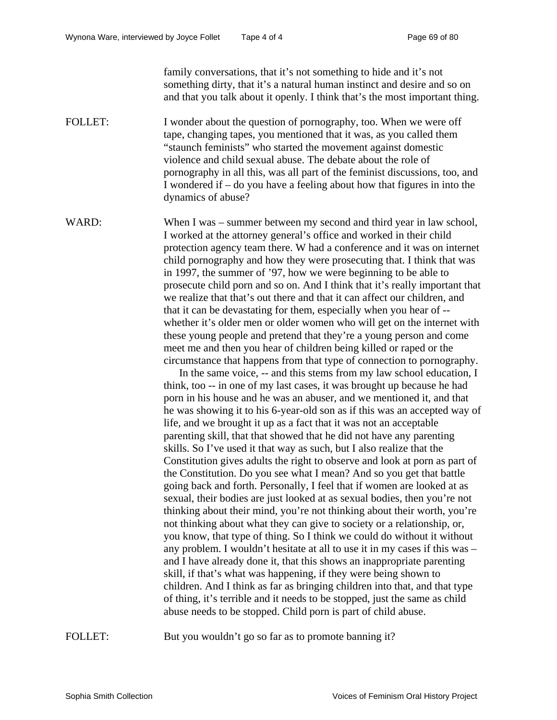family conversations, that it's not something to hide and it's not something dirty, that it's a natural human instinct and desire and so on and that you talk about it openly. I think that's the most important thing.

FOLLET: I wonder about the question of pornography, too. When we were off tape, changing tapes, you mentioned that it was, as you called them "staunch feminists" who started the movement against domestic violence and child sexual abuse. The debate about the role of pornography in all this, was all part of the feminist discussions, too, and I wondered if – do you have a feeling about how that figures in into the dynamics of abuse?

WARD: When I was – summer between my second and third year in law school, I worked at the attorney general's office and worked in their child protection agency team there. W had a conference and it was on internet child pornography and how they were prosecuting that. I think that was in 1997, the summer of '97, how we were beginning to be able to prosecute child porn and so on. And I think that it's really important that we realize that that's out there and that it can affect our children, and that it can be devastating for them, especially when you hear of - whether it's older men or older women who will get on the internet with these young people and pretend that they're a young person and come meet me and then you hear of children being killed or raped or the circumstance that happens from that type of connection to pornography.

In the same voice, -- and this stems from my law school education, I think, too -- in one of my last cases, it was brought up because he had porn in his house and he was an abuser, and we mentioned it, and that he was showing it to his 6-year-old son as if this was an accepted way of life, and we brought it up as a fact that it was not an acceptable parenting skill, that that showed that he did not have any parenting skills. So I've used it that way as such, but I also realize that the Constitution gives adults the right to observe and look at porn as part of the Constitution. Do you see what I mean? And so you get that battle going back and forth. Personally, I feel that if women are looked at as sexual, their bodies are just looked at as sexual bodies, then you're not thinking about their mind, you're not thinking about their worth, you're not thinking about what they can give to society or a relationship, or, you know, that type of thing. So I think we could do without it without any problem. I wouldn't hesitate at all to use it in my cases if this was – and I have already done it, that this shows an inappropriate parenting skill, if that's what was happening, if they were being shown to children. And I think as far as bringing children into that, and that type of thing, it's terrible and it needs to be stopped, just the same as child abuse needs to be stopped. Child porn is part of child abuse.

FOLLET: But you wouldn't go so far as to promote banning it?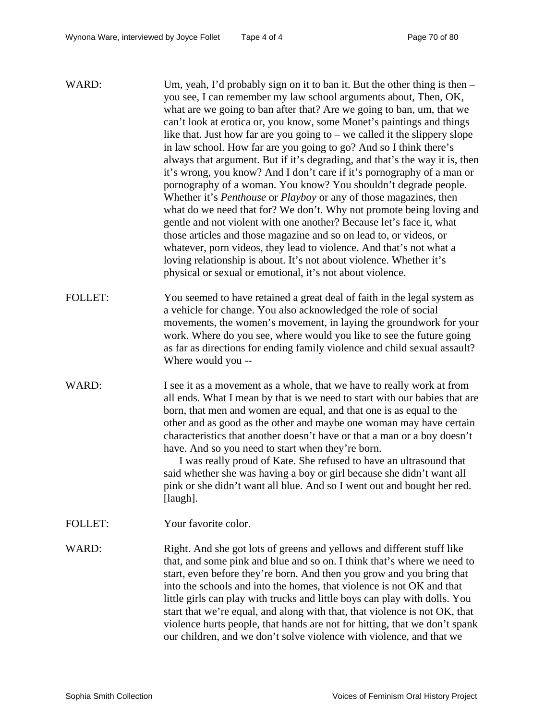| WARD:          | Um, yeah, I'd probably sign on it to ban it. But the other thing is then -<br>you see, I can remember my law school arguments about, Then, OK,<br>what are we going to ban after that? Are we going to ban, um, that we<br>can't look at erotica or, you know, some Monet's paintings and things<br>like that. Just how far are you going to $-$ we called it the slippery slope<br>in law school. How far are you going to go? And so I think there's<br>always that argument. But if it's degrading, and that's the way it is, then<br>it's wrong, you know? And I don't care if it's pornography of a man or<br>pornography of a woman. You know? You shouldn't degrade people.<br>Whether it's <i>Penthouse</i> or <i>Playboy</i> or any of those magazines, then<br>what do we need that for? We don't. Why not promote being loving and<br>gentle and not violent with one another? Because let's face it, what<br>those articles and those magazine and so on lead to, or videos, or<br>whatever, porn videos, they lead to violence. And that's not what a<br>loving relationship is about. It's not about violence. Whether it's<br>physical or sexual or emotional, it's not about violence. |
|----------------|--------------------------------------------------------------------------------------------------------------------------------------------------------------------------------------------------------------------------------------------------------------------------------------------------------------------------------------------------------------------------------------------------------------------------------------------------------------------------------------------------------------------------------------------------------------------------------------------------------------------------------------------------------------------------------------------------------------------------------------------------------------------------------------------------------------------------------------------------------------------------------------------------------------------------------------------------------------------------------------------------------------------------------------------------------------------------------------------------------------------------------------------------------------------------------------------------------|
| <b>FOLLET:</b> | You seemed to have retained a great deal of faith in the legal system as<br>a vehicle for change. You also acknowledged the role of social<br>movements, the women's movement, in laying the groundwork for your<br>work. Where do you see, where would you like to see the future going<br>as far as directions for ending family violence and child sexual assault?<br>Where would you --                                                                                                                                                                                                                                                                                                                                                                                                                                                                                                                                                                                                                                                                                                                                                                                                            |
| WARD:          | I see it as a movement as a whole, that we have to really work at from<br>all ends. What I mean by that is we need to start with our babies that are<br>born, that men and women are equal, and that one is as equal to the<br>other and as good as the other and maybe one woman may have certain<br>characteristics that another doesn't have or that a man or a boy doesn't<br>have. And so you need to start when they're born.<br>I was really proud of Kate. She refused to have an ultrasound that<br>said whether she was having a boy or girl because she didn't want all<br>pink or she didn't want all blue. And so I went out and bought her red.<br>[laugh].                                                                                                                                                                                                                                                                                                                                                                                                                                                                                                                              |
| <b>FOLLET:</b> | Your favorite color.                                                                                                                                                                                                                                                                                                                                                                                                                                                                                                                                                                                                                                                                                                                                                                                                                                                                                                                                                                                                                                                                                                                                                                                   |
| WARD:          | Right. And she got lots of greens and yellows and different stuff like<br>that, and some pink and blue and so on. I think that's where we need to<br>start, even before they're born. And then you grow and you bring that<br>into the schools and into the homes, that violence is not OK and that<br>little girls can play with trucks and little boys can play with dolls. You<br>start that we're equal, and along with that, that violence is not OK, that<br>violence hurts people, that hands are not for hitting, that we don't spank<br>our children, and we don't solve violence with violence, and that we                                                                                                                                                                                                                                                                                                                                                                                                                                                                                                                                                                                  |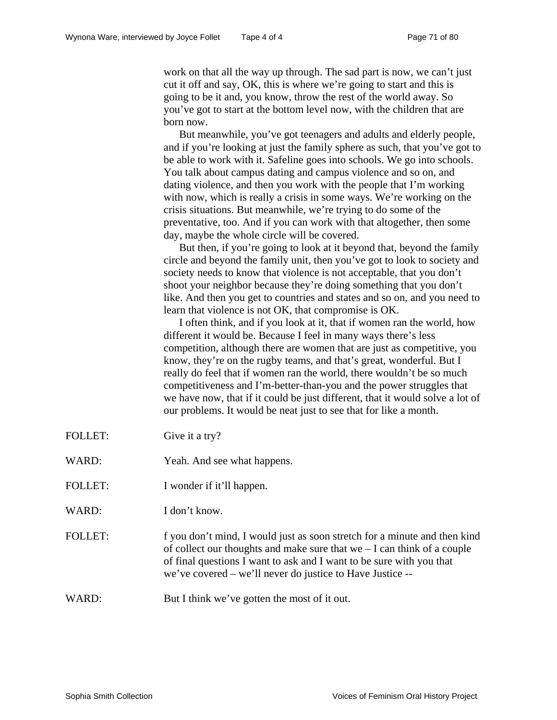work on that all the way up through. The sad part is now, we can't just cut it off and say, OK, this is where we're going to start and this is going to be it and, you know, throw the rest of the world away. So you've got to start at the bottom level now, with the children that are born now.

But meanwhile, you've got teenagers and adults and elderly people, and if you're looking at just the family sphere as such, that you've got to be able to work with it. Safeline goes into schools. We go into schools. You talk about campus dating and campus violence and so on, and dating violence, and then you work with the people that I'm working with now, which is really a crisis in some ways. We're working on the crisis situations. But meanwhile, we're trying to do some of the preventative, too. And if you can work with that altogether, then some day, maybe the whole circle will be covered.

But then, if you're going to look at it beyond that, beyond the family circle and beyond the family unit, then you've got to look to society and society needs to know that violence is not acceptable, that you don't shoot your neighbor because they're doing something that you don't like. And then you get to countries and states and so on, and you need to learn that violence is not OK, that compromise is OK.

I often think, and if you look at it, that if women ran the world, how different it would be. Because I feel in many ways there's less competition, although there are women that are just as competitive, you know, they're on the rugby teams, and that's great, wonderful. But I really do feel that if women ran the world, there wouldn't be so much competitiveness and I'm-better-than-you and the power struggles that we have now, that if it could be just different, that it would solve a lot of our problems. It would be neat just to see that for like a month.

- FOLLET: Give it a try?
- WARD: Yeah. And see what happens.
- FOLLET: I wonder if it'll happen.
- WARD: I don't know.

FOLLET: f you don't mind, I would just as soon stretch for a minute and then kind of collect our thoughts and make sure that we – I can think of a couple of final questions I want to ask and I want to be sure with you that we've covered – we'll never do justice to Have Justice --

WARD: But I think we've gotten the most of it out.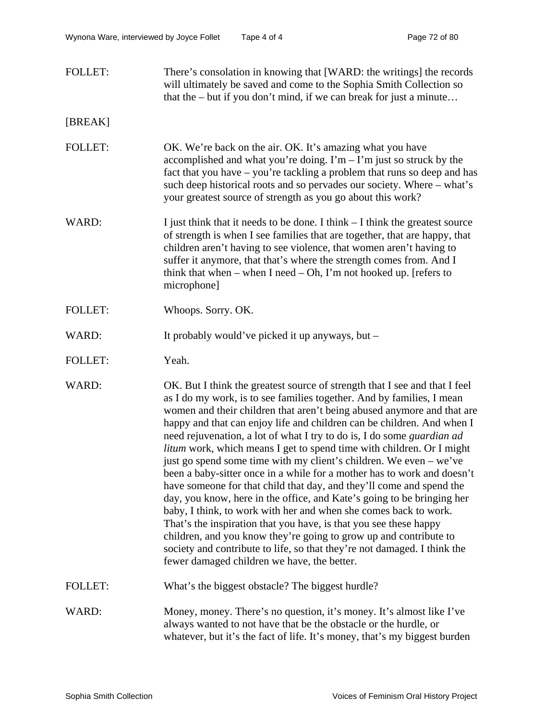| <b>FOLLET:</b> | There's consolation in knowing that [WARD: the writings] the records  |
|----------------|-----------------------------------------------------------------------|
|                | will ultimately be saved and come to the Sophia Smith Collection so   |
|                | that the $-$ but if you don't mind, if we can break for just a minute |

## [BREAK]

- FOLLET: OK. We're back on the air. OK. It's amazing what you have accomplished and what you're doing. I'm  $-$  I'm just so struck by the fact that you have – you're tackling a problem that runs so deep and has such deep historical roots and so pervades our society. Where – what's your greatest source of strength as you go about this work?
- WARD: I just think that it needs to be done. I think I think the greatest source of strength is when I see families that are together, that are happy, that children aren't having to see violence, that women aren't having to suffer it anymore, that that's where the strength comes from. And I think that when – when I need – Oh, I'm not hooked up. [refers to microphone]
- FOLLET: Whoops. Sorry. OK.
- WARD: It probably would've picked it up anyways, but –
- FOLLET: Yeah.
- WARD: OK. But I think the greatest source of strength that I see and that I feel as I do my work, is to see families together. And by families, I mean women and their children that aren't being abused anymore and that are happy and that can enjoy life and children can be children. And when I need rejuvenation, a lot of what I try to do is, I do some *guardian ad litum* work, which means I get to spend time with children. Or I might just go spend some time with my client's children. We even – we've been a baby-sitter once in a while for a mother has to work and doesn't have someone for that child that day, and they'll come and spend the day, you know, here in the office, and Kate's going to be bringing her baby, I think, to work with her and when she comes back to work. That's the inspiration that you have, is that you see these happy children, and you know they're going to grow up and contribute to society and contribute to life, so that they're not damaged. I think the fewer damaged children we have, the better.
- FOLLET: What's the biggest obstacle? The biggest hurdle?
- WARD: Money, money. There's no question, it's money. It's almost like I've always wanted to not have that be the obstacle or the hurdle, or whatever, but it's the fact of life. It's money, that's my biggest burden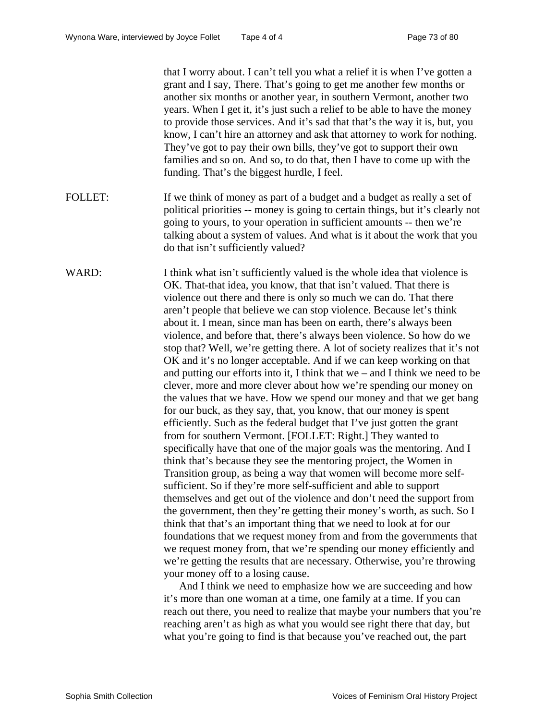that I worry about. I can't tell you what a relief it is when I've gotten a grant and I say, There. That's going to get me another few months or another six months or another year, in southern Vermont, another two years. When I get it, it's just such a relief to be able to have the money to provide those services. And it's sad that that's the way it is, but, you know, I can't hire an attorney and ask that attorney to work for nothing. They've got to pay their own bills, they've got to support their own families and so on. And so, to do that, then I have to come up with the funding. That's the biggest hurdle, I feel.

FOLLET: If we think of money as part of a budget and a budget as really a set of political priorities -- money is going to certain things, but it's clearly not going to yours, to your operation in sufficient amounts -- then we're talking about a system of values. And what is it about the work that you do that isn't sufficiently valued?

WARD: I think what isn't sufficiently valued is the whole idea that violence is OK. That-that idea, you know, that that isn't valued. That there is violence out there and there is only so much we can do. That there aren't people that believe we can stop violence. Because let's think about it. I mean, since man has been on earth, there's always been violence, and before that, there's always been violence. So how do we stop that? Well, we're getting there. A lot of society realizes that it's not OK and it's no longer acceptable. And if we can keep working on that and putting our efforts into it, I think that we – and I think we need to be clever, more and more clever about how we're spending our money on the values that we have. How we spend our money and that we get bang for our buck, as they say, that, you know, that our money is spent efficiently. Such as the federal budget that I've just gotten the grant from for southern Vermont. [FOLLET: Right.] They wanted to specifically have that one of the major goals was the mentoring. And I think that's because they see the mentoring project, the Women in Transition group, as being a way that women will become more selfsufficient. So if they're more self-sufficient and able to support themselves and get out of the violence and don't need the support from the government, then they're getting their money's worth, as such. So I think that that's an important thing that we need to look at for our foundations that we request money from and from the governments that we request money from, that we're spending our money efficiently and we're getting the results that are necessary. Otherwise, you're throwing your money off to a losing cause.

> And I think we need to emphasize how we are succeeding and how it's more than one woman at a time, one family at a time. If you can reach out there, you need to realize that maybe your numbers that you're reaching aren't as high as what you would see right there that day, but what you're going to find is that because you've reached out, the part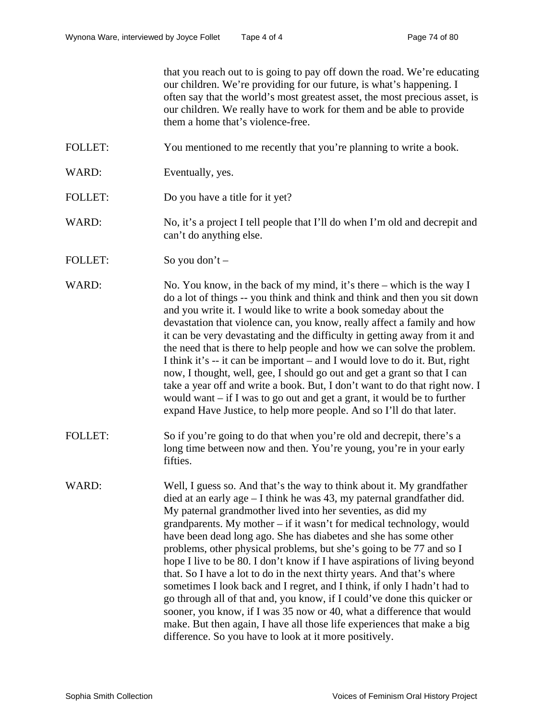that you reach out to is going to pay off down the road. We're educating our children. We're providing for our future, is what's happening. I often say that the world's most greatest asset, the most precious asset, is our children. We really have to work for them and be able to provide them a home that's violence-free.

- FOLLET: You mentioned to me recently that you're planning to write a book.
- WARD: Eventually, yes.
- FOLLET: Do you have a title for it yet?
- WARD: No, it's a project I tell people that I'll do when I'm old and decrepit and can't do anything else.
- FOLLET: So you don't –

WARD: No. You know, in the back of my mind, it's there – which is the way I do a lot of things -- you think and think and think and then you sit down and you write it. I would like to write a book someday about the devastation that violence can, you know, really affect a family and how it can be very devastating and the difficulty in getting away from it and the need that is there to help people and how we can solve the problem. I think it's -- it can be important – and I would love to do it. But, right now, I thought, well, gee, I should go out and get a grant so that I can take a year off and write a book. But, I don't want to do that right now. I would want – if I was to go out and get a grant, it would be to further expand Have Justice, to help more people. And so I'll do that later.

- FOLLET: So if you're going to do that when you're old and decrepit, there's a long time between now and then. You're young, you're in your early fifties.
- WARD: Well, I guess so. And that's the way to think about it. My grandfather died at an early age – I think he was 43, my paternal grandfather did. My paternal grandmother lived into her seventies, as did my grandparents. My mother – if it wasn't for medical technology, would have been dead long ago. She has diabetes and she has some other problems, other physical problems, but she's going to be 77 and so I hope I live to be 80. I don't know if I have aspirations of living beyond that. So I have a lot to do in the next thirty years. And that's where sometimes I look back and I regret, and I think, if only I hadn't had to go through all of that and, you know, if I could've done this quicker or sooner, you know, if I was 35 now or 40, what a difference that would make. But then again, I have all those life experiences that make a big difference. So you have to look at it more positively.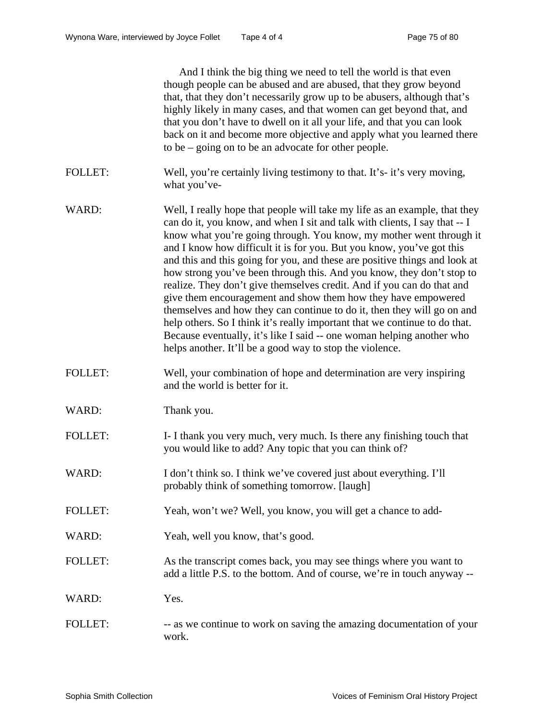|                | And I think the big thing we need to tell the world is that even<br>though people can be abused and are abused, that they grow beyond<br>that, that they don't necessarily grow up to be abusers, although that's<br>highly likely in many cases, and that women can get beyond that, and<br>that you don't have to dwell on it all your life, and that you can look<br>back on it and become more objective and apply what you learned there<br>to be $-$ going on to be an advocate for other people.                                                                                                                                                                                                                                                                                                                                                                                                  |
|----------------|----------------------------------------------------------------------------------------------------------------------------------------------------------------------------------------------------------------------------------------------------------------------------------------------------------------------------------------------------------------------------------------------------------------------------------------------------------------------------------------------------------------------------------------------------------------------------------------------------------------------------------------------------------------------------------------------------------------------------------------------------------------------------------------------------------------------------------------------------------------------------------------------------------|
| <b>FOLLET:</b> | Well, you're certainly living testimony to that. It's- it's very moving,<br>what you've-                                                                                                                                                                                                                                                                                                                                                                                                                                                                                                                                                                                                                                                                                                                                                                                                                 |
| WARD:          | Well, I really hope that people will take my life as an example, that they<br>can do it, you know, and when I sit and talk with clients, I say that -- I<br>know what you're going through. You know, my mother went through it<br>and I know how difficult it is for you. But you know, you've got this<br>and this and this going for you, and these are positive things and look at<br>how strong you've been through this. And you know, they don't stop to<br>realize. They don't give themselves credit. And if you can do that and<br>give them encouragement and show them how they have empowered<br>themselves and how they can continue to do it, then they will go on and<br>help others. So I think it's really important that we continue to do that.<br>Because eventually, it's like I said -- one woman helping another who<br>helps another. It'll be a good way to stop the violence. |
| <b>FOLLET:</b> | Well, your combination of hope and determination are very inspiring<br>and the world is better for it.                                                                                                                                                                                                                                                                                                                                                                                                                                                                                                                                                                                                                                                                                                                                                                                                   |
| WARD:          | Thank you.                                                                                                                                                                                                                                                                                                                                                                                                                                                                                                                                                                                                                                                                                                                                                                                                                                                                                               |
| <b>FOLLET:</b> | I- I thank you very much, very much. Is there any finishing touch that<br>you would like to add? Any topic that you can think of?                                                                                                                                                                                                                                                                                                                                                                                                                                                                                                                                                                                                                                                                                                                                                                        |
| WARD:          | I don't think so. I think we've covered just about everything. I'll<br>probably think of something tomorrow. [laugh]                                                                                                                                                                                                                                                                                                                                                                                                                                                                                                                                                                                                                                                                                                                                                                                     |
| <b>FOLLET:</b> | Yeah, won't we? Well, you know, you will get a chance to add-                                                                                                                                                                                                                                                                                                                                                                                                                                                                                                                                                                                                                                                                                                                                                                                                                                            |
| WARD:          | Yeah, well you know, that's good.                                                                                                                                                                                                                                                                                                                                                                                                                                                                                                                                                                                                                                                                                                                                                                                                                                                                        |
| <b>FOLLET:</b> | As the transcript comes back, you may see things where you want to<br>add a little P.S. to the bottom. And of course, we're in touch anyway --                                                                                                                                                                                                                                                                                                                                                                                                                                                                                                                                                                                                                                                                                                                                                           |
| WARD:          | Yes.                                                                                                                                                                                                                                                                                                                                                                                                                                                                                                                                                                                                                                                                                                                                                                                                                                                                                                     |
| <b>FOLLET:</b> | -- as we continue to work on saving the amazing documentation of your<br>work.                                                                                                                                                                                                                                                                                                                                                                                                                                                                                                                                                                                                                                                                                                                                                                                                                           |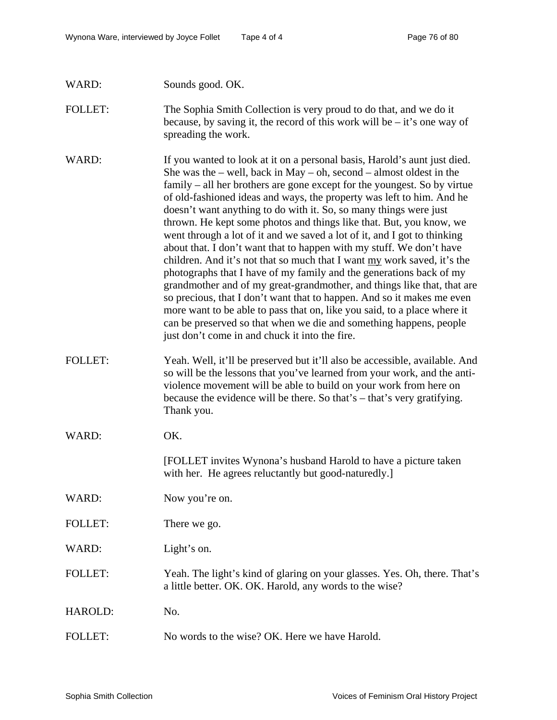| WARD:          | Sounds good. OK.                                                                                                                                                                                                                                                                                                                                                                                                                                                                                                                                                                                                                                                                                                                                                                                                                                                                                                                                                                                                                                                                                                       |
|----------------|------------------------------------------------------------------------------------------------------------------------------------------------------------------------------------------------------------------------------------------------------------------------------------------------------------------------------------------------------------------------------------------------------------------------------------------------------------------------------------------------------------------------------------------------------------------------------------------------------------------------------------------------------------------------------------------------------------------------------------------------------------------------------------------------------------------------------------------------------------------------------------------------------------------------------------------------------------------------------------------------------------------------------------------------------------------------------------------------------------------------|
| <b>FOLLET:</b> | The Sophia Smith Collection is very proud to do that, and we do it<br>because, by saving it, the record of this work will be $-$ it's one way of<br>spreading the work.                                                                                                                                                                                                                                                                                                                                                                                                                                                                                                                                                                                                                                                                                                                                                                                                                                                                                                                                                |
| WARD:          | If you wanted to look at it on a personal basis, Harold's aunt just died.<br>She was the $-$ well, back in May $-$ oh, second $-$ almost oldest in the<br>family – all her brothers are gone except for the youngest. So by virtue<br>of old-fashioned ideas and ways, the property was left to him. And he<br>doesn't want anything to do with it. So, so many things were just<br>thrown. He kept some photos and things like that. But, you know, we<br>went through a lot of it and we saved a lot of it, and I got to thinking<br>about that. I don't want that to happen with my stuff. We don't have<br>children. And it's not that so much that I want my work saved, it's the<br>photographs that I have of my family and the generations back of my<br>grandmother and of my great-grandmother, and things like that, that are<br>so precious, that I don't want that to happen. And so it makes me even<br>more want to be able to pass that on, like you said, to a place where it<br>can be preserved so that when we die and something happens, people<br>just don't come in and chuck it into the fire. |
| <b>FOLLET:</b> | Yeah. Well, it'll be preserved but it'll also be accessible, available. And<br>so will be the lessons that you've learned from your work, and the anti-<br>violence movement will be able to build on your work from here on<br>because the evidence will be there. So that's - that's very gratifying.<br>Thank you.                                                                                                                                                                                                                                                                                                                                                                                                                                                                                                                                                                                                                                                                                                                                                                                                  |
| WARD:          | OK.                                                                                                                                                                                                                                                                                                                                                                                                                                                                                                                                                                                                                                                                                                                                                                                                                                                                                                                                                                                                                                                                                                                    |
|                | [FOLLET invites Wynona's husband Harold to have a picture taken<br>with her. He agrees reluctantly but good-naturedly.]                                                                                                                                                                                                                                                                                                                                                                                                                                                                                                                                                                                                                                                                                                                                                                                                                                                                                                                                                                                                |
| WARD:          | Now you're on.                                                                                                                                                                                                                                                                                                                                                                                                                                                                                                                                                                                                                                                                                                                                                                                                                                                                                                                                                                                                                                                                                                         |
| <b>FOLLET:</b> | There we go.                                                                                                                                                                                                                                                                                                                                                                                                                                                                                                                                                                                                                                                                                                                                                                                                                                                                                                                                                                                                                                                                                                           |
| WARD:          | Light's on.                                                                                                                                                                                                                                                                                                                                                                                                                                                                                                                                                                                                                                                                                                                                                                                                                                                                                                                                                                                                                                                                                                            |
| <b>FOLLET:</b> | Yeah. The light's kind of glaring on your glasses. Yes. Oh, there. That's<br>a little better. OK. OK. Harold, any words to the wise?                                                                                                                                                                                                                                                                                                                                                                                                                                                                                                                                                                                                                                                                                                                                                                                                                                                                                                                                                                                   |
| HAROLD:        | No.                                                                                                                                                                                                                                                                                                                                                                                                                                                                                                                                                                                                                                                                                                                                                                                                                                                                                                                                                                                                                                                                                                                    |
| <b>FOLLET:</b> | No words to the wise? OK. Here we have Harold.                                                                                                                                                                                                                                                                                                                                                                                                                                                                                                                                                                                                                                                                                                                                                                                                                                                                                                                                                                                                                                                                         |